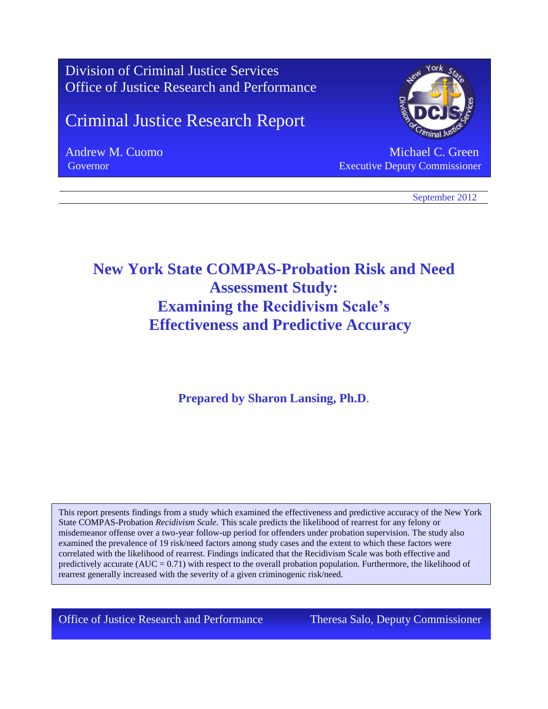

# **New York State COMPAS-Probation Risk and Need Assessment Study: Examining the Recidivism Scale's Effectiveness and Predictive Accuracy**

**Prepared by Sharon Lansing, Ph.D**.

 $\alpha$  correlated with the likelihood of rearrest. Findings indicated that the Recidivism Scale was both effective and<br> **productively** sequents  $(\Delta U C - 0.71)$  with respect to the overall probation population. Eurthermore, th This report presents findings from a study which examined the effectiveness and predictive accuracy of the New York State COMPAS-Probation *Recidivism Scale.* This scale predicts the likelihood of rearrest for any felony or misdemeanor offense over a two-year follow-up period for offenders under probation supervision. The study also examined the prevalence of 19 risk/need factors among study cases and the extent to which these factors were predictively accurate  $(AUC = 0.71)$  with respect to the overall probation population. Furthermore, the likelihood of rearrest generally increased with the severity of a given criminogenic risk/need.

Office of Justice Research and Performance Theresa Salo, Deputy Commissioner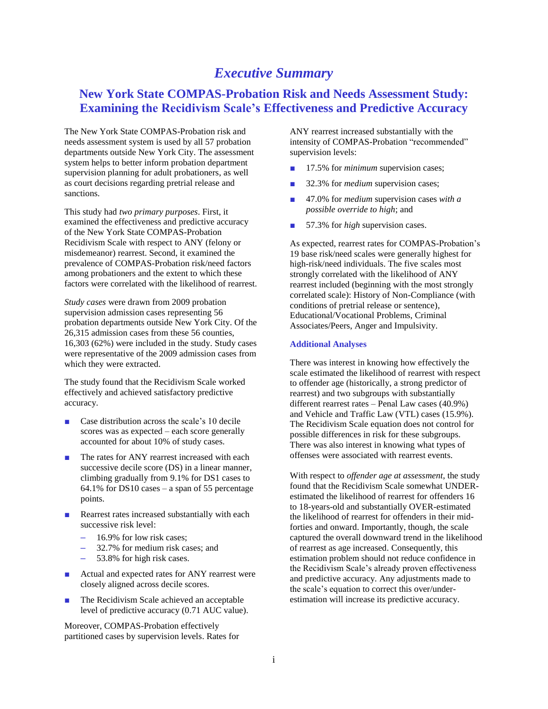# *Executive Summary*

# **New York State COMPAS-Probation Risk and Needs Assessment Study: Examining the Recidivism Scale's Effectiveness and Predictive Accuracy**

The New York State COMPAS-Probation risk and needs assessment system is used by all 57 probation departments outside New York City. The assessment system helps to better inform probation department supervision planning for adult probationers, as well as court decisions regarding pretrial release and sanctions.

This study had *two primary purposes*. First, it examined the effectiveness and predictive accuracy of the New York State COMPAS-Probation Recidivism Scale with respect to ANY (felony or misdemeanor) rearrest. Second, it examined the prevalence of COMPAS-Probation risk/need factors among probationers and the extent to which these factors were correlated with the likelihood of rearrest.

*Study cases* were drawn from 2009 probation supervision admission cases representing 56 probation departments outside New York City. Of the 26,315 admission cases from these 56 counties, 16,303 (62%) were included in the study. Study cases were representative of the 2009 admission cases from which they were extracted.

The study found that the Recidivism Scale worked effectively and achieved satisfactory predictive accuracy.

- Case distribution across the scale's 10 decile scores was as expected – each score generally accounted for about 10% of study cases.
- The rates for ANY rearrest increased with each successive decile score (DS) in a linear manner, climbing gradually from 9.1% for DS1 cases to 64.1% for DS10 cases – a span of 55 percentage points.
- Rearrest rates increased substantially with each successive risk level:
	- 16.9% for low risk cases;
	- 32.7% for medium risk cases; and
	- 53.8% for high risk cases.
- Actual and expected rates for ANY rearrest were closely aligned across decile scores.
- The Recidivism Scale achieved an acceptable level of predictive accuracy (0.71 AUC value).

Moreover, COMPAS-Probation effectively partitioned cases by supervision levels. Rates for ANY rearrest increased substantially with the intensity of COMPAS-Probation "recommended" supervision levels:

- 17.5% for *minimum* supervision cases;
- 32.3% for *medium* supervision cases;
- 47.0% for *medium* supervision cases *with a possible override to high*; and
- 57.3% for *high* supervision cases.

As expected, rearrest rates for COMPAS-Probation's 19 base risk/need scales were generally highest for high-risk/need individuals. The five scales most strongly correlated with the likelihood of ANY rearrest included (beginning with the most strongly correlated scale): History of Non-Compliance (with conditions of pretrial release or sentence), Educational/Vocational Problems, Criminal Associates/Peers, Anger and Impulsivity.

### **Additional Analyses**

There was interest in knowing how effectively the scale estimated the likelihood of rearrest with respect to offender age (historically, a strong predictor of rearrest) and two subgroups with substantially different rearrest rates – Penal Law cases (40.9%) and Vehicle and Traffic Law (VTL) cases (15.9%). The Recidivism Scale equation does not control for possible differences in risk for these subgroups. There was also interest in knowing what types of offenses were associated with rearrest events.

With respect to *offender age at assessment*, the study found that the Recidivism Scale somewhat UNDERestimated the likelihood of rearrest for offenders 16 to 18-years-old and substantially OVER-estimated the likelihood of rearrest for offenders in their midforties and onward. Importantly, though, the scale captured the overall downward trend in the likelihood of rearrest as age increased. Consequently, this estimation problem should not reduce confidence in the Recidivism Scale's already proven effectiveness and predictive accuracy. Any adjustments made to the scale's equation to correct this over/underestimation will increase its predictive accuracy.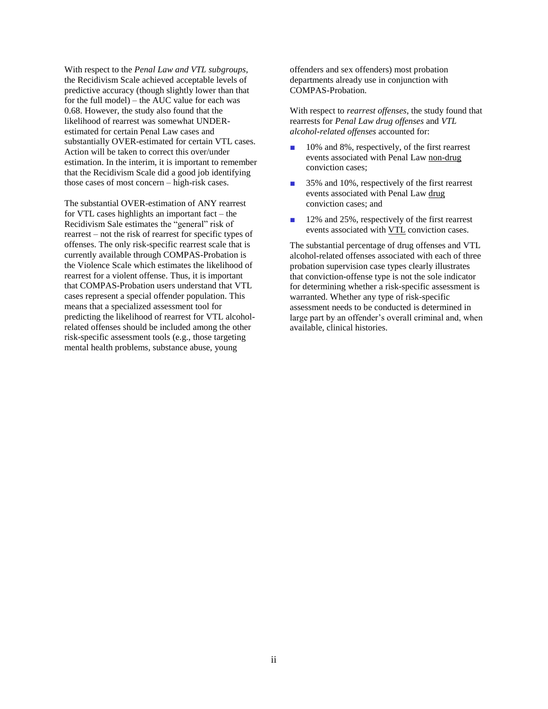With respect to the *Penal Law and VTL subgroups*, the Recidivism Scale achieved acceptable levels of predictive accuracy (though slightly lower than that for the full model) – the AUC value for each was 0.68. However, the study also found that the likelihood of rearrest was somewhat UNDERestimated for certain Penal Law cases and substantially OVER-estimated for certain VTL cases. Action will be taken to correct this over/under estimation. In the interim, it is important to remember that the Recidivism Scale did a good job identifying those cases of most concern – high-risk cases.

The substantial OVER-estimation of ANY rearrest for VTL cases highlights an important fact – the Recidivism Sale estimates the "general" risk of rearrest – not the risk of rearrest for specific types of offenses. The only risk-specific rearrest scale that is currently available through COMPAS-Probation is the Violence Scale which estimates the likelihood of rearrest for a violent offense. Thus, it is important that COMPAS-Probation users understand that VTL cases represent a special offender population. This means that a specialized assessment tool for predicting the likelihood of rearrest for VTL alcoholrelated offenses should be included among the other risk-specific assessment tools (e.g., those targeting mental health problems, substance abuse, young

offenders and sex offenders) most probation departments already use in conjunction with COMPAS-Probation.

With respect to *rearrest offenses*, the study found that rearrests for *Penal Law drug offenses* and *VTL alcohol-related offenses* accounted for:

- 10% and 8%, respectively, of the first rearrest events associated with Penal Law non-drug conviction cases;
- 35% and 10%, respectively of the first rearrest events associated with Penal Law drug conviction cases; and
- 12% and 25%, respectively of the first rearrest events associated with VTL conviction cases.

The substantial percentage of drug offenses and VTL alcohol-related offenses associated with each of three probation supervision case types clearly illustrates that conviction-offense type is not the sole indicator for determining whether a risk-specific assessment is warranted. Whether any type of risk-specific assessment needs to be conducted is determined in large part by an offender's overall criminal and, when available, clinical histories.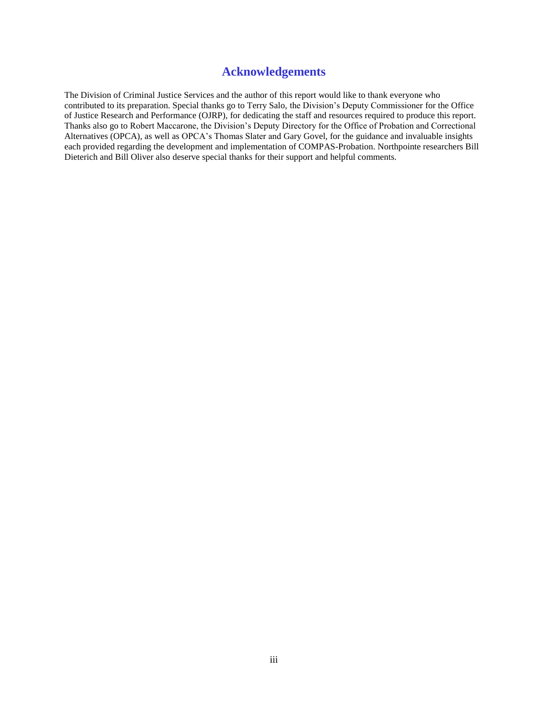### **Acknowledgements**

The Division of Criminal Justice Services and the author of this report would like to thank everyone who contributed to its preparation. Special thanks go to Terry Salo, the Division's Deputy Commissioner for the Office of Justice Research and Performance (OJRP), for dedicating the staff and resources required to produce this report. Thanks also go to Robert Maccarone, the Division's Deputy Directory for the Office of Probation and Correctional Alternatives (OPCA), as well as OPCA's Thomas Slater and Gary Govel, for the guidance and invaluable insights each provided regarding the development and implementation of COMPAS-Probation. Northpointe researchers Bill Dieterich and Bill Oliver also deserve special thanks for their support and helpful comments.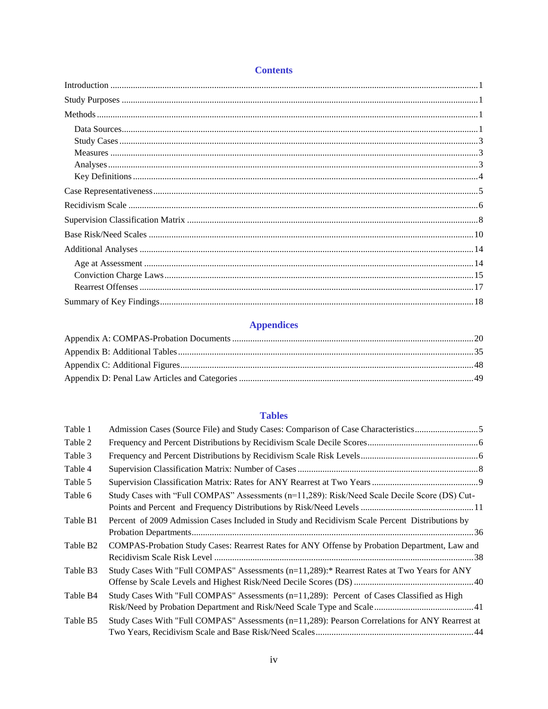### **Contents**

## **Appendices**

### **Tables**

| Table 1              | Admission Cases (Source File) and Study Cases: Comparison of Case Characteristics               |  |
|----------------------|-------------------------------------------------------------------------------------------------|--|
| Table 2              |                                                                                                 |  |
| Table 3              |                                                                                                 |  |
| Table 4              |                                                                                                 |  |
| Table 5              |                                                                                                 |  |
| Table 6              | Study Cases with "Full COMPAS" Assessments (n=11,289): Risk/Need Scale Decile Score (DS) Cut-   |  |
| Table B1             | Percent of 2009 Admission Cases Included in Study and Recidivism Scale Percent Distributions by |  |
| Table B <sub>2</sub> | COMPAS-Probation Study Cases: Rearrest Rates for ANY Offense by Probation Department, Law and   |  |
| Table B3             | Study Cases With "Full COMPAS" Assessments (n=11,289):* Rearrest Rates at Two Years for ANY     |  |
| Table B4             | Study Cases With "Full COMPAS" Assessments (n=11,289): Percent of Cases Classified as High      |  |
| Table B5             | Study Cases With "Full COMPAS" Assessments (n=11,289): Pearson Correlations for ANY Rearrest at |  |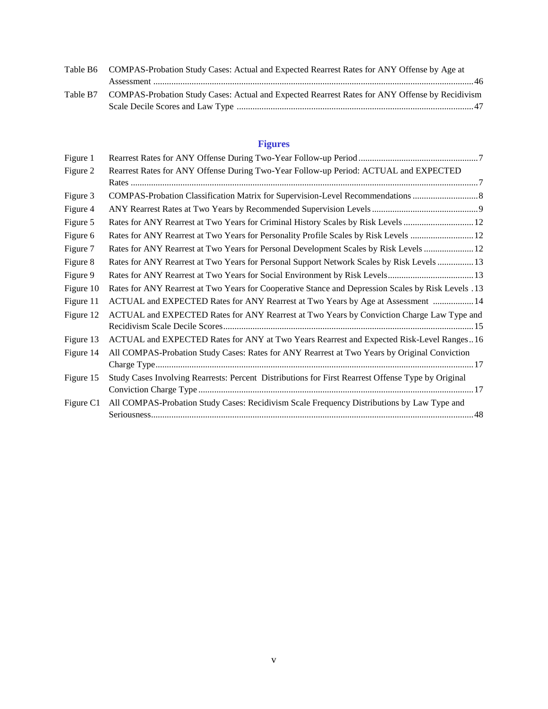| Table B6 COMPAS-Probation Study Cases: Actual and Expected Rearrest Rates for ANY Offense by Age at     |
|---------------------------------------------------------------------------------------------------------|
|                                                                                                         |
| Table B7 COMPAS-Probation Study Cases: Actual and Expected Rearrest Rates for ANY Offense by Recidivism |
|                                                                                                         |

# **Figures**

| Figure 1  |                                                                                                     |
|-----------|-----------------------------------------------------------------------------------------------------|
| Figure 2  | Rearrest Rates for ANY Offense During Two-Year Follow-up Period: ACTUAL and EXPECTED                |
|           |                                                                                                     |
| Figure 3  | COMPAS-Probation Classification Matrix for Supervision-Level Recommendations                        |
| Figure 4  |                                                                                                     |
| Figure 5  | Rates for ANY Rearrest at Two Years for Criminal History Scales by Risk Levels  12                  |
| Figure 6  | Rates for ANY Rearrest at Two Years for Personality Profile Scales by Risk Levels  12               |
| Figure 7  | Rates for ANY Rearrest at Two Years for Personal Development Scales by Risk Levels  12              |
| Figure 8  | Rates for ANY Rearrest at Two Years for Personal Support Network Scales by Risk Levels  13          |
| Figure 9  | Rates for ANY Rearrest at Two Years for Social Environment by Risk Levels 13                        |
| Figure 10 | Rates for ANY Rearrest at Two Years for Cooperative Stance and Depression Scales by Risk Levels .13 |
| Figure 11 | ACTUAL and EXPECTED Rates for ANY Rearrest at Two Years by Age at Assessment  14                    |
| Figure 12 | ACTUAL and EXPECTED Rates for ANY Rearrest at Two Years by Conviction Charge Law Type and           |
|           |                                                                                                     |
| Figure 13 | ACTUAL and EXPECTED Rates for ANY at Two Years Rearrest and Expected Risk-Level Ranges16            |
| Figure 14 | All COMPAS-Probation Study Cases: Rates for ANY Rearrest at Two Years by Original Conviction        |
|           |                                                                                                     |
| Figure 15 | Study Cases Involving Rearrests: Percent Distributions for First Rearrest Offense Type by Original  |
|           |                                                                                                     |
| Figure C1 | All COMPAS-Probation Study Cases: Recidivism Scale Frequency Distributions by Law Type and          |
|           |                                                                                                     |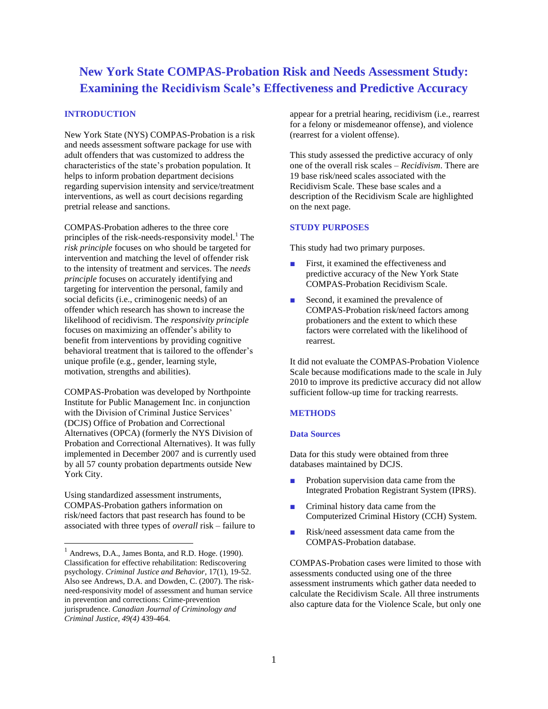# **New York State COMPAS-Probation Risk and Needs Assessment Study: Examining the Recidivism Scale's Effectiveness and Predictive Accuracy**

### **INTRODUCTION**

New York State (NYS) COMPAS-Probation is a risk and needs assessment software package for use with adult offenders that was customized to address the characteristics of the state's probation population. It helps to inform probation department decisions regarding supervision intensity and service/treatment interventions, as well as court decisions regarding pretrial release and sanctions.

COMPAS-Probation adheres to the three core principles of the risk-needs-responsivity model.<sup>1</sup> The *risk principle* focuses on who should be targeted for intervention and matching the level of offender risk to the intensity of treatment and services. The *needs principle* focuses on accurately identifying and targeting for intervention the personal, family and social deficits (i.e., criminogenic needs) of an offender which research has shown to increase the likelihood of recidivism. The *responsivity principle* focuses on maximizing an offender's ability to benefit from interventions by providing cognitive behavioral treatment that is tailored to the offender's unique profile (e.g., gender, learning style, motivation, strengths and abilities).

COMPAS-Probation was developed by Northpointe Institute for Public Management Inc. in conjunction with the Division of Criminal Justice Services' (DCJS) Office of Probation and Correctional Alternatives (OPCA) (formerly the NYS Division of Probation and Correctional Alternatives). It was fully implemented in December 2007 and is currently used by all 57 county probation departments outside New York City.

Using standardized assessment instruments, COMPAS-Probation gathers information on risk/need factors that past research has found to be associated with three types of *overall* risk – failure to

l

appear for a pretrial hearing, recidivism (i.e., rearrest for a felony or misdemeanor offense), and violence (rearrest for a violent offense).

This study assessed the predictive accuracy of only one of the overall risk scales – *Recidivism*. There are 19 base risk/need scales associated with the Recidivism Scale. These base scales and a description of the Recidivism Scale are highlighted on the next page.

### **STUDY PURPOSES**

This study had two primary purposes.

- First, it examined the effectiveness and predictive accuracy of the New York State COMPAS-Probation Recidivism Scale.
- Second, it examined the prevalence of COMPAS-Probation risk/need factors among probationers and the extent to which these factors were correlated with the likelihood of rearrest.

It did not evaluate the COMPAS-Probation Violence Scale because modifications made to the scale in July 2010 to improve its predictive accuracy did not allow sufficient follow-up time for tracking rearrests.

### **METHODS**

### **Data Sources**

Data for this study were obtained from three databases maintained by DCJS.

- Probation supervision data came from the Integrated Probation Registrant System (IPRS).
- Criminal history data came from the Computerized Criminal History (CCH) System.
- Risk/need assessment data came from the COMPAS-Probation database.

COMPAS-Probation cases were limited to those with assessments conducted using one of the three assessment instruments which gather data needed to calculate the Recidivism Scale. All three instruments also capture data for the Violence Scale, but only one

<sup>&</sup>lt;sup>1</sup> Andrews, D.A., James Bonta, and R.D. Hoge. (1990). Classification for effective rehabilitation: Rediscovering psychology. *Criminal Justice and Behavior*, 17(1), 19-52. Also see Andrews, D.A. and Dowden, C. (2007). The riskneed-responsivity model of assessment and human service in prevention and corrections: Crime-prevention jurisprudence. *Canadian Journal of Criminology and Criminal Justice, 49(4)* 439-464.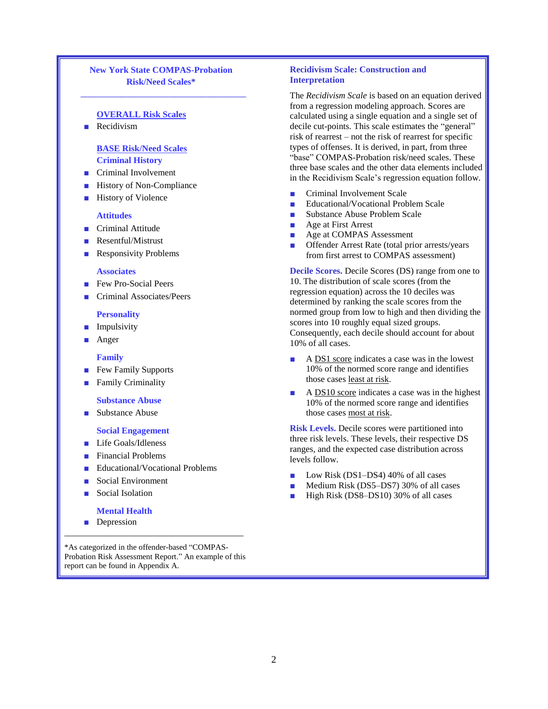### **New York State COMPAS-Probation Risk/Need Scales\***

\_\_\_\_\_\_\_\_\_\_\_\_\_\_\_\_\_\_\_\_\_\_\_\_\_\_\_\_\_\_\_\_\_\_\_\_\_

### **OVERALL Risk Scales**

■ Recidivism

### **BASE Risk/Need Scales Criminal History**

- Criminal Involvement
- History of Non-Compliance
- History of Violence

### **Attitudes**

- Criminal Attitude
- Resentful/Mistrust
- Responsivity Problems

### **Associates**

- Few Pro-Social Peers
- Criminal Associates/Peers

### **Personality**

- Impulsivity
- Anger

### **Family**

- Few Family Supports
- Family Criminality

### **Substance Abuse**

■ Substance Abuse

### **Social Engagement**

- Life Goals/Idleness
- Financial Problems
- Educational/Vocational Problems
- Social Environment
- Social Isolation

### **Mental Health**

■ Depression

\*As categorized in the offender-based "COMPAS-Probation Risk Assessment Report." An example of this report can be found in Appendix A.

\_\_\_\_\_\_\_\_\_\_\_\_\_\_\_\_\_\_\_\_\_\_\_\_\_\_\_\_\_\_\_\_\_\_\_\_\_\_\_\_

### **Recidivism Scale: Construction and Interpretation**

The *Recidivism Scale* is based on an equation derived from a regression modeling approach. Scores are calculated using a single equation and a single set of decile cut-points. This scale estimates the "general" risk of rearrest – not the risk of rearrest for specific types of offenses. It is derived, in part, from three "base" COMPAS-Probation risk/need scales. These three base scales and the other data elements included in the Recidivism Scale's regression equation follow.

- Criminal Involvement Scale
- Educational/Vocational Problem Scale
- Substance Abuse Problem Scale
- Age at First Arrest
- Age at COMPAS Assessment
- Offender Arrest Rate (total prior arrests/years from first arrest to COMPAS assessment)

**Decile Scores.** Decile Scores (DS) range from one to 10. The distribution of scale scores (from the regression equation) across the 10 deciles was determined by ranking the scale scores from the normed group from low to high and then dividing the scores into 10 roughly equal sized groups. Consequently, each decile should account for about 10% of all cases.

- A DS1 score indicates a case was in the lowest 10% of the normed score range and identifies those cases least at risk.
- A DS10 score indicates a case was in the highest 10% of the normed score range and identifies those cases most at risk.

**Risk Levels.** Decile scores were partitioned into three risk levels. These levels, their respective DS ranges, and the expected case distribution across levels follow.

- Low Risk  $(DS1-DS4)$  40% of all cases
- Medium Risk (DS5–DS7) 30% of all cases
- High Risk (DS8–DS10) 30% of all cases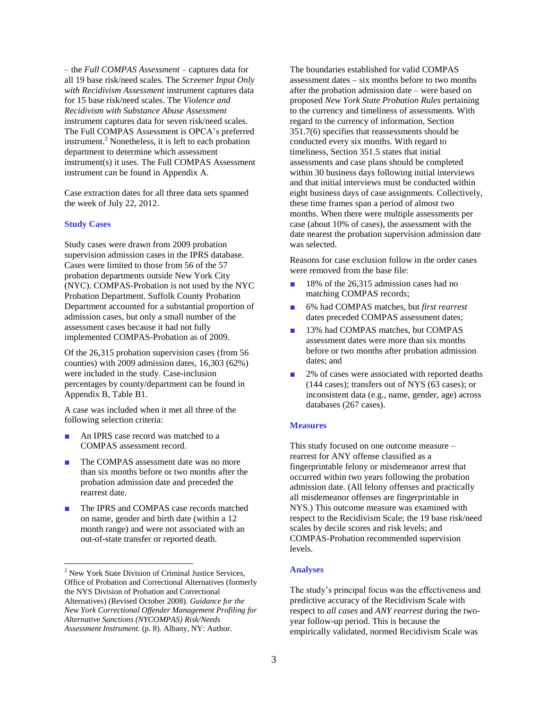– the *Full COMPAS Assessment* – captures data for all 19 base risk/need scales*.* The *Screener Input Only with Recidivism Assessment* instrument captures data for 15 base risk/need scales. The *Violence and Recidivism with Substance Abuse Assessment* instrument captures data for seven risk/need scales. The Full COMPAS Assessment is OPCA's preferred instrument. <sup>2</sup> Nonetheless, it is left to each probation department to determine which assessment instrument(s) it uses. The Full COMPAS Assessment instrument can be found in Appendix A.

Case extraction dates for all three data sets spanned the week of July 22, 2012.

### **Study Cases**

l

Study cases were drawn from 2009 probation supervision admission cases in the IPRS database. Cases were limited to those from 56 of the 57 probation departments outside New York City (NYC). COMPAS-Probation is not used by the NYC Probation Department. Suffolk County Probation Department accounted for a substantial proportion of admission cases, but only a small number of the assessment cases because it had not fully implemented COMPAS-Probation as of 2009.

Of the 26,315 probation supervision cases (from 56 counties) with 2009 admission dates, 16,303 (62%) were included in the study. Case-inclusion percentages by county/department can be found in Appendix B, Table B1.

A case was included when it met all three of the following selection criteria:

- An IPRS case record was matched to a COMPAS assessment record.
- The COMPAS assessment date was no more than six months before or two months after the probation admission date and preceded the rearrest date.
- The IPRS and COMPAS case records matched on name, gender and birth date (within a 12 month range) and were not associated with an out-of-state transfer or reported death.

The boundaries established for valid COMPAS assessment dates – six months before to two months after the probation admission date – were based on proposed *New York State Probation Rules* pertaining to the currency and timeliness of assessments*.* With regard to the currency of information, Section 351.7(6) specifies that reassessments should be conducted every six months. With regard to timeliness, Section 351.5 states that initial assessments and case plans should be completed within 30 business days following initial interviews and that initial interviews must be conducted within eight business days of case assignments. Collectively, these time frames span a period of almost two months. When there were multiple assessments per case (about 10% of cases), the assessment with the date nearest the probation supervision admission date was selected.

Reasons for case exclusion follow in the order cases were removed from the base file:

- 18% of the 26,315 admission cases had no matching COMPAS records;
- 6% had COMPAS matches, but *first rearrest* dates preceded COMPAS assessment dates;
- 13% had COMPAS matches, but COMPAS assessment dates were more than six months before or two months after probation admission dates; and
- 2% of cases were associated with reported deaths (144 cases); transfers out of NYS (63 cases); or inconsistent data (e.g., name, gender, age) across databases (267 cases).

### **Measures**

This study focused on one outcome measure – rearrest for ANY offense classified as a fingerprintable felony or misdemeanor arrest that occurred within two years following the probation admission date. (All felony offenses and practically all misdemeanor offenses are fingerprintable in NYS.) This outcome measure was examined with respect to the Recidivism Scale; the 19 base risk/need scales by decile scores and risk levels; and COMPAS-Probation recommended supervision levels.

### **Analyses**

The study's principal focus was the effectiveness and predictive accuracy of the Recidivism Scale with respect to *all cases* and *ANY rearrest* during the twoyear follow-up period. This is because the empirically validated, normed Recidivism Scale was

<sup>&</sup>lt;sup>2</sup> New York State Division of Criminal Justice Services, Office of Probation and Correctional Alternatives (formerly the NYS Division of Probation and Correctional Alternatives) (Revised October 2008). *Guidance for the New York Correctional Offender Management Profiling for Alternative Sanctions (NYCOMPAS) Risk/Needs Assessment Instrument.* (p. 8). Albany, NY: Author.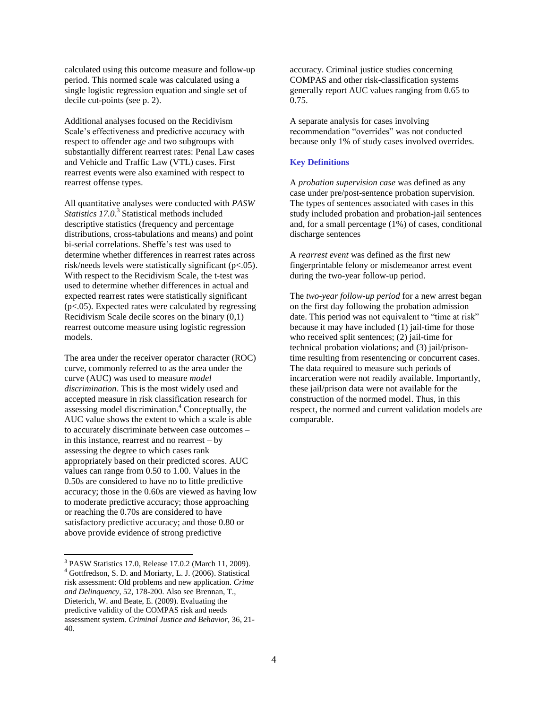calculated using this outcome measure and follow-up period. This normed scale was calculated using a single logistic regression equation and single set of decile cut-points (see p. 2).

Additional analyses focused on the Recidivism Scale's effectiveness and predictive accuracy with respect to offender age and two subgroups with substantially different rearrest rates: Penal Law cases and Vehicle and Traffic Law (VTL) cases. First rearrest events were also examined with respect to rearrest offense types.

All quantitative analyses were conducted with *PASW*  Statistics 17.0.<sup>3</sup> Statistical methods included descriptive statistics (frequency and percentage distributions, cross-tabulations and means) and point bi-serial correlations. Sheffe's test was used to determine whether differences in rearrest rates across risk/needs levels were statistically significant (p<.05). With respect to the Recidivism Scale, the t-test was used to determine whether differences in actual and expected rearrest rates were statistically significant (p<.05). Expected rates were calculated by regressing Recidivism Scale decile scores on the binary (0,1) rearrest outcome measure using logistic regression models.

The area under the receiver operator character (ROC) curve, commonly referred to as the area under the curve (AUC) was used to measure *model discrimination*. This is the most widely used and accepted measure in risk classification research for assessing model discrimination. <sup>4</sup> Conceptually, the AUC value shows the extent to which a scale is able to accurately discriminate between case outcomes – in this instance, rearrest and no rearrest – by assessing the degree to which cases rank appropriately based on their predicted scores. AUC values can range from 0.50 to 1.00. Values in the 0.50s are considered to have no to little predictive accuracy; those in the 0.60s are viewed as having low to moderate predictive accuracy; those approaching or reaching the 0.70s are considered to have satisfactory predictive accuracy; and those 0.80 or above provide evidence of strong predictive

l

accuracy. Criminal justice studies concerning COMPAS and other risk-classification systems generally report AUC values ranging from 0.65 to 0.75.

A separate analysis for cases involving recommendation "overrides" was not conducted because only 1% of study cases involved overrides.

### **Key Definitions**

A *probation supervision case* was defined as any case under pre/post-sentence probation supervision. The types of sentences associated with cases in this study included probation and probation-jail sentences and, for a small percentage (1%) of cases, conditional discharge sentences

A *rearrest event* was defined as the first new fingerprintable felony or misdemeanor arrest event during the two-year follow-up period.

The *two-year follow-up period* for a new arrest began on the first day following the probation admission date. This period was not equivalent to "time at risk" because it may have included (1) jail-time for those who received split sentences; (2) jail-time for technical probation violations; and (3) jail/prisontime resulting from resentencing or concurrent cases. The data required to measure such periods of incarceration were not readily available. Importantly, these jail/prison data were not available for the construction of the normed model. Thus, in this respect, the normed and current validation models are comparable.

<sup>&</sup>lt;sup>3</sup> PASW Statistics 17.0, Release 17.0.2 (March 11, 2009). <sup>4</sup> Gottfredson, S. D. and Moriarty, L. J. (2006). Statistical risk assessment: Old problems and new application. *Crime and Delinquency*, 52, 178-200. Also see Brennan, T., Dieterich, W. and Beate, E. (2009). Evaluating the predictive validity of the COMPAS risk and needs assessment system. *Criminal Justice and Behavior*, 36, 21- 40.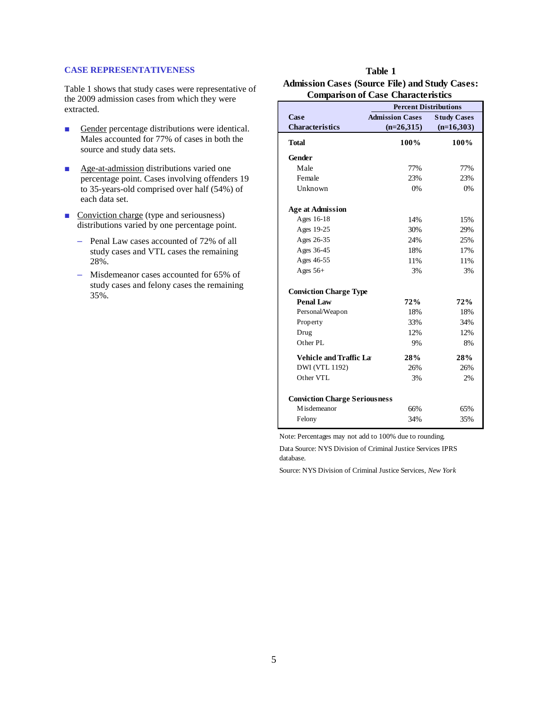### **CASE REPRESENTATIVENESS**

Table 1 shows that study cases were representative of the 2009 admission cases from which they were extracted.

- Gender percentage distributions were identical. Males accounted for 77% of cases in both the source and study data sets.
- Age-at-admission distributions varied one percentage point. Cases involving offenders 19 to 35-years-old comprised over half (54%) of each data set.
- Conviction charge (type and seriousness) distributions varied by one percentage point.
	- Penal Law cases accounted of 72% of all study cases and VTL cases the remaining 28%.
	- Misdemeanor cases accounted for 65% of study cases and felony cases the remaining 35%.

### **Table 1 Admission Cases (Source File) and Study Cases: Comparison of Case Characteristics**

|                                      | <b>Percent Distributions</b> |                    |  |  |  |
|--------------------------------------|------------------------------|--------------------|--|--|--|
| Case                                 | <b>Admission Cases</b>       | <b>Study Cases</b> |  |  |  |
| <b>Characteristics</b>               | $(n=26,315)$                 | $(n=16,303)$       |  |  |  |
| Total                                | 100%                         | 100%               |  |  |  |
| Gender                               |                              |                    |  |  |  |
| Male                                 | 77%                          | 77%                |  |  |  |
| Female                               | 23%                          | 23%                |  |  |  |
| Unknown                              | 0%                           | 0%                 |  |  |  |
| <b>Age at Admission</b>              |                              |                    |  |  |  |
| Ages 16-18                           | 14%                          | 15%                |  |  |  |
| Ages 19-25                           | 30%                          | 29%                |  |  |  |
| Ages 26-35                           | 24%                          | 25%                |  |  |  |
| Ages 36-45                           | 18%                          | 17%                |  |  |  |
| Ages 46-55                           | 11%                          | 11%                |  |  |  |
| Ages $56+$                           | 3%                           | 3%                 |  |  |  |
| <b>Conviction Charge Type</b>        |                              |                    |  |  |  |
| <b>Penal Law</b>                     | 72%                          | 72%                |  |  |  |
| Personal/Weapon                      | 18%                          | 18%                |  |  |  |
| Property                             | 33%                          | 34%                |  |  |  |
| Drug                                 | 12%                          | 12%                |  |  |  |
| Other PL                             | 9%                           | 8%                 |  |  |  |
| <b>Vehicle and Traffic Lat</b>       | 28%                          | 28%                |  |  |  |
| DWI (VTL 1192)                       | 26%                          | 26%                |  |  |  |
| Other VTL                            | 3%                           | 2%                 |  |  |  |
| <b>Conviction Charge Seriousness</b> |                              |                    |  |  |  |
| M is demean or                       | 66%                          | 65%                |  |  |  |
| Felony                               | 34%                          | 35%                |  |  |  |

Note: Percentages may not add to 100% due to rounding.

Data Source: NYS Division of Criminal Justice Services IPRS database.

Source: NYS Division of Criminal Justice Services, *New York*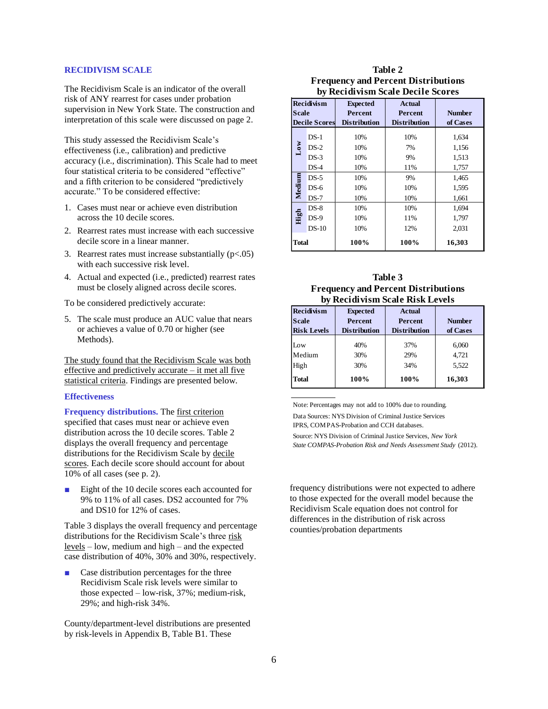### **RECIDIVISM SCALE**

The Recidivism Scale is an indicator of the overall risk of ANY rearrest for cases under probation supervision in New York State. The construction and interpretation of this scale were discussed on page 2.

This study assessed the Recidivism Scale's effectiveness (i.e., calibration) and predictive accuracy (i.e., discrimination). This Scale had to meet four statistical criteria to be considered "effective" and a fifth criterion to be considered "predictively accurate." To be considered effective:

- 1. Cases must near or achieve even distribution across the 10 decile scores.
- 2. Rearrest rates must increase with each successive decile score in a linear manner.
- 3. Rearrest rates must increase substantially  $(p<.05)$ with each successive risk level.
- 4. Actual and expected (i.e., predicted) rearrest rates must be closely aligned across decile scores.

To be considered predictively accurate:

5. The scale must produce an AUC value that nears or achieves a value of 0.70 or higher (see Methods).

The study found that the Recidivism Scale was both effective and predictively accurate – it met all five statistical criteria. Findings are presented below.

### **Effectiveness**

**Frequency distributions.** The first criterion specified that cases must near or achieve even distribution across the 10 decile scores. Table 2 displays the overall frequency and percentage distributions for the Recidivism Scale by decile scores. Each decile score should account for about 10% of all cases (see p. 2).

Eight of the 10 decile scores each accounted for 9% to 11% of all cases. DS2 accounted for 7% and DS10 for 12% of cases.

Table 3 displays the overall frequency and percentage distributions for the Recidivism Scale's three risk levels – low, medium and high – and the expected case distribution of 40%, 30% and 30%, respectively.

■ Case distribution percentages for the three Recidivism Scale risk levels were similar to those expected – low-risk, 37%; medium-risk, 29%; and high-risk 34%.

County/department-level distributions are presented by risk-levels in Appendix B, Table B1. These

| Table 2                                    |
|--------------------------------------------|
| <b>Frequency and Percent Distributions</b> |
| by Recidivism Scale Decile Scores          |

| <b>Recidivism</b><br>Scale<br><b>Decile Scores</b> |                                                 | <b>Expected</b><br><b>Percent</b><br><b>Distribution</b> |                   | <b>Number</b><br>of Cases |  |
|----------------------------------------------------|-------------------------------------------------|----------------------------------------------------------|-------------------|---------------------------|--|
| $DS-1$<br>$DS-2$                                   |                                                 | 10%<br>10%                                               | 10%<br>7%         | 1,634<br>1,156            |  |
| $_{\text{Low}}$                                    | $DS-3$<br>$DS-4$                                | 10%<br>10%                                               | 9%<br>11%         | 1,513<br>1,757            |  |
| Medium                                             | $DS-5$<br>10%<br>$DS-6$<br>10%<br>$DS-7$<br>10% |                                                          | 9%<br>10%<br>10%  | 1,465<br>1,595<br>1,661   |  |
| $DS-8$<br>High<br>$DS-9$<br>$DS-10$                |                                                 | 10%<br>10%<br>10%                                        | 10%<br>11%<br>12% | 1,694<br>1,797<br>2,031   |  |
| Total                                              |                                                 | 100%                                                     | 100%              | 16,303                    |  |

### **Table 3 Frequency and Percent Distributions by Recidivism Scale Risk Levels**

| <b>Recidivism</b><br><b>Scale</b> | <b>Expected</b><br><b>Percent</b> | <b>Actual</b><br><b>Percent</b> | <b>Number</b> |
|-----------------------------------|-----------------------------------|---------------------------------|---------------|
| <b>Risk Levels</b>                | <b>Distribution</b>               | <b>Distribution</b>             | of Cases      |
| Low                               | 40%                               | 37%                             | 6,060         |
| Medium                            | 30%                               | 29%                             | 4,721         |
| High                              | 30%                               | 34%                             | 5,522         |
| <b>Total</b>                      | 100%                              | 100%                            | 16,303        |

Note: Percentages may not add to 100% due to rounding. Data Sources: NYS Division of Criminal Justice Services IPRS, COMPAS-Probation and CCH databases.

Source: NYS Division of Criminal Justice Services, *New York State COMPAS-Probation Risk and Needs Assessment Study* (2012).

frequency distributions were not expected to adhere to those expected for the overall model because the Recidivism Scale equation does not control for differences in the distribution of risk across counties/probation departments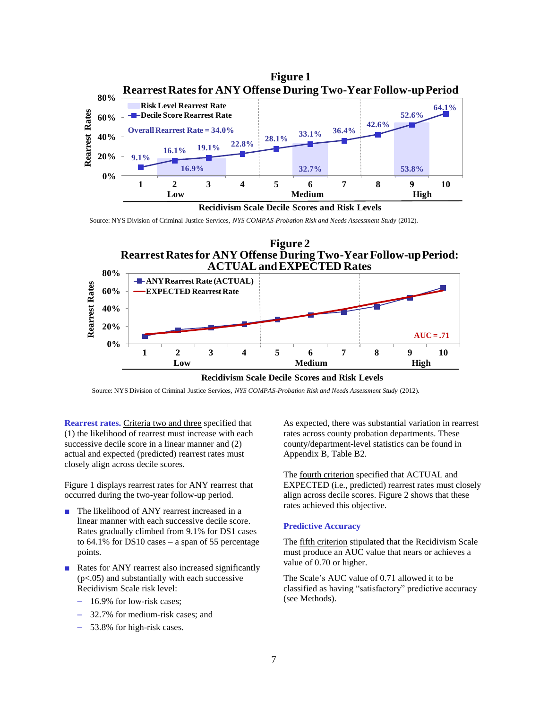

**Recidivism Scale Decile Scores and Risk Levels**

Source: NYS Division of Criminal Justice Services, *NYS COMPAS-Probation Risk and Needs Assessment Study* (2012).





### **Recidivism Scale Decile Scores and Risk Levels**

Source: NYS Division of Criminal Justice Services, *NYS COMPAS-Probation Risk and Needs Assessment Study* (2012).

**Rearrest rates.** Criteria two and three specified that (1) the likelihood of rearrest must increase with each successive decile score in a linear manner and (2) actual and expected (predicted) rearrest rates must closely align across decile scores.

Figure 1 displays rearrest rates for ANY rearrest that occurred during the two-year follow-up period.

- The likelihood of ANY rearrest increased in a linear manner with each successive decile score. Rates gradually climbed from 9.1% for DS1 cases to 64.1% for DS10 cases – a span of 55 percentage points.
- Rates for ANY rearrest also increased significantly  $(p<.05)$  and substantially with each successive Recidivism Scale risk level:
	- 16.9% for low-risk cases;
	- 32.7% for medium-risk cases; and
	- 53.8% for high-risk cases.

As expected, there was substantial variation in rearrest rates across county probation departments. These county/department-level statistics can be found in Appendix B, Table B2.

The fourth criterion specified that ACTUAL and EXPECTED (i.e., predicted) rearrest rates must closely align across decile scores. Figure 2 shows that these rates achieved this objective.

### **Predictive Accuracy**

The fifth criterion stipulated that the Recidivism Scale must produce an AUC value that nears or achieves a value of 0.70 or higher.

The Scale's AUC value of 0.71 allowed it to be classified as having "satisfactory" predictive accuracy (see Methods).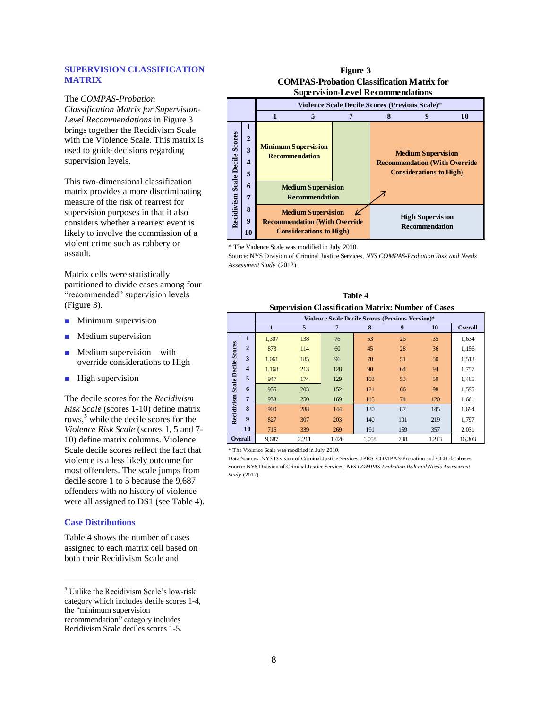### **SUPERVISION CLASSIFICATION MATRIX**

The *COMPAS-Probation Classification Matrix for Supervision-Level Recommendations* in Figure 3 brings together the Recidivism Scale with the Violence Scale. This matrix is used to guide decisions regarding supervision levels.

This two-dimensional classification matrix provides a more discriminating measure of the risk of rearrest for supervision purposes in that it also considers whether a rearrest event is likely to involve the commission of a violent crime such as robbery or assault.

Matrix cells were statistically partitioned to divide cases among four "recommended" supervision levels (Figure 3).

- Minimum supervision
- Medium supervision
- $Median$  with override considerations to High
- High supervision

The decile scores for the *Recidivism Risk Scale* (scores 1-10) define matrix rows,<sup>5</sup> while the decile scores for the *Violence Risk Scale* (scores 1, 5 and 7- 10) define matrix columns. Violence Scale decile scores reflect the fact that violence is a less likely outcome for most offenders. The scale jumps from decile score 1 to 5 because the 9,687 offenders with no history of violence were all assigned to DS1 (see Table 4).

### **Case Distributions**

l

Table 4 shows the number of cases assigned to each matrix cell based on both their Recidivism Scale and

<sup>5</sup> Unlike the Recidivism Scale's low-risk category which includes decile scores 1-4, the "minimum supervision recommendation" category includes Recidivism Scale deciles scores 1-5.

### **Figure 3 COMPAS-Probation Classification Matrix for Supervision-Level Recommendations**



\* The Violence Scale was modified in July 2010.

Source: NYS Division of Criminal Justice Services, *NYS COMPAS-Probation Risk and Needs Assessment Study* (2012).

| Table 4                                                   |
|-----------------------------------------------------------|
| <b>Supervision Classification Matrix: Number of Cases</b> |

|                                                                    | <b>Supervision Classification Matrix: Number of Cases</b> |       |                                                  |     |     |        |     |                |  |
|--------------------------------------------------------------------|-----------------------------------------------------------|-------|--------------------------------------------------|-----|-----|--------|-----|----------------|--|
|                                                                    |                                                           |       | Violence Scale Decile Scores (Previous Version)* |     |     |        |     |                |  |
|                                                                    |                                                           | 1     | 5                                                | 7   | 8   | 9      | 10  | <b>Overall</b> |  |
|                                                                    | $\mathbf{1}$                                              | 1,307 | 138                                              | 76  | 53  | 25     | 35  | 1,634          |  |
|                                                                    | $\overline{2}$                                            | 873   | 114                                              | 60  | 45  | 28     | 36  | 1,156          |  |
|                                                                    | 3                                                         | 1,061 | 185                                              | 96  | 70  | 51     | 50  | 1,513          |  |
|                                                                    | $\overline{\mathbf{4}}$                                   | 1.168 | 213                                              | 128 | 90  | 64     | 94  | 1,757          |  |
|                                                                    | 5                                                         | 947   | 174                                              | 129 | 103 | 53     | 59  | 1,465          |  |
|                                                                    | 6                                                         | 955   | 203                                              | 152 | 121 | 66     | 98  | 1,595          |  |
|                                                                    | $\overline{7}$                                            | 933   | 250                                              | 169 | 115 | 74     | 120 | 1,661          |  |
| Recidivism Scale Decile Scores                                     | 8                                                         | 900   | 288                                              | 144 | 130 | 87     | 145 | 1,694          |  |
|                                                                    | 9                                                         | 827   | 307                                              | 203 | 140 | 101    | 219 | 1,797          |  |
|                                                                    | 10                                                        | 716   | 339                                              | 269 | 191 | 159    | 357 | 2,031          |  |
| <b>Overall</b><br>708<br>9,687<br>2,211<br>1,426<br>1,058<br>1,213 |                                                           |       |                                                  |     |     | 16,303 |     |                |  |

\* The Violence Scale was modified in July 2010.

Data Sources: NYS Division of Criminal Justice Services: IPRS, COMPAS-Probation and CCH databases. Source: NYS Division of Criminal Justice Services, *NYS COMPAS-Probation Risk and Needs Assessment Study* (2012).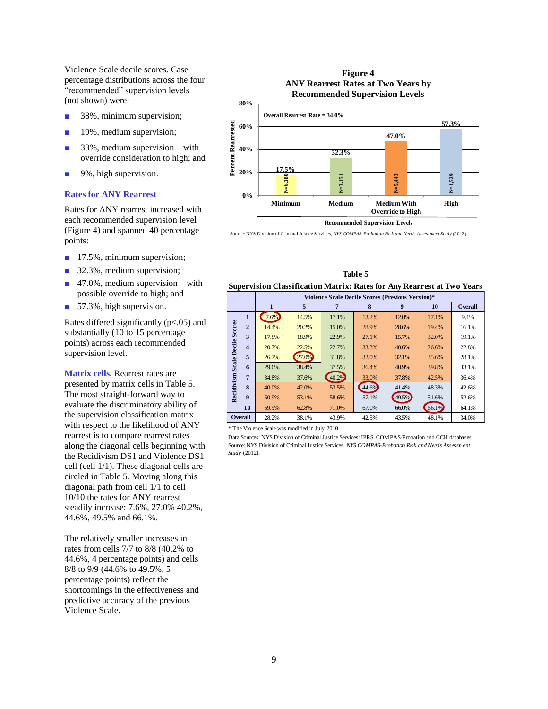Violence Scale decile scores. Case percentage distributions across the four "recommended" supervision levels (not shown) were:

- 38%, minimum supervision;
- 19%, medium supervision;
- 33%, medium supervision with override consideration to high; and
- 9%, high supervision.

### **Rates for ANY Rearrest**

Rates for ANY rearrest increased with each recommended supervision level (Figure 4) and spanned 40 percentage points:

- 17.5%, minimum supervision;
- 32.3%, medium supervision;
- $\blacksquare$  47.0%, medium supervision with possible override to high; and
- 57.3%, high supervision.

Rates differed significantly (p<.05) and substantially (10 to 15 percentage points) across each recommended supervision level.

**Matrix cells.** Rearrest rates are presented by matrix cells in Table 5. The most straight-forward way to evaluate the discriminatory ability of the supervision classification matrix with respect to the likelihood of ANY rearrest is to compare rearrest rates along the diagonal cells beginning with the Recidivism DS1 and Violence DS1 cell (cell 1/1). These diagonal cells are circled in Table 5. Moving along this diagonal path from cell 1/1 to cell 10/10 the rates for ANY rearrest steadily increase: 7.6%, 27.0% 40.2%, 44.6%, 49.5% and 66.1%.

The relatively smaller increases in rates from cells 7/7 to 8/8 (40.2% to 44.6%, 4 percentage points) and cells 8/8 to 9/9 (44.6% to 49.5%, 5 percentage points) reflect the shortcomings in the effectiveness and predictive accuracy of the previous Violence Scale.

### **Figure 4 ANY Rearrest Rates at Two Years by Recommended Supervision Levels**



Source: NYS Division of Criminal Justice Services, *NYS COMPAS-Probation Risk and Needs Assessment Study* (2012)

**Table 5**

| <b>Supervision Classification Matrix: Rates for Any Rearrest at Two Years</b>                      |                         |                                                  |       |       |       |       |                |       |
|----------------------------------------------------------------------------------------------------|-------------------------|--------------------------------------------------|-------|-------|-------|-------|----------------|-------|
|                                                                                                    |                         | Violence Scale Decile Scores (Previous Version)* |       |       |       |       |                |       |
| 5<br>8<br>9<br>7<br>1<br>10                                                                        |                         |                                                  |       |       |       |       | <b>Overall</b> |       |
|                                                                                                    | $\mathbf{1}$            | 7.6%                                             | 14.5% | 17.1% | 13.2% | 12.0% | 17.1%          | 9.1%  |
|                                                                                                    | $\overline{2}$          | 14.4%                                            | 20.2% | 15.0% | 28.9% | 28.6% | 19.4%          | 16.1% |
|                                                                                                    | 3                       | 17.8%                                            | 18.9% | 22.9% | 27.1% | 15.7% | 32.0%          | 19.1% |
|                                                                                                    | $\overline{\mathbf{4}}$ | 20.7%                                            | 22.5% | 22.7% | 33.3% | 40.6% | 26.6%          | 22.8% |
| Recidivism Scale Decile Scores                                                                     | 5                       | 26.7%                                            | 27.0% | 31.8% | 32.0% | 32.1% | 35.6%          | 28.1% |
|                                                                                                    | 6                       | 29.6%                                            | 38.4% | 37.5% | 36.4% | 40.9% | 39.8%          | 33.1% |
|                                                                                                    | $\overline{7}$          | 34.8%                                            | 37.6% | 40.2% | 33.0% | 37.8% | 42.5%          | 36.4% |
|                                                                                                    | 8                       | 40.0%                                            | 42.0% | 53.5% | 44.6% | 41.4% | 48.3%          | 42.6% |
|                                                                                                    | 9                       | 50.9%                                            | 53.1% | 58.6% | 57.1% | 49.5% | 51.6%          | 52.6% |
|                                                                                                    | 10                      | 59.9%                                            | 62.8% | 71.0% | 67.0% | 66.0% | 66.1%          | 64.1% |
|                                                                                                    | <b>Overall</b>          | 28.2%                                            | 38.1% | 43.9% | 42.5% | 43.5% | 48.1%          | 34.0% |
| * The Violence Scale was modified in July 2010.                                                    |                         |                                                  |       |       |       |       |                |       |
| Data Sources: NYS Division of Criminal Justice Services: IPRS, COMPAS-Probation and CCH databases. |                         |                                                  |       |       |       |       |                |       |
| Source: NYS Division of Criminal Justice Services, NYS COMPAS-Probation Risk and Needs Assessment  |                         |                                                  |       |       |       |       |                |       |
| Study (2012).                                                                                      |                         |                                                  |       |       |       |       |                |       |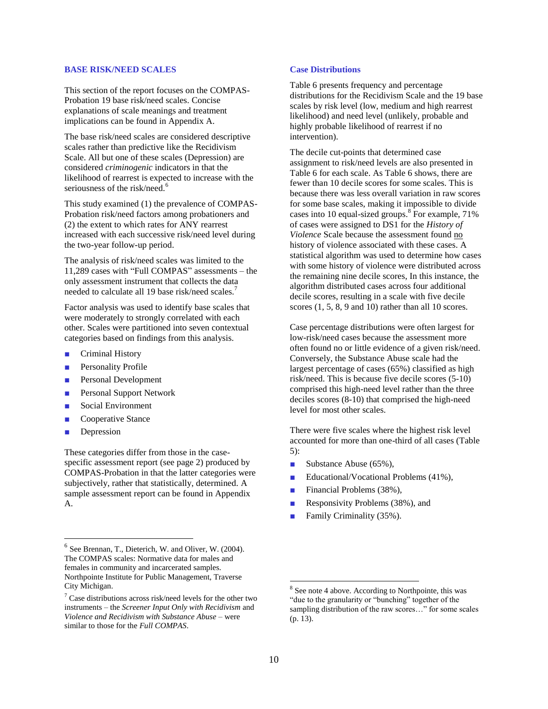### **BASE RISK/NEED SCALES**

This section of the report focuses on the COMPAS-Probation 19 base risk/need scales. Concise explanations of scale meanings and treatment implications can be found in Appendix A.

The base risk/need scales are considered descriptive scales rather than predictive like the Recidivism Scale. All but one of these scales (Depression) are considered *criminogenic* indicators in that the likelihood of rearrest is expected to increase with the seriousness of the risk/need.<sup>6</sup>

This study examined (1) the prevalence of COMPAS-Probation risk/need factors among probationers and (2) the extent to which rates for ANY rearrest increased with each successive risk/need level during the two-year follow-up period.

The analysis of risk/need scales was limited to the 11,289 cases with "Full COMPAS" assessments – the only assessment instrument that collects the data needed to calculate all 19 base risk/need scales.<sup>7</sup>

Factor analysis was used to identify base scales that were moderately to strongly correlated with each other. Scales were partitioned into seven contextual categories based on findings from this analysis.

- Criminal History
- Personality Profile
- Personal Development
- Personal Support Network
- Social Environment
- Cooperative Stance
- Depression

l

These categories differ from those in the casespecific assessment report (see page 2) produced by COMPAS-Probation in that the latter categories were subjectively, rather that statistically, determined. A sample assessment report can be found in Appendix A.

### **Case Distributions**

Table 6 presents frequency and percentage distributions for the Recidivism Scale and the 19 base scales by risk level (low, medium and high rearrest likelihood) and need level (unlikely, probable and highly probable likelihood of rearrest if no intervention).

The decile cut-points that determined case assignment to risk/need levels are also presented in Table 6 for each scale. As Table 6 shows, there are fewer than 10 decile scores for some scales. This is because there was less overall variation in raw scores for some base scales, making it impossible to divide cases into 10 equal-sized groups. 8 For example, 71% of cases were assigned to DS1 for the *History of Violence* Scale because the assessment found no history of violence associated with these cases. A statistical algorithm was used to determine how cases with some history of violence were distributed across the remaining nine decile scores, In this instance, the algorithm distributed cases across four additional decile scores, resulting in a scale with five decile scores  $(1, 5, 8, 9, 10)$  rather than all 10 scores.

Case percentage distributions were often largest for low-risk/need cases because the assessment more often found no or little evidence of a given risk/need. Conversely, the Substance Abuse scale had the largest percentage of cases (65%) classified as high risk/need. This is because five decile scores (5-10) comprised this high-need level rather than the three deciles scores (8-10) that comprised the high-need level for most other scales.

There were five scales where the highest risk level accounted for more than one-third of all cases (Table 5):

- Substance Abuse (65%),
- Educational/Vocational Problems (41%),
- Financial Problems (38%),
- Responsivity Problems (38%), and
- Family Criminality (35%).

l

 $6$  See Brennan, T., Dieterich, W. and Oliver, W. (2004). The COMPAS scales: Normative data for males and females in community and incarcerated samples. Northpointe Institute for Public Management, Traverse City Michigan.

 $\frac{7}{1}$  Case distributions across risk/need levels for the other two instruments – the *Screener Input Only with Recidivism* and *Violence and Recidivism with Substance Abuse –* were similar to those for the *Full COMPAS*.

<sup>&</sup>lt;sup>8</sup> See note 4 above. According to Northpointe, this was "due to the granularity or "bunching" together of the sampling distribution of the raw scores..." for some scales (p. 13).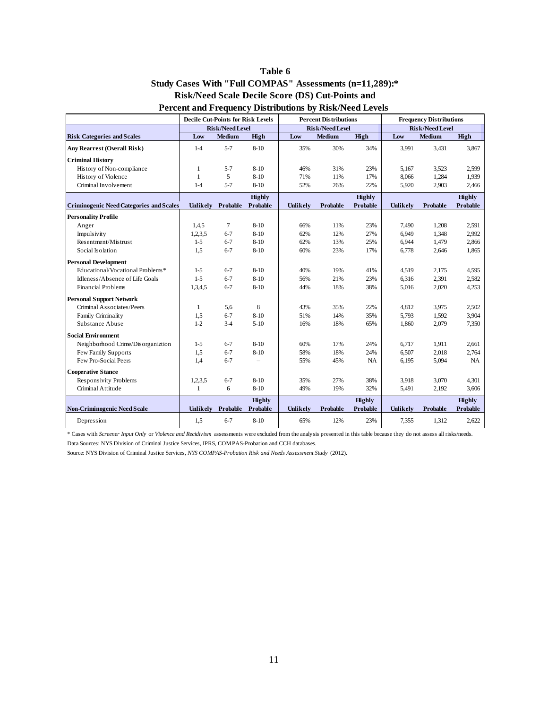### **Study Cases With "Full COMPAS" Assessments (n=11,289):\* Percent and Frequency Distributions by Risk/Need Levels Risk/Need Scale Decile Score (DS) Cut-Points and Table 6**

|                                                                                                                                                                                                                       | <b>Decile Cut-Points for Risk Levels</b> |                        | <b>Percent Distributions</b>     |            |                        | <b>Frequency Distributions</b>   |                        |                 |                                  |
|-----------------------------------------------------------------------------------------------------------------------------------------------------------------------------------------------------------------------|------------------------------------------|------------------------|----------------------------------|------------|------------------------|----------------------------------|------------------------|-----------------|----------------------------------|
|                                                                                                                                                                                                                       |                                          | <b>Risk/Need Level</b> |                                  |            | <b>Risk/Need Level</b> |                                  | <b>Risk/Need Level</b> |                 |                                  |
| <b>Risk Categories and Scales</b>                                                                                                                                                                                     | Low                                      | <b>Medium</b>          | High                             | Low        | Medium                 | High                             | Low                    | Medium          | High                             |
| <b>Any Rearrest (Overall Risk)</b>                                                                                                                                                                                    | $1-4$                                    | $5 - 7$                | $8 - 10$                         | 35%        | 30%                    | 34%                              | 3,991                  | 3,431           | 3,867                            |
| <b>Criminal History</b>                                                                                                                                                                                               |                                          |                        |                                  |            |                        |                                  |                        |                 |                                  |
| History of Non-compliance                                                                                                                                                                                             | $\mathbf{1}$                             | $5 - 7$                | $8 - 10$                         | 46%        | 31%                    | 23%                              | 5,167                  | 3,523           | 2,599                            |
| History of Violence                                                                                                                                                                                                   | $\mathbf{1}$                             | 5                      | $8 - 10$                         | 71%        | 11%                    | 17%                              | 8,066                  | 1,284           | 1,939                            |
| Criminal Involvement                                                                                                                                                                                                  | $1 - 4$                                  | $5 - 7$                | $8 - 10$                         | 52%        | 26%                    | 22%                              | 5,920                  | 2,903           | 2,466                            |
|                                                                                                                                                                                                                       |                                          |                        | <b>Highly</b>                    |            |                        | <b>Highly</b>                    |                        |                 | <b>Highly</b>                    |
| <b>Criminogenic Need Categories and Scales</b>                                                                                                                                                                        | Unlikely                                 | Probable               | <b>Probable</b>                  | Unlikely   | <b>Probable</b>        | <b>Probable</b>                  | Unlikely               | <b>Probable</b> | <b>Probable</b>                  |
| <b>Personality Profile</b>                                                                                                                                                                                            |                                          |                        |                                  |            |                        |                                  |                        |                 |                                  |
| Anger                                                                                                                                                                                                                 | 1,4,5                                    | $\tau$                 | $8 - 10$                         | 66%        | 11%                    | 23%                              | 7,490                  | 1,208           | 2,591                            |
| Impulsivity                                                                                                                                                                                                           | 1,2,3,5                                  | $6 - 7$                | $8 - 10$                         | 62%        | 12%                    | 27%                              | 6,949                  | 1,348           | 2,992                            |
| Resentment/Mistrust                                                                                                                                                                                                   | $1-5$                                    | $6 - 7$                | $8 - 10$                         | 62%        | 13%                    | 25%                              | 6,944                  | 1,479           | 2,866                            |
| Social Isolation                                                                                                                                                                                                      | 1,5                                      | $6 - 7$                | $8 - 10$                         | 60%        | 23%                    | 17%                              | 6,778                  | 2,646           | 1,865                            |
| <b>Personal Development</b>                                                                                                                                                                                           |                                          |                        |                                  |            |                        |                                  |                        |                 |                                  |
| Educational/Vocational Problems*                                                                                                                                                                                      | $1-5$                                    | $6 - 7$                | $8 - 10$                         | 40%        | 19%                    | 41%                              | 4,519                  | 2,175           | 4,595                            |
| Idleness/Absence of Life Goals<br><b>Financial Problems</b>                                                                                                                                                           | $1-5$                                    | $6 - 7$<br>$6 - 7$     | $8 - 10$                         | 56%        | 21%<br>18%             | 23%                              | 6,316                  | 2,391           | 2,582                            |
|                                                                                                                                                                                                                       | 1,3,4,5                                  |                        | $8 - 10$                         | 44%        |                        | 38%                              | 5,016                  | 2,020           | 4,253                            |
| <b>Personal Support Network</b>                                                                                                                                                                                       |                                          |                        |                                  |            |                        |                                  |                        |                 |                                  |
| Criminal Associates/Peers                                                                                                                                                                                             | $\mathbf{1}$                             | 5,6                    | 8                                | 43%        | 35%                    | 22%                              | 4,812                  | 3,975           | 2,502                            |
| Family Criminality                                                                                                                                                                                                    | 1,5<br>$1 - 2$                           | $6 - 7$<br>$3-4$       | $8 - 10$                         | 51%        | 14%                    | 35%                              | 5,793                  | 1,592           | 3,904                            |
| Substance Abuse                                                                                                                                                                                                       |                                          |                        | $5-10$                           | 16%        | 18%                    | 65%                              | 1,860                  | 2,079           | 7,350                            |
| <b>Social Environment</b>                                                                                                                                                                                             |                                          |                        |                                  |            |                        |                                  |                        |                 |                                  |
| Neighborhood Crime/Disorganiztion                                                                                                                                                                                     | $1-5$                                    | $6 - 7$                | $8 - 10$                         | 60%        | 17%                    | 24%                              | 6,717                  | 1,911           | 2,661                            |
| Few Family Supports<br>Few Pro-Social Peers                                                                                                                                                                           | 1,5<br>1,4                               | $6 - 7$<br>$6 - 7$     | $8 - 10$<br>$\qquad \qquad -$    | 58%<br>55% | 18%<br>45%             | 24%<br>NA                        | 6,507<br>6,195         | 2,018<br>5,094  | 2,764<br><b>NA</b>               |
|                                                                                                                                                                                                                       |                                          |                        |                                  |            |                        |                                  |                        |                 |                                  |
| <b>Cooperative Stance</b>                                                                                                                                                                                             |                                          |                        |                                  |            |                        |                                  |                        |                 |                                  |
| Responsivity Problems<br>Criminal Attitude                                                                                                                                                                            | 1,2,3,5<br>1                             | $6 - 7$<br>6           | $8-10$<br>$8 - 10$               | 35%<br>49% | 27%<br>19%             | 38%<br>32%                       | 3,918<br>5,491         | 3,070<br>2,192  | 4,301<br>3,606                   |
|                                                                                                                                                                                                                       |                                          |                        |                                  |            |                        |                                  |                        |                 |                                  |
| <b>Non-Criminogenic Need Scale</b>                                                                                                                                                                                    | Unlikely                                 | <b>Probable</b>        | <b>Highly</b><br><b>Probable</b> | Unlikely   | <b>Probable</b>        | <b>Highly</b><br><b>Probable</b> | Unlikely               | <b>Probable</b> | <b>Highly</b><br><b>Probable</b> |
| Depression                                                                                                                                                                                                            | 1,5                                      | $6 - 7$                | $8 - 10$                         | 65%        | 12%                    | 23%                              | 7,355                  | 1,312           | 2,622                            |
| * Cases with Screener Input Only or Violence and Recidivism assessments were excluded from the analysis presented in this table because they do not assess all risks/needs.                                           |                                          |                        |                                  |            |                        |                                  |                        |                 |                                  |
| Data Sources: NYS Division of Criminal Justice Services, IPRS, COMPAS-Probation and CCH databases.<br>Source: NYS Division of Criminal Justice Services, NYS COMPAS-Probation Risk and Needs Assessment Study (2012). |                                          |                        |                                  |            |                        |                                  |                        |                 |                                  |
|                                                                                                                                                                                                                       |                                          |                        |                                  |            |                        |                                  |                        |                 |                                  |
|                                                                                                                                                                                                                       |                                          |                        |                                  |            |                        |                                  |                        |                 |                                  |
|                                                                                                                                                                                                                       |                                          |                        |                                  |            |                        |                                  |                        |                 |                                  |
|                                                                                                                                                                                                                       |                                          |                        |                                  |            |                        |                                  |                        |                 |                                  |
|                                                                                                                                                                                                                       |                                          |                        |                                  |            |                        |                                  |                        |                 |                                  |
|                                                                                                                                                                                                                       |                                          |                        |                                  |            |                        |                                  |                        |                 |                                  |
|                                                                                                                                                                                                                       |                                          |                        |                                  |            |                        |                                  |                        |                 |                                  |
|                                                                                                                                                                                                                       |                                          |                        |                                  |            |                        |                                  |                        |                 |                                  |

 $\sim$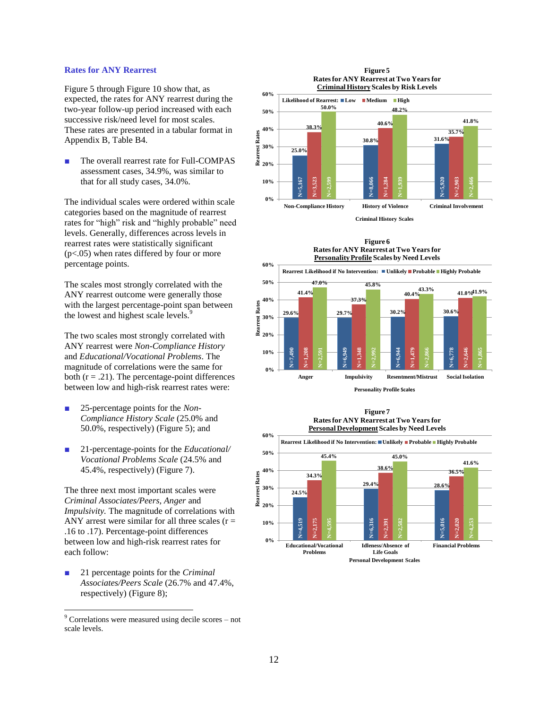### **Rates for ANY Rearrest**

Figure 5 through Figure 10 show that, as expected, the rates for ANY rearrest during the two-year follow-up period increased with each successive risk/need level for most scales. These rates are presented in a tabular format in Appendix B, Table B4.

The overall rearrest rate for Full-COMPAS assessment cases, 34.9%, was similar to that for all study cases, 34.0%.

The individual scales were ordered within scale categories based on the magnitude of rearrest rates for "high" risk and "highly probable" need levels. Generally, differences across levels in rearrest rates were statistically significant (p<.05) when rates differed by four or more percentage points.

The scales most strongly correlated with the ANY rearrest outcome were generally those with the largest percentage-point span between the lowest and highest scale levels.<sup>9</sup>

The two scales most strongly correlated with ANY rearrest were *Non-Compliance History* and *Educational/Vocational Problems*. The magnitude of correlations were the same for both  $(r = .21)$ . The percentage-point differences between low and high-risk rearrest rates were:

- 25-percentage points for the *Non*-*Compliance History Scale* (25.0% and 50.0%, respectively) (Figure 5); and
- 21-percentage-points for the *Educational/ Vocational Problems Scale* (24.5% and 45.4%, respectively) (Figure 7).

The three next most important scales were *Criminal Associates/Peers, Anger* and *Impulsivity.* The magnitude of correlations with ANY arrest were similar for all three scales ( $r =$ .16 to .17). Percentage-point differences between low and high-risk rearrest rates for each follow:

■ 21 percentage points for the *Criminal Associates/Peers Scale* (26.7% and 47.4%, respectively) (Figure 8);

 $\overline{a}$ 

#### **Figure 5 Rates for ANY Rearrest at Two Years for Criminal HistoryScales by Risk Levels**











**60%**

 $9$  Correlations were measured using decile scores  $-$  not scale levels.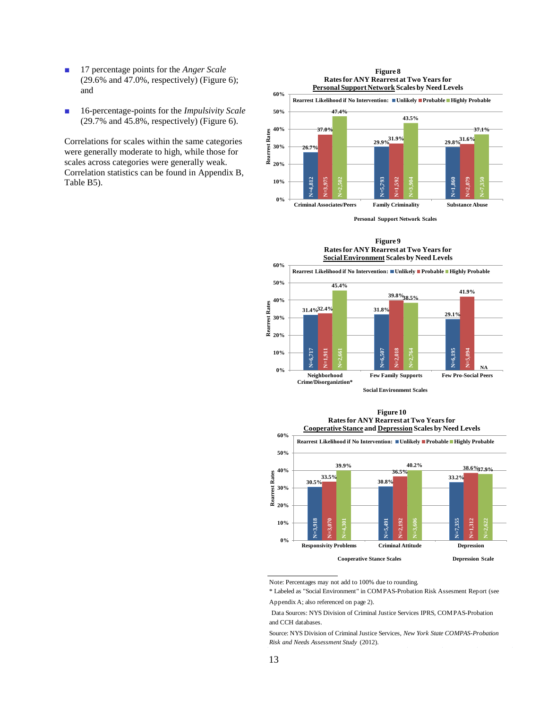- 17 percentage points for the *Anger Scale*  $(29.6\%$  and  $47.0\%$ , respectively) (Figure 6); and
- 16-percentage-points for the *Impulsivity Scale* (29.7% and 45.8%, respectively) (Figure 6).

Correlations for scales within the same categories were generally moderate to high, while those for scales across categories were generally weak. Correlation statistics can be found in Appendix B, Table B5).



**Personal Support Network Scales**

**Figure 9 Rates for ANY Rearrest at Two Years for** 



**Social Environment Scales**





Note: Percentages may not add to 100% due to rounding.

\* Labeled as "Social Environment" in COMPAS-Probation Risk Assesment Report (see Appendix A; also referenced on page 2).

and CCH databases. Data Sources: NYS Division of Criminal Justice Services IPRS, COMPAS-Probation

Source: NYS Division of Criminal Justice Services, *New York State COMPAS-Probation Risk and Needs Assessment Study* (2012).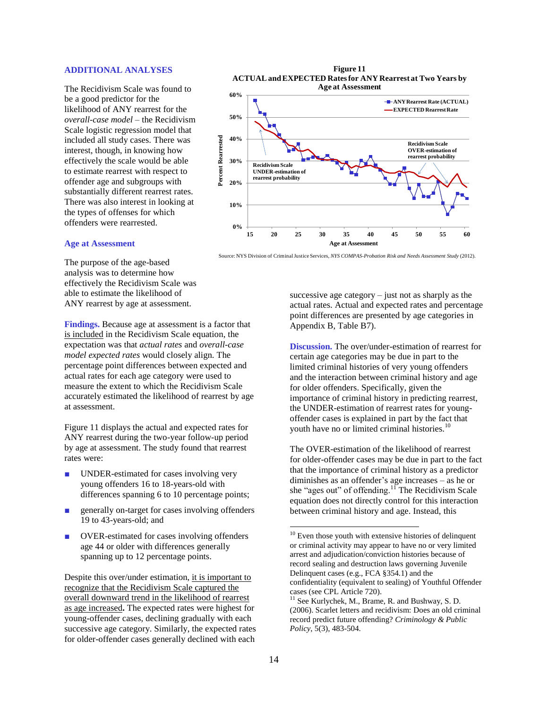### **ADDITIONAL ANALYSES**

The Recidivism Scale was found to be a good predictor for the likelihood of ANY rearrest for the *overall-case model* – the Recidivism Scale logistic regression model that included all study cases. There was interest, though, in knowing how effectively the scale would be able to estimate rearrest with respect to offender age and subgroups with substantially different rearrest rates. There was also interest in looking at the types of offenses for which offenders were rearrested.



### **Age at Assessment**

The purpose of the age-based analysis was to determine how effectively the Recidivism Scale was able to estimate the likelihood of ANY rearrest by age at assessment.

**Findings.** Because age at assessment is a factor that is included in the Recidivism Scale equation, the expectation was that *actual rates* and *overall-case model expected rates* would closely align. The percentage point differences between expected and actual rates for each age category were used to measure the extent to which the Recidivism Scale accurately estimated the likelihood of rearrest by age at assessment.

Figure 11 displays the actual and expected rates for ANY rearrest during the two-year follow-up period by age at assessment. The study found that rearrest rates were:

- UNDER-estimated for cases involving very young offenders 16 to 18-years-old with differences spanning 6 to 10 percentage points;
- generally on-target for cases involving offenders 19 to 43-years-old; and
- OVER-estimated for cases involving offenders age 44 or older with differences generally spanning up to 12 percentage points.

Despite this over/under estimation, it is important to recognize that the Recidivism Scale captured the overall downward trend in the likelihood of rearrest as age increased**.** The expected rates were highest for young-offender cases, declining gradually with each successive age category. Similarly, the expected rates for older-offender cases generally declined with each

successive age category  $-$  just not as sharply as the

**Age at Assessment**

Source: NYS Division of Criminal Justice Services, *NYS COMPAS-Probation Risk and Needs Assessment Study* (2012).

actual rates. Actual and expected rates and percentage point differences are presented by age categories in Appendix B, Table B7).

**Discussion.** The over/under-estimation of rearrest for certain age categories may be due in part to the limited criminal histories of very young offenders and the interaction between criminal history and age for older offenders. Specifically, given the importance of criminal history in predicting rearrest, the UNDER-estimation of rearrest rates for youngoffender cases is explained in part by the fact that youth have no or limited criminal histories.<sup>10</sup>

The OVER-estimation of the likelihood of rearrest for older-offender cases may be due in part to the fact that the importance of criminal history as a predictor diminishes as an offender's age increases – as he or she "ages out" of offending.<sup>11</sup> The Recidivism Scale equation does not directly control for this interaction between criminal history and age. Instead, this

l

 $10$  Even those youth with extensive histories of delinquent or criminal activity may appear to have no or very limited arrest and adjudication/conviction histories because of record sealing and destruction laws governing Juvenile Delinquent cases (e.g., FCA §354.1) and the confidentiality (equivalent to sealing) of Youthful Offender cases (see CPL Article 720).

 $11$  See Kurlychek, M., Brame, R. and Bushway, S. D. (2006). Scarlet letters and recidivism: Does an old criminal record predict future offending? *Criminology & Public Policy*, 5(3), 483-504.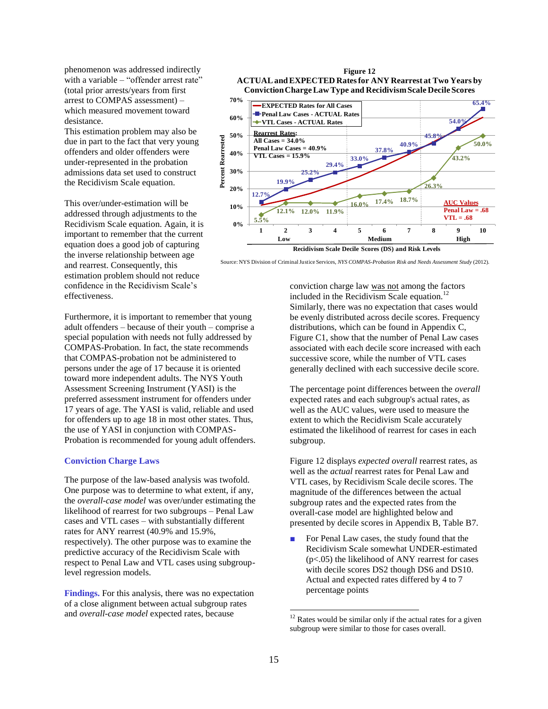phenomenon was addressed indirectly with a variable – "offender arrest rate" (total prior arrests/years from first arrest to COMPAS assessment) – which measured movement toward desistance.

This estimation problem may also be due in part to the fact that very young offenders and older offenders were under-represented in the probation admissions data set used to construct the Recidivism Scale equation.

This over/under-estimation will be addressed through adjustments to the Recidivism Scale equation. Again, it is important to remember that the current equation does a good job of capturing the inverse relationship between age and rearrest. Consequently, this estimation problem should not reduce confidence in the Recidivism Scale's effectiveness.

Furthermore, it is important to remember that young adult offenders – because of their youth – comprise a special population with needs not fully addressed by COMPAS-Probation. In fact, the state recommends that COMPAS-probation not be administered to persons under the age of 17 because it is oriented toward more independent adults. The NYS Youth Assessment Screening Instrument (YASI) is the preferred assessment instrument for offenders under 17 years of age. The YASI is valid, reliable and used for offenders up to age 18 in most other states. Thus, the use of YASI in conjunction with COMPAS-Probation is recommended for young adult offenders.

### **Conviction Charge Laws**

The purpose of the law-based analysis was twofold. One purpose was to determine to what extent, if any, the *overall-case model* was over/under estimating the likelihood of rearrest for two subgroups – Penal Law cases and VTL cases – with substantially different rates for ANY rearrest (40.9% and 15.9%, respectively). The other purpose was to examine the predictive accuracy of the Recidivism Scale with respect to Penal Law and VTL cases using subgrouplevel regression models.

**Findings.** For this analysis, there was no expectation of a close alignment between actual subgroup rates and *overall-case model* expected rates, because



Source: NYS Division of Criminal Justice Services, *NYS COMPAS-Probation Risk and Needs Assessment Study* (2012).

conviction charge law was not among the factors included in the Recidivism Scale equation.<sup>12</sup> Similarly, there was no expectation that cases would be evenly distributed across decile scores. Frequency distributions, which can be found in Appendix C, Figure C1, show that the number of Penal Law cases associated with each decile score increased with each successive score, while the number of VTL cases generally declined with each successive decile score.

The percentage point differences between the *overall* expected rates and each subgroup's actual rates, as well as the AUC values, were used to measure the extent to which the Recidivism Scale accurately estimated the likelihood of rearrest for cases in each subgroup.

Figure 12 displays *expected overall* rearrest rates, as well as the *actual* rearrest rates for Penal Law and VTL cases, by Recidivism Scale decile scores. The magnitude of the differences between the actual subgroup rates and the expected rates from the overall-case model are highlighted below and presented by decile scores in Appendix B, Table B7.

For Penal Law cases, the study found that the Recidivism Scale somewhat UNDER-estimated (p<.05) the likelihood of ANY rearrest for cases with decile scores DS2 though DS6 and DS10. Actual and expected rates differed by 4 to 7 percentage points

 $\overline{a}$ 

<sup>&</sup>lt;sup>12</sup> Rates would be similar only if the actual rates for a given subgroup were similar to those for cases overall.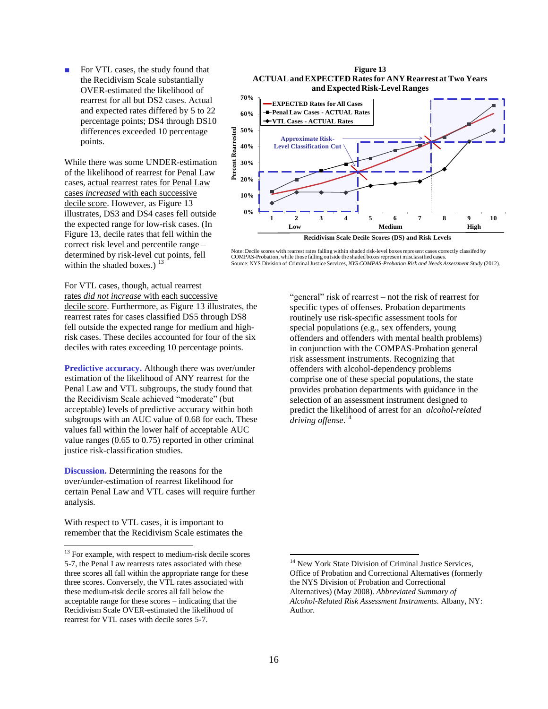■ For VTL cases, the study found that the Recidivism Scale substantially OVER-estimated the likelihood of rearrest for all but DS2 cases. Actual and expected rates differed by 5 to 22 percentage points; DS4 through DS10 differences exceeded 10 percentage points.

While there was some UNDER-estimation of the likelihood of rearrest for Penal Law cases, actual rearrest rates for Penal Law cases *increased* with each successive decile score. However, as Figure 13 illustrates, DS3 and DS4 cases fell outside the expected range for low-risk cases. (In Figure 13, decile rates that fell within the correct risk level and percentile range – determined by risk-level cut points, fell within the shaded boxes.)  $13$ 

### **Figure 13 ACTUALand EXPECTED Rates for ANY Rearrest at Two Years and Expected Risk-Level Ranges**



Note: Decile scores with rearrest rates falling within shaded risk-level boxes represent cases correctly classifed by COMPAS-Probation, while those falling outside the shaded boxes represent misclassified cases. Source: NYS Division of Criminal Justice Services, *NYS COMPAS-Probation Risk and Needs Assessment Study* (2012).

### For VTL cases, though, actual rearrest rates *did not increase* with each successive

decile score. Furthermore, as Figure 13 illustrates, the rearrest rates for cases classified DS5 through DS8 fell outside the expected range for medium and highrisk cases. These deciles accounted for four of the six deciles with rates exceeding 10 percentage points.

**Predictive accuracy.** Although there was over/under estimation of the likelihood of ANY rearrest for the Penal Law and VTL subgroups, the study found that the Recidivism Scale achieved "moderate" (but acceptable) levels of predictive accuracy within both subgroups with an AUC value of 0.68 for each. These values fall within the lower half of acceptable AUC value ranges (0.65 to 0.75) reported in other criminal justice risk-classification studies.

**Discussion.** Determining the reasons for the over/under-estimation of rearrest likelihood for certain Penal Law and VTL cases will require further analysis.

With respect to VTL cases, it is important to remember that the Recidivism Scale estimates the

l

"general" risk of rearrest – not the risk of rearrest for specific types of offenses. Probation departments routinely use risk-specific assessment tools for special populations (e.g., sex offenders, young offenders and offenders with mental health problems) in conjunction with the COMPAS-Probation general risk assessment instruments. Recognizing that offenders with alcohol-dependency problems comprise one of these special populations, the state provides probation departments with guidance in the selection of an assessment instrument designed to predict the likelihood of arrest for an *alcohol-related driving offense*. 14

 $\overline{\phantom{a}}$ 

<sup>&</sup>lt;sup>13</sup> For example, with respect to medium-risk decile scores 5-7, the Penal Law rearrests rates associated with these three scores all fall within the appropriate range for these three scores. Conversely, the VTL rates associated with these medium-risk decile scores all fall below the acceptable range for these scores – indicating that the Recidivism Scale OVER-estimated the likelihood of rearrest for VTL cases with decile sores 5-7.

<sup>&</sup>lt;sup>14</sup> New York State Division of Criminal Justice Services, Office of Probation and Correctional Alternatives (formerly the NYS Division of Probation and Correctional Alternatives) (May 2008). *Abbreviated Summary of Alcohol-Related Risk Assessment Instruments.* Albany, NY: Author.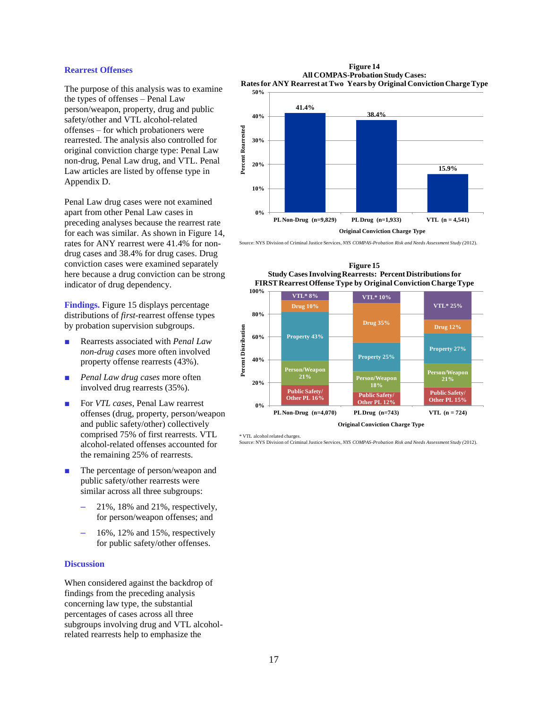### **Rearrest Offenses**

The purpose of this analysis was to examine the types of offenses – Penal Law person/weapon, property, drug and public safety/other and VTL alcohol-related offenses – for which probationers were rearrested. The analysis also controlled for original conviction charge type: Penal Law non-drug, Penal Law drug, and VTL. Penal Law articles are listed by offense type in Appendix D.

Penal Law drug cases were not examined apart from other Penal Law cases in preceding analyses because the rearrest rate for each was similar. As shown in Figure 14, rates for ANY rearrest were 41.4% for nondrug cases and 38.4% for drug cases. Drug conviction cases were examined separately here because a drug conviction can be strong indicator of drug dependency.

**Findings.** Figure 15 displays percentage distributions of *first-*rearrest offense types by probation supervision subgroups.

- Rearrests associated with *Penal Law non-drug cases* more often involved property offense rearrests (43%).
- Penal Law drug cases more often involved drug rearrests (35%).
- For *VTL cases*, Penal Law rearrest offenses (drug, property, person/weapon and public safety/other) collectively comprised 75% of first rearrests. VTL alcohol-related offenses accounted for the remaining 25% of rearrests.
- The percentage of person/weapon and public safety/other rearrests were similar across all three subgroups:
	- 21%, 18% and 21%, respectively, for person/weapon offenses; and
	- 16%, 12% and 15%, respectively for public safety/other offenses.

### **Discussion**

When considered against the backdrop of findings from the preceding analysis concerning law type, the substantial percentages of cases across all three subgroups involving drug and VTL alcoholrelated rearrests help to emphasize the

**Figure 14 All COMPAS-Probation Study Cases: Rates for ANY Rearrest at Two Years by Original Conviction Charge Type**



Source: NYS Division of Criminal Justice Services, *NYS COMPAS-Probation Risk and Needs Assessment Study (*2012).



**Figure 15 Study Cases Involving Rearrests: Percent Distributions for** 

\* VTL alcohol related charges. Source: NYS Division of Criminal Justice Services, *NYS COMPAS-Probation Risk and Needs Assessment Study (*2012).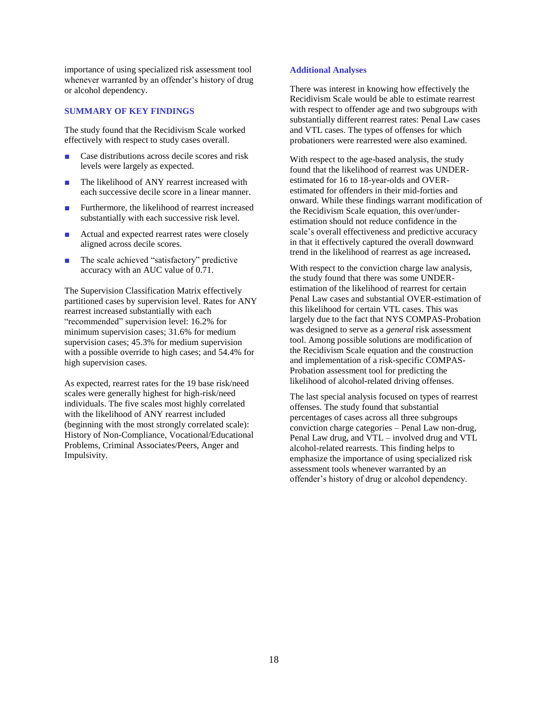importance of using specialized risk assessment tool whenever warranted by an offender's history of drug or alcohol dependency.

### **SUMMARY OF KEY FINDINGS**

The study found that the Recidivism Scale worked effectively with respect to study cases overall.

- Case distributions across decile scores and risk levels were largely as expected.
- The likelihood of ANY rearrest increased with each successive decile score in a linear manner.
- Furthermore, the likelihood of rearrest increased substantially with each successive risk level.
- Actual and expected rearrest rates were closely aligned across decile scores.
- The scale achieved "satisfactory" predictive accuracy with an AUC value of 0.71.

The Supervision Classification Matrix effectively partitioned cases by supervision level. Rates for ANY rearrest increased substantially with each "recommended" supervision level: 16.2% for minimum supervision cases; 31.6% for medium supervision cases; 45.3% for medium supervision with a possible override to high cases; and 54.4% for high supervision cases.

As expected, rearrest rates for the 19 base risk/need scales were generally highest for high-risk/need individuals. The five scales most highly correlated with the likelihood of ANY rearrest included (beginning with the most strongly correlated scale): History of Non-Compliance, Vocational/Educational Problems, Criminal Associates/Peers, Anger and Impulsivity.

### **Additional Analyses**

There was interest in knowing how effectively the Recidivism Scale would be able to estimate rearrest with respect to offender age and two subgroups with substantially different rearrest rates: Penal Law cases and VTL cases. The types of offenses for which probationers were rearrested were also examined.

With respect to the age-based analysis, the study found that the likelihood of rearrest was UNDERestimated for 16 to 18-year-olds and OVERestimated for offenders in their mid-forties and onward. While these findings warrant modification of the Recidivism Scale equation, this over/underestimation should not reduce confidence in the scale's overall effectiveness and predictive accuracy in that it effectively captured the overall downward trend in the likelihood of rearrest as age increased**.**

With respect to the conviction charge law analysis, the study found that there was some UNDERestimation of the likelihood of rearrest for certain Penal Law cases and substantial OVER-estimation of this likelihood for certain VTL cases. This was largely due to the fact that NYS COMPAS-Probation was designed to serve as a *general* risk assessment tool. Among possible solutions are modification of the Recidivism Scale equation and the construction and implementation of a risk-specific COMPAS-Probation assessment tool for predicting the likelihood of alcohol-related driving offenses.

The last special analysis focused on types of rearrest offenses. The study found that substantial percentages of cases across all three subgroups conviction charge categories – Penal Law non-drug, Penal Law drug, and VTL – involved drug and VTL alcohol-related rearrests. This finding helps to emphasize the importance of using specialized risk assessment tools whenever warranted by an offender's history of drug or alcohol dependency.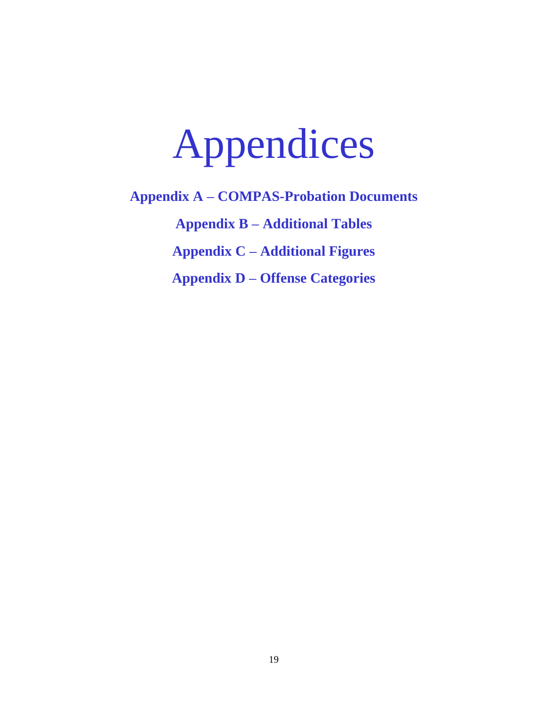# Appendices

**Appendix A – COMPAS-Probation Documents Appendix B – Additional Tables Appendix C – Additional Figures Appendix D – Offense Categories**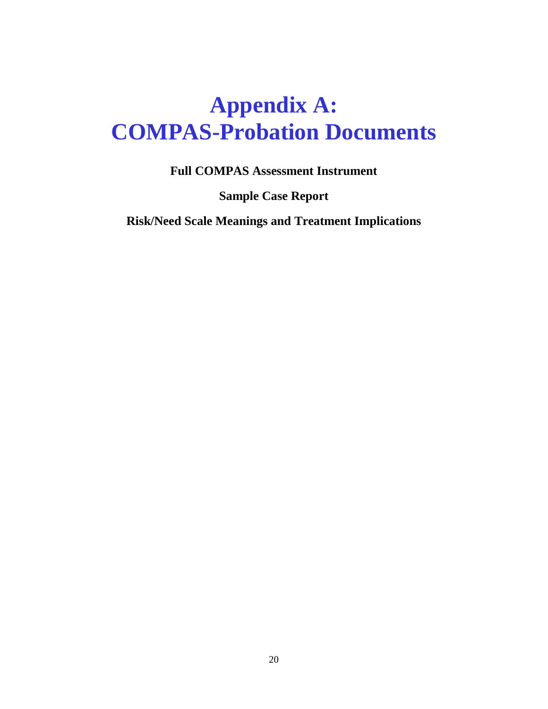# **Appendix A: COMPAS-Probation Documents**

**Full COMPAS Assessment Instrument**

**Sample Case Report**

**Risk/Need Scale Meanings and Treatment Implications**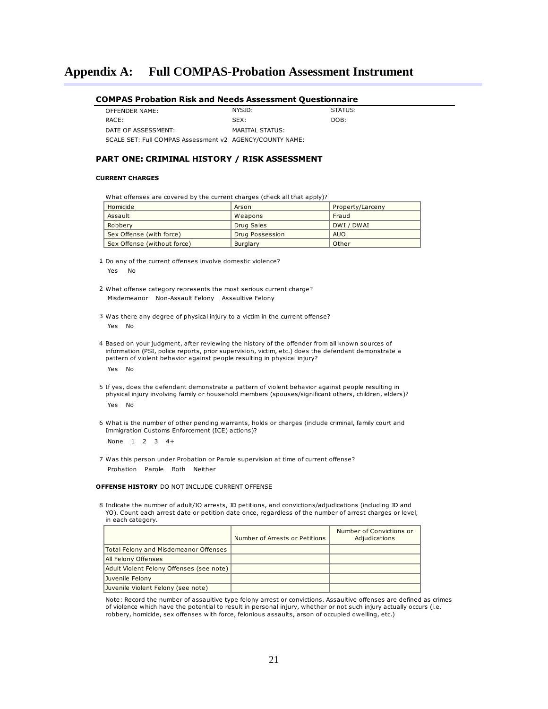| COMPAS Probation Risk and Needs Assessment Questionnaire |  |  |  |  |
|----------------------------------------------------------|--|--|--|--|
|----------------------------------------------------------|--|--|--|--|

| OFFENDER NAME:                                           | NYSID:          | STATUS: |
|----------------------------------------------------------|-----------------|---------|
| RACE:                                                    | SFX:            | DOB:    |
| DATE OF ASSESSMENT:                                      | MARITAL STATUS: |         |
| SCALE SET: Full COMPAS Assessment v2 AGENCY/COUNTY NAME: |                 |         |

### **PART ONE: CRIMINAL HISTORY / RISK ASSESSMENT**

### **CURRENT CHARGES**

What offenses are covered by the current charges (check all that apply)?

| Homicide                    | Arson           | Property/Larceny |
|-----------------------------|-----------------|------------------|
| Assault                     | Weapons         | Fraud            |
| Robbery                     | Drug Sales      | DWI / DWAI       |
| Sex Offense (with force)    | Drug Possession | <b>AUO</b>       |
| Sex Offense (without force) | Burglary        | Other            |

1 Do any of the current offenses involve domestic violence? Yes No

2 What offense category represents the most serious current charge? Misdemeanor Non-Assault Felony Assaultive Felony

3 Was there any degree of physical injury to a victim in the current offense? Yes No

4 Based on your judgment, after reviewing the history of the offender from all known sources of information (PSI, police reports, prior supervision, victim, etc.) does the defendant demonstrate a pattern of violent behavior against people resulting in physical injury? Yes No

5 If yes, does the defendant demonstrate a pattern of violent behavior against people resulting in physical injury involving family or household members (spouses/significant others, children, elders)?

Yes No

6 What is the number of other pending warrants, holds or charges (include criminal, family court and Immigration Customs Enforcement (ICE) actions)?

None 1 2 3 4+

7 Was this person under Probation or Parole supervision at time of current offense? Probation Parole Both Neither

### **OFFENSE HISTORY** DO NOT INCLUDE CURRENT OFFENSE

8 Indicate the number of adult/JO arrests, JD petitions, and convictions/adjudications (including JD and YO). Count each arrest date or petition date once, regardless of the number of arrest charges or level, in each category.

|                                          | Number of Arrests or Petitions | Number of Convictions or<br>Adjudications |
|------------------------------------------|--------------------------------|-------------------------------------------|
| Total Felony and Misdemeanor Offenses    |                                |                                           |
| All Felony Offenses                      |                                |                                           |
| Adult Violent Felony Offenses (see note) |                                |                                           |
| Juvenile Felony                          |                                |                                           |
| Juvenile Violent Felony (see note)       |                                |                                           |

Note: Record the number of assaultive type felony arrest or convictions. Assaultive offenses are defined as crimes of violence which have the potential to result in personal injury, whether or not such injury actually occurs (i.e. robbery, homicide, sex offenses with force, felonious assaults, arson of occupied dwelling, etc.)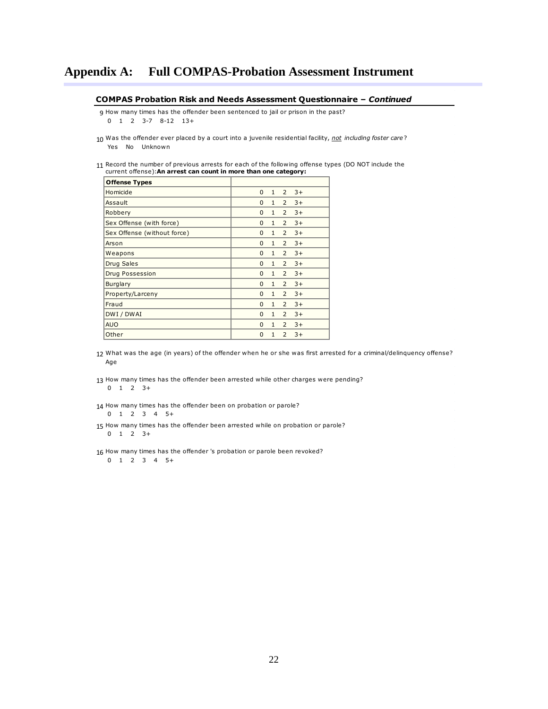#### **COMPAS Probation Risk and Needs Assessment Questionnaire –** *Continued*

9 How many times has the offender been sentenced to jail or prison in the past? **MPAS Probation Risk and Needs Assessment Questionna**<br>How many times has the offender been sentenced to jail or prison in the past?<br>0 1 2 3-7 8-12 13+ 0 1 2 3-7 8-12 13+

- 10 Was the offender ever placed by a court into a juvenile residential facility, *not including foster care* ? Yes No Unknown
- 11 Record the number of previous arrests for each of the following offense types (DO NOT include the current offense):**An arrest can count in more than one category:**

| <b>Offense Types</b>        |             |              |                |      |  |
|-----------------------------|-------------|--------------|----------------|------|--|
| Homicide                    | $\mathbf 0$ | 1            | 2              | $3+$ |  |
| Assault                     | 0           | 1            | $\overline{2}$ | $3+$ |  |
| Robbery                     | 0           | $\mathbf{1}$ | 2              | $3+$ |  |
| Sex Offense (with force)    | $\Omega$    | $\mathbf{1}$ | 2              | $3+$ |  |
| Sex Offense (without force) | $\Omega$    | $\mathbf{1}$ | 2              | $3+$ |  |
| Arson                       | $\mathbf 0$ | 1            | 2              | $3+$ |  |
| Weapons                     | 0           | $\mathbf{1}$ | $\overline{2}$ | $3+$ |  |
| Drug Sales                  | $\Omega$    | $\mathbf{1}$ | $\overline{2}$ | $3+$ |  |
| Drug Possession             | $\mathbf 0$ | $\mathbf{1}$ | 2              | $3+$ |  |
| <b>Burglary</b>             | $\Omega$    | 1            | $\overline{2}$ | $3+$ |  |
| Property/Larceny            | 0           | $\mathbf{1}$ | 2              | $3+$ |  |
| Fraud                       | 0           | $\mathbf{1}$ | 2              | $3+$ |  |
| DWI / DWAI                  | 0           | $\mathbf{1}$ | 2              | $3+$ |  |
| <b>AUO</b>                  | $\Omega$    | $\mathbf{1}$ | 2              | $3+$ |  |
| Other                       | 0           | $\mathbf{1}$ | 2              | $3+$ |  |

12 What was the age (in years) of the offender when he or she was first arrested for a criminal/delinquency offense? What was the age (in years) of the offender when he or she was first arrested for a<br>Age<br>How many times has the offender been arrested while other charges were pending?<br>0 1 2 3+ Age

- 13 How many times has the offender been arrested while other channel<br>0 1 2 3 +<br>How many times has the offender been on probation or parole?<br>0 1 2 3 4 5 +  $0 \t1 \t2 \t3+$
- 14 How many times has the offender been on probation or parole?

0 1 2 3 4 5+

- 14 How many times has the offender been on probation or parole?<br>
0 1 2 3 4 5+<br>
15 How many times has the offender been arrested while on probation or parole?<br>
0 1 2 3+ 15 How many times has the offender been arrested while on probation or p<br>
0 1 2 3 +<br>
16 How many times has the offender 's probation or parole been revoked?<br>
0 1 2 3 4 5 + 0 1 2 3+
- 0 1 2 3 4 5+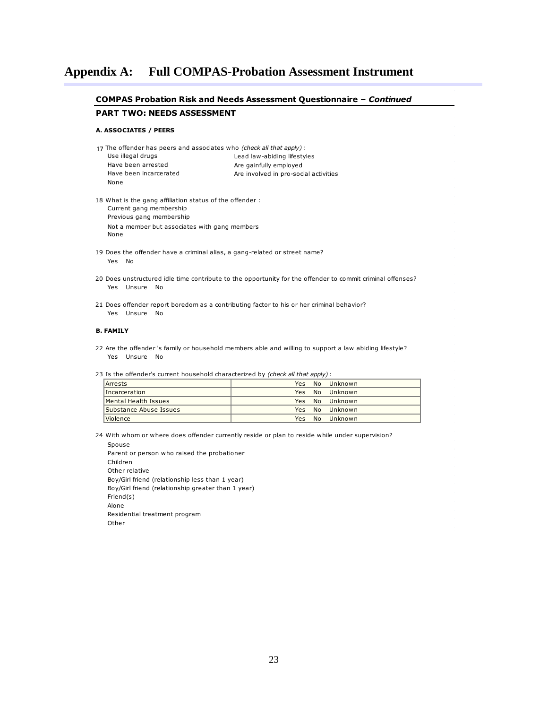### **COMPAS Probation Risk and Needs Assessment Questionnaire –** *Continued* **PART TWO: NEEDS ASSESSMENT A. ASSOCIATES / PEERS** 17 The offender has peers and associates who *(check all that apply)* : Use illegal drugs Have been arrested Have been incarcerated None 18 Current gang membership Previous gang membership Not a member but associates with gang members None 19 19<br>20 20<br>21 Yes Unsure No **B. FAMILY B.**<br>22 2<br>23<br>| Lead law-abiding lifestyles Are gainfully employed Are involved in pro-social activities 22 Are the offender 's family or household members able and willing to support a law abiding lifestyle? 19 Does the offender have a criminal alias, a gang-related or street name? Yes No 20 Does unstructured idle time contribute to the opportunity for the offender to commit criminal offenses? Yes Unsure No 21 Does offender report boredom as a contributing factor to his or her criminal behavior? 18 What is the gang affiliation status of the offender : Yes Unsure No

Is the offender's current household characterized by *(check all that apply)* :

| Arrests                | Yes | No Unknown     |
|------------------------|-----|----------------|
| Incarceration          |     | Yes No Unknown |
| Mental Health Issues   |     | Yes No Unknown |
| Substance Abuse Issues |     | Yes No Unknown |
| Violence               | Yes | No Unknown     |

 $\begin{array}{c} \hline \end{array}$  24 24 With whom or where does offender currently reside or plan to reside while under supervision?

 Spouse Parent or person who raised the probationer Children Other relative Boy/Girl friend (relationship less than 1 year) Boy/Girl friend (relationship greater than 1 year) Friend(s) Alone Residential treatment program Other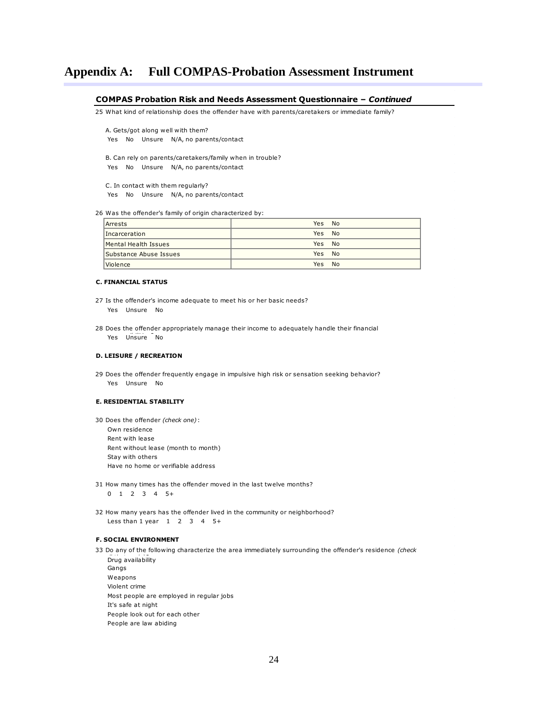# **COMPAS Probation Risk and Needs Assessment Questionnaire –** *Continued*  $rac{C}{25}$

25 What kind of relationship does the offender have with parents/caretakers or immediate family?

A. Gets/got along well with them? Yes No Unsure N/A, no parents/contact

B. Can rely on parents/caretakers/family when in trouble? Yes No Unsure N/A, no parents/contact

C. In contact with them regularly? Yes No Unsure N/A, no parents/contact

 $\begin{array}{c}\n26 \\
\hline\n\end{array}$ 26 Was the offender's family of origin characterized by:

| Arrests                       | <b>Yes</b><br>- No |
|-------------------------------|--------------------|
| Incarceration                 | Yes No             |
| Mental Health Issues          | Yes No             |
| Substance Abuse Issues        | Yes No             |
| <i><u><b>Violence</b></u></i> | Yes No             |

#### **C. FINANCIAL STATUS**

- $C.$ <br>27 27<br>28 27 Is the offender's income adequate to meet his or her basic needs? Yes Unsure No
- 28 Does the offender appropriately manage their income to adequately handle their financial Yes Unsure No

### **D. LEISURE / RECREATION**

D.<br>29 Yes Unsure No 29 Does the offender frequently engage in impulsive high risk or sensation seeking behavior?

# **E.**<br>30 **E. RESIDENTIAL STABILITY**

Does the offender *(check one)* :

- Own residence Rent with lease Rent without lease (month to month) Stay with others Have no home or verifiable address
- 31 31<br>32 31 How many times has the offender moved in the last twelve months? 0 1 2 3 4 5+

32 How many years has the offender lived in the community or neighborhood? Less than  $1$  year  $1$  2 3 4 5+

### **F. SOCIAL ENVIRONMENT**

People look out for each other

F. :<br>33 *p*<br>Drug availability Gangs Weapons Violent crime Most people are employed in regular jobs<br>
It's safe at night<br>
People look out for each other<br>
People are law abiding It's safe at night Do any of the following characterize the area immediately surrounding the offender's residence *(check*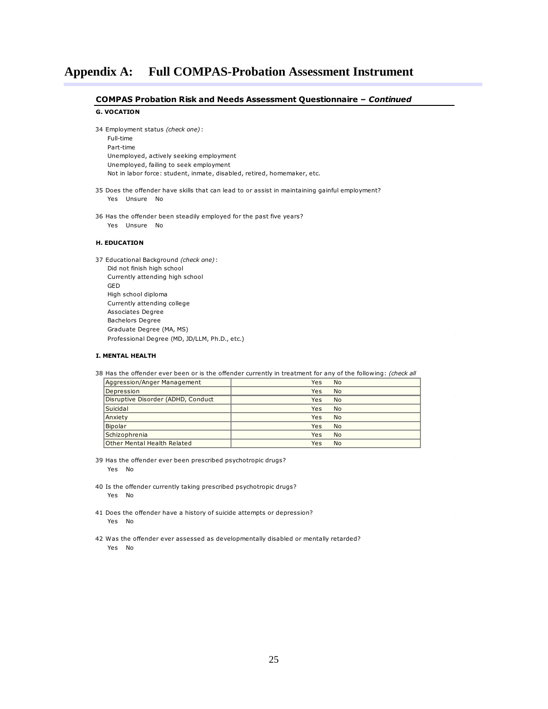# **COMPAS Probation Risk and Needs Assessment Questionnaire –** *Continued***<br>G. VOCATION<br>34 Employment status** *(check one)* **:**

### **G. VOCATION**

| Full-time                                                               |
|-------------------------------------------------------------------------|
| Part-time                                                               |
| Unemployed, actively seeking employment                                 |
| Unemployed, failing to seek employment                                  |
| Not in labor force: student, inmate, disabled, retired, homemaker, etc. |
|                                                                         |

- 35 35<br>36 35 Does the offender have skills that can lead to or assist in maintaining gainful employment? Yes Unsure No
- 36 Has the offender been steadily employed for the past five years? Yes Unsure No

#### **H. EDUCATION**

**H.**<br>37 Did not finish high school Currently attending high school GED High school diploma Currently attending college Associates Degree Bachelors Degree Graduate Degree (MA, MS) Professional Degree (MD, JD/LLM, Ph.D., etc.) Educational Background *(check one)* :

# **I. MENTAL HEALTH**  $\begin{bmatrix} 1.1 \\ 38 \\ 1 \end{bmatrix}$

38 Has the offender ever been or is the offender currently in treatment for any of the following: *(check all* 

| Aggression/Anger Management        | Yes<br><b>No</b> |
|------------------------------------|------------------|
| Depression                         | <b>No</b><br>Yes |
| Disruptive Disorder (ADHD, Conduct | <b>No</b><br>Yes |
| Suicidal                           | <b>No</b><br>Yes |
| Anxiety                            | <b>No</b><br>Yes |
| Bipolar                            | <b>No</b><br>Yes |
| Schizophrenia                      | <b>No</b><br>Yes |
| Other Mental Health Related        | <b>No</b><br>Yes |

 $\begin{matrix} \hline \end{matrix}$ 39 39 Has the offender ever been prescribed psychotropic drugs? Yes No

- 39<br>40 40<br>41 40 Is the offender currently taking prescribed psychotropic drugs? Yes No
- 41<br>42 Yes No Does the offender have a history of suicide attempts or depression?
- Was the offender ever assessed as developmentally disabled or mentally retarded? Yes No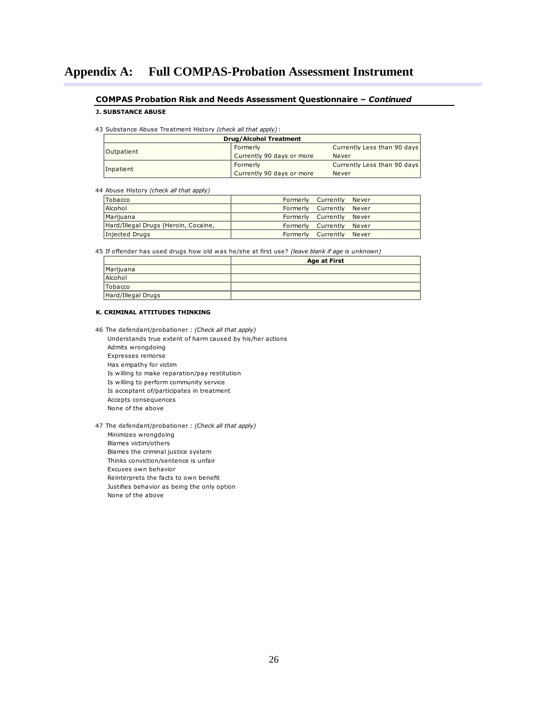### **COMPAS Probation Risk and Needs Assessment Questionnaire –** *Continued*

# **J. SUBSTANCE ABUSE**  $rac{CC}{1}$ <br>43

Substance Abuse Treatment History *(check all that apply)* :

| <b>Drug/Alcohol Treatment</b> |                           |                             |  |  |
|-------------------------------|---------------------------|-----------------------------|--|--|
| <b>Outpatient</b>             | Formerly                  | Currently Less than 90 days |  |  |
|                               | Currently 90 days or more | Never                       |  |  |
|                               | Formerly                  | Currently Less than 90 days |  |  |
| Inpatient                     | Currently 90 days or more | Never                       |  |  |

 $\begin{array}{c} \begin{array}{c} \begin{array}{c} \end{array}\\ \begin{array}{c} \end{array}\\ \begin{array}{c} \end{array}\\ \begin{array}{c} \end{array}\\ \begin{array}{c} \end{array}\\ \begin{array}{c} \end{array}\\ \begin{array}{c} \end{array}\\ \begin{array}{c} \end{array}\\ \begin{array}{c} \end{array}\\ \begin{array}{c} \end{array}\\ \begin{array}{c} \end{array}\\ \begin{array}{c} \end{array}\\ \begin{array}{c} \end{array}\\ \begin{array}{c} \end{array}\\ \begin{array}{c} \end{array}\\ \begin{array}{c} \end{array}\\ \begin{array}{c} \end{array}\\ \begin$ Abuse History *(check all that apply)*

|                                                                                                | Tobacco                              | Formerly | Currently    | Never |  |
|------------------------------------------------------------------------------------------------|--------------------------------------|----------|--------------|-------|--|
|                                                                                                | Alcohol                              | Formerly | Currently    | Never |  |
|                                                                                                | Marijuana                            | Formerly | Currently    | Never |  |
|                                                                                                | Hard/Illegal Drugs (Heroin, Cocaine, | Formerly | Currently    | Never |  |
|                                                                                                | Injected Drugs                       | Formerly | Currently    | Never |  |
|                                                                                                |                                      |          |              |       |  |
| 45 If offender has used drugs how old was he/she at first use? (leave blank if age is unknown) |                                      |          |              |       |  |
|                                                                                                |                                      |          | Ago at First |       |  |

|                    | <b>Age at First</b> |
|--------------------|---------------------|
| Marijuana          |                     |
| Alcohol            |                     |
| Tobacco            |                     |
| Hard/Illegal Drugs |                     |

### **K. CRIMINAL ATTITUDES THINKING**

 $\frac{1}{16}$  Understands true extent of harm caused by his/her actions Admits wrongdoing Expresses remorse Has empathy for victim Is willing to make reparation/pay restitution Is willing to perform community service Is acceptant of/participates in treatment Accepts consequences None of the above The defendant/probationer : *(Check all that apply)*

4 7 The defendant/probationer : *(Check all that apply)* Minimizes wrongdoing Blames victim/others Blames the criminal justice system Thinks conviction/sentence is unfair Excuses own behavior Reinterprets the facts to own benefit Justifies behavior as being the only option None of the above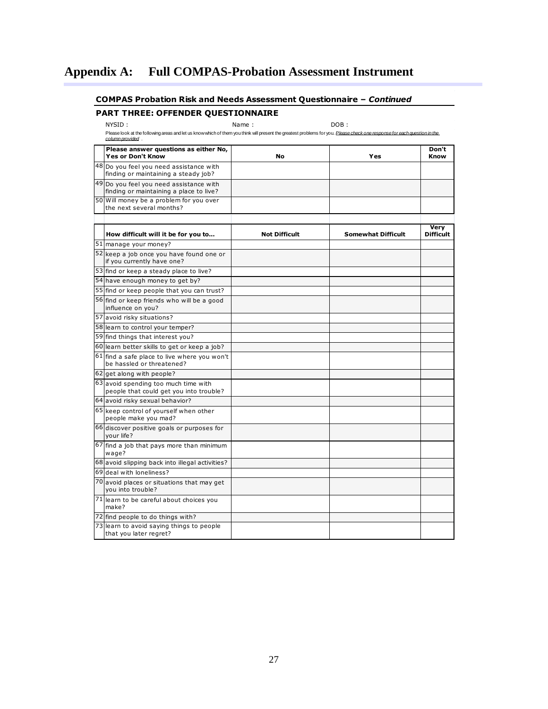### **COMPAS Probation Risk and Needs Assessment Questionnaire –** *Continued*

### **PART THREE: OFFENDER QUESTIONNAIRE**

NYSID : Name : DOB :

*column provided* .

|    | Please look at the following areas and let us know which of them you think will present the greatest problems for you. Please check one response for each question in the<br>column provided. |                      |                           |                          |
|----|-----------------------------------------------------------------------------------------------------------------------------------------------------------------------------------------------|----------------------|---------------------------|--------------------------|
|    | Please answer questions as either No,<br><b>Yes or Don't Know</b>                                                                                                                             | No                   | Yes                       | Don't<br>Know            |
|    | 48 Do you feel you need assistance with<br>finding or maintaining a steady job?                                                                                                               |                      |                           |                          |
|    | 49 Do you feel you need assistance with<br>finding or maintaining a place to live?                                                                                                            |                      |                           |                          |
|    | 50 Will money be a problem for you over<br>the next several months?                                                                                                                           |                      |                           |                          |
|    | How difficult will it be for you to                                                                                                                                                           | <b>Not Difficult</b> | <b>Somewhat Difficult</b> | Very<br><b>Difficult</b> |
|    | 51 manage your money?                                                                                                                                                                         |                      |                           |                          |
|    | 52 keep a job once you have found one or<br>if you currently have one?                                                                                                                        |                      |                           |                          |
|    | 53 find or keep a steady place to live?                                                                                                                                                       |                      |                           |                          |
|    | 54 have enough money to get by?                                                                                                                                                               |                      |                           |                          |
|    | 55 find or keep people that you can trust?                                                                                                                                                    |                      |                           |                          |
|    | 56 find or keep friends who will be a good<br>influence on you?                                                                                                                               |                      |                           |                          |
|    | 57 avoid risky situations?                                                                                                                                                                    |                      |                           |                          |
|    | 58 learn to control your temper?                                                                                                                                                              |                      |                           |                          |
|    | 59 find things that interest you?                                                                                                                                                             |                      |                           |                          |
|    | 60 learn better skills to get or keep a job?                                                                                                                                                  |                      |                           |                          |
|    | 61 find a safe place to live where you won't<br>be hassled or threatened?                                                                                                                     |                      |                           |                          |
|    | 62 get along with people?                                                                                                                                                                     |                      |                           |                          |
|    | 63 avoid spending too much time with<br>people that could get you into trouble?                                                                                                               |                      |                           |                          |
|    | 64 avoid risky sexual behavior?                                                                                                                                                               |                      |                           |                          |
|    | 65 keep control of yourself when other<br>people make you mad?                                                                                                                                |                      |                           |                          |
|    | 66 discover positive goals or purposes for<br>vour life?                                                                                                                                      |                      |                           |                          |
|    | 67 find a job that pays more than minimum<br>wage?                                                                                                                                            |                      |                           |                          |
|    | 68 avoid slipping back into illegal activities?                                                                                                                                               |                      |                           |                          |
|    | 69 deal with loneliness?                                                                                                                                                                      |                      |                           |                          |
|    | 70 avoid places or situations that may get<br>you into trouble?                                                                                                                               |                      |                           |                          |
| 71 | learn to be careful about choices you<br>make?                                                                                                                                                |                      |                           |                          |
|    | 72 find people to do things with?                                                                                                                                                             |                      |                           |                          |
|    | 73 learn to avoid saying things to people<br>that you later regret?                                                                                                                           |                      |                           |                          |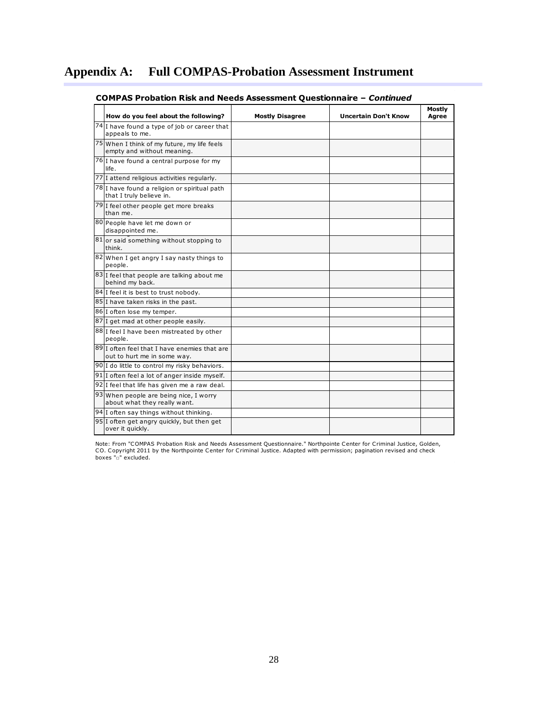| How do you feel about the following?                                        | <b>Mostly Disagree</b> | <b>Uncertain Don't Know</b> | Mostly<br>Agree |
|-----------------------------------------------------------------------------|------------------------|-----------------------------|-----------------|
| 74 I have found a type of job or career that<br>appeals to me.              |                        |                             |                 |
| 75 When I think of my future, my life feels<br>empty and without meaning.   |                        |                             |                 |
| 76 I have found a central purpose for my<br>life.                           |                        |                             |                 |
| 77 I attend religious activities regularly.                                 |                        |                             |                 |
| 78 I have found a religion or spiritual path<br>that I truly believe in.    |                        |                             |                 |
| 79 I feel other people get more breaks<br>than me.                          |                        |                             |                 |
| 80 People have let me down or<br>disappointed me.                           |                        |                             |                 |
| 81 or said something without stopping to<br>think.                          |                        |                             |                 |
| 82 When I get angry I say nasty things to<br>people.                        |                        |                             |                 |
| $\overline{83}$ I feel that people are talking about me<br>behind my back.  |                        |                             |                 |
| 84 I feel it is best to trust nobody.                                       |                        |                             |                 |
| 85 I have taken risks in the past.                                          |                        |                             |                 |
| 86 I often lose my temper.                                                  |                        |                             |                 |
| 87 I get mad at other people easily.                                        |                        |                             |                 |
| 88 I feel I have been mistreated by other<br>people.                        |                        |                             |                 |
| 89 I often feel that I have enemies that are<br>out to hurt me in some way. |                        |                             |                 |
| 90 I do little to control my risky behaviors.                               |                        |                             |                 |
| 91 I often feel a lot of anger inside myself.                               |                        |                             |                 |
| 92 I feel that life has given me a raw deal.                                |                        |                             |                 |
| 93 When people are being nice, I worry<br>about what they really want.      |                        |                             |                 |
| 94 I often say things without thinking.                                     |                        |                             |                 |
| 95 I often get angry quickly, but then get<br>over it quickly.              |                        |                             |                 |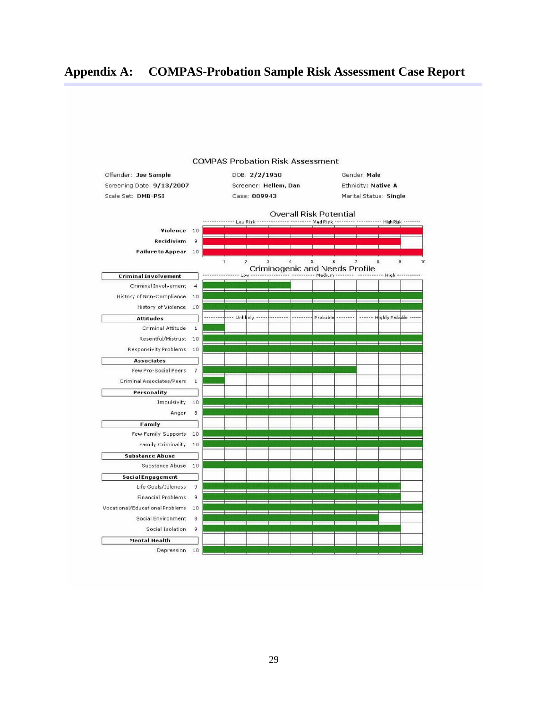# **Appendix A: COMPAS-Probation Sample Risk Assessment Case Report**



#### **COMPAS Probation Risk Assessment**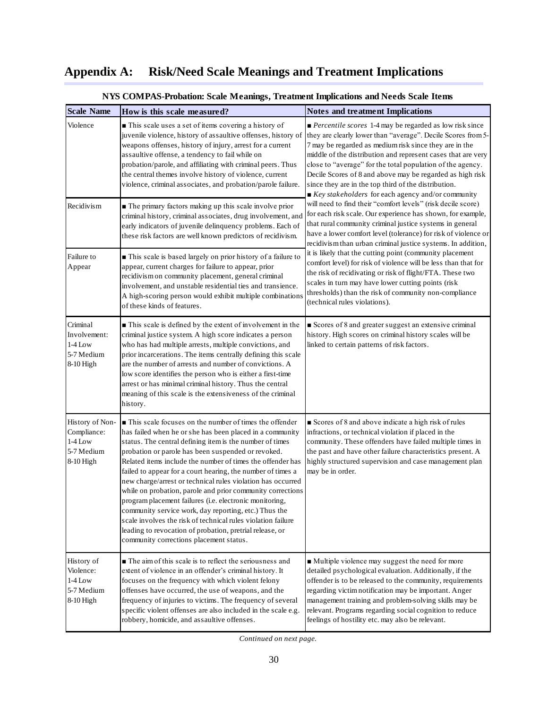| <b>Scale Name</b>                                                      | How is this scale measured?                                                                                                                                                                                                                                                                                                                                                                                                                                                                                                                                                                                                                                                                                                                                                                 | <b>Notes and treatment Implications</b>                                                                                                                                                                                                                                                                                                                                                                                                                                                                                        |
|------------------------------------------------------------------------|---------------------------------------------------------------------------------------------------------------------------------------------------------------------------------------------------------------------------------------------------------------------------------------------------------------------------------------------------------------------------------------------------------------------------------------------------------------------------------------------------------------------------------------------------------------------------------------------------------------------------------------------------------------------------------------------------------------------------------------------------------------------------------------------|--------------------------------------------------------------------------------------------------------------------------------------------------------------------------------------------------------------------------------------------------------------------------------------------------------------------------------------------------------------------------------------------------------------------------------------------------------------------------------------------------------------------------------|
| Violence                                                               | This scale uses a set of items covering a history of<br>juvenile violence, history of assaultive offenses, history of<br>weapons offenses, history of injury, arrest for a current<br>assaultive offense, a tendency to fail while on<br>probation/parole, and affiliating with criminal peers. Thus<br>the central themes involve history of violence, current<br>violence, criminal associates, and probation/parole failure.                                                                                                                                                                                                                                                                                                                                                             | $\blacksquare$ <i>Percentile scores</i> 1-4 may be regarded as low risk since<br>they are clearly lower than "average". Decile Scores from 5-<br>7 may be regarded as medium risk since they are in the<br>middle of the distribution and represent cases that are very<br>close to "average" for the total population of the agency.<br>Decile Scores of 8 and above may be regarded as high risk<br>since they are in the top third of the distribution.<br>$\blacksquare$ Key stakeholders for each agency and/or community |
| Recidivism                                                             | The primary factors making up this scale involve prior<br>criminal history, criminal associates, drug involvement, and<br>early indicators of juvenile delinquency problems. Each of<br>these risk factors are well known predictors of recidivism.                                                                                                                                                                                                                                                                                                                                                                                                                                                                                                                                         | will need to find their "comfort levels" (risk decile score)<br>for each risk scale. Our experience has shown, for example,<br>that rural community criminal justice systems in general<br>have a lower comfort level (tolerance) for risk of violence or<br>recidivism than urban criminal justice systems. In addition,                                                                                                                                                                                                      |
| Failure to<br>Appear                                                   | This scale is based largely on prior history of a failure to<br>appear, current charges for failure to appear, prior<br>recidivism on community placement, general criminal<br>involvement, and unstable residential ties and transience.<br>A high-scoring person would exhibit multiple combinations<br>of these kinds of features.                                                                                                                                                                                                                                                                                                                                                                                                                                                       | it is likely that the cutting point (community placement<br>comfort level) for risk of violence will be less than that for<br>the risk of recidivating or risk of flight/FTA. These two<br>scales in turn may have lower cutting points (risk<br>thresholds) than the risk of community non-compliance<br>(technical rules violations).                                                                                                                                                                                        |
| Criminal<br>Involvement:<br>$1-4$ Low<br>5-7 Medium<br>8-10 High       | This scale is defined by the extent of involvement in the<br>criminal justice system. A high score indicates a person<br>who has had multiple arrests, multiple convictions, and<br>prior incarcerations. The items centrally defining this scale<br>are the number of arrests and number of convictions. A<br>low score identifies the person who is either a first-time<br>arrest or has minimal criminal history. Thus the central<br>meaning of this scale is the extensiveness of the criminal<br>history.                                                                                                                                                                                                                                                                             | Scores of 8 and greater suggest an extensive criminal<br>history. High scores on criminal history scales will be<br>linked to certain patterns of risk factors.                                                                                                                                                                                                                                                                                                                                                                |
| History of Non-<br>Compliance:<br>$1-4$ Low<br>5-7 Medium<br>8-10 High | ■ This scale focuses on the number of times the offender<br>has failed when he or she has been placed in a community<br>status. The central defining item is the number of times<br>probation or parole has been suspended or revoked.<br>Related items include the number of times the offender has<br>failed to appear for a court hearing, the number of times a<br>new charge/arrest or technical rules violation has occurred<br>while on probation, parole and prior community corrections<br>program placement failures (i.e. electronic monitoring,<br>community service work, day reporting, etc.) Thus the<br>scale involves the risk of technical rules violation failure<br>leading to revocation of probation, pretrial release, or<br>community corrections placement status. | Scores of 8 and above indicate a high risk of rules<br>infractions, or technical violation if placed in the<br>community. These offenders have failed multiple times in<br>the past and have other failure characteristics present. A<br>highly structured supervision and case management plan<br>may be in order.                                                                                                                                                                                                            |
| History of<br>Violence:<br>$1-4$ Low<br>5-7 Medium<br>8-10 High        | The aim of this scale is to reflect the seriousness and<br>extent of violence in an offender's criminal history. It<br>focuses on the frequency with which violent felony<br>offenses have occurred, the use of weapons, and the<br>frequency of injuries to victims. The frequency of several<br>specific violent offenses are also included in the scale e.g.<br>robbery, homicide, and assaultive offenses.                                                                                                                                                                                                                                                                                                                                                                              | • Multiple violence may suggest the need for more<br>detailed psychological evaluation. Additionally, if the<br>offender is to be released to the community, requirements<br>regarding victim notification may be important. Anger<br>management training and problem-solving skills may be<br>relevant. Programs regarding social cognition to reduce<br>feelings of hostility etc. may also be relevant.                                                                                                                     |

### **NYS COMPAS-Probation: Scale Meanings, Treatment Implications and Needs Scale Items**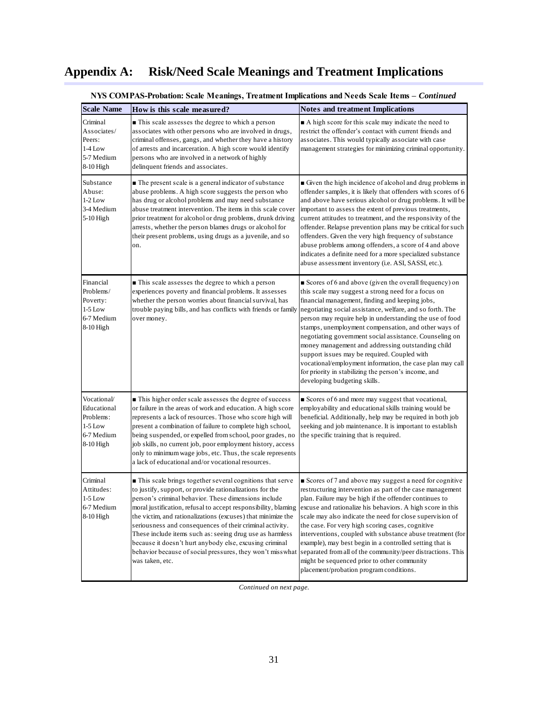| <b>Scale Name</b>                                                               | How is this scale measured?                                                                                                                                                                                                                                                                                                                                                                                                                                                                                                                                                       | <b>Notes and treatment Implications</b>                                                                                                                                                                                                                                                                                                                                                                                                                                                                                                                                                                                                                                |
|---------------------------------------------------------------------------------|-----------------------------------------------------------------------------------------------------------------------------------------------------------------------------------------------------------------------------------------------------------------------------------------------------------------------------------------------------------------------------------------------------------------------------------------------------------------------------------------------------------------------------------------------------------------------------------|------------------------------------------------------------------------------------------------------------------------------------------------------------------------------------------------------------------------------------------------------------------------------------------------------------------------------------------------------------------------------------------------------------------------------------------------------------------------------------------------------------------------------------------------------------------------------------------------------------------------------------------------------------------------|
| Criminal<br>Associates/<br>Peers:<br>$1-4$ Low<br>5-7 Medium<br>8-10 High       | This scale assesses the degree to which a person<br>associates with other persons who are involved in drugs,<br>criminal offenses, gangs, and whether they have a history<br>of arrests and incarceration. A high score would identify<br>persons who are involved in a network of highly<br>delinquent friends and associates.                                                                                                                                                                                                                                                   | A high score for this scale may indicate the need to<br>restrict the offender's contact with current friends and<br>associates. This would typically associate with case<br>management strategies for minimizing criminal opportunity.                                                                                                                                                                                                                                                                                                                                                                                                                                 |
| Substance<br>Abuse:<br>$1-2$ Low<br>3-4 Medium<br>5-10 High                     | The present scale is a general indicator of substance<br>abuse problems. A high score suggests the person who<br>has drug or alcohol problems and may need substance<br>abuse treatment intervention. The items in this scale cover<br>prior treatment for alcohol or drug problems, drunk driving<br>arrests, whether the person blames drugs or alcohol for<br>their present problems, using drugs as a juvenile, and so<br>on.                                                                                                                                                 | Given the high incidence of alcohol and drug problems in<br>offender samples, it is likely that offenders with scores of 6<br>and above have serious alcohol or drug problems. It will be<br>important to assess the extent of previous treatments,<br>current attitudes to treatment, and the responsivity of the<br>offender. Relapse prevention plans may be critical for such<br>offenders. Given the very high frequency of substance<br>abuse problems among offenders, a score of 4 and above<br>indicates a definite need for a more specialized substance<br>abuse assessment inventory (i.e. ASI, SASSI, etc.).                                              |
| Financial<br>Problems/<br>Poverty:<br>$1-5$ Low<br>6-7 Medium<br>8-10 High      | $\blacksquare$ This scale assesses the degree to which a person<br>experiences poverty and financial problems. It assesses<br>whether the person worries about financial survival, has<br>trouble paying bills, and has conflicts with friends or family<br>over money.                                                                                                                                                                                                                                                                                                           | Scores of 6 and above (given the overall frequency) on<br>this scale may suggest a strong need for a focus on<br>financial management, finding and keeping jobs,<br>negotiating social assistance, welfare, and so forth. The<br>person may require help in understanding the use of food<br>stamps, unemployment compensation, and other ways of<br>negotiating government social assistance. Counseling on<br>money management and addressing outstanding child<br>support issues may be required. Coupled with<br>vocational/employment information, the case plan may call<br>for priority in stabilizing the person's income, and<br>developing budgeting skills. |
| Vocational/<br>Educational<br>Problems:<br>$1-5$ Low<br>6-7 Medium<br>8-10 High | This higher order scale assesses the degree of success<br>or failure in the areas of work and education. A high score<br>represents a lack of resources. Those who score high will<br>present a combination of failure to complete high school,<br>being suspended, or expelled from school, poor grades, no<br>job skills, no current job, poor employment history, access<br>only to minimum wage jobs, etc. Thus, the scale represents<br>a lack of educational and/or vocational resources.                                                                                   | Scores of 6 and more may suggest that vocational,<br>employability and educational skills training would be<br>beneficial. Additionally, help may be required in both job<br>seeking and job maintenance. It is important to establish<br>the specific training that is required.                                                                                                                                                                                                                                                                                                                                                                                      |
| Criminal<br>Attitudes:<br>$1-5$ Low<br>6-7 Medium<br>$8-10$ High                | This scale brings together several cognitions that serve<br>to justify, support, or provide rationalizations for the<br>person's criminal behavior. These dimensions include<br>moral justification, refusal to accept responsibility, blaming<br>the victim, and rationalizations (excuses) that minimize the<br>seriousness and consequences of their criminal activity.<br>These include items such as: seeing drug use as harmless<br>because it doesn't hurt anybody else, excusing criminal<br>behavior because of social pressures, they won't misswhat<br>was taken, etc. | Scores of 7 and above may suggest a need for cognitive<br>restructuring intervention as part of the case management<br>plan. Failure may be high if the offender continues to<br>excuse and rationalize his behaviors. A high score in this<br>scale may also indicate the need for close supervision of<br>the case. For very high scoring cases, cognitive<br>interventions, coupled with substance abuse treatment (for<br>example), may best begin in a controlled setting that is<br>separated from all of the community/peer distractions. This<br>might be sequenced prior to other community<br>placement/probation program conditions.                        |

| NYS COMPAS-Probation: Scale Meanings, Treatment Implications and Needs Scale Items - Continued |  |  |
|------------------------------------------------------------------------------------------------|--|--|
|                                                                                                |  |  |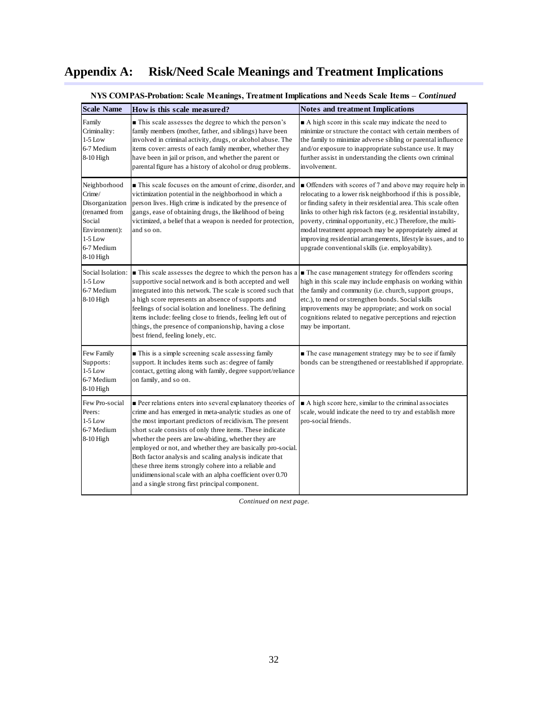| <b>Scale Name</b>                                                                                                             | How is this scale measured?                                                                                                                                                                                                                                                                                                                                                                                                                                                                                                                                                                            | <b>Notes and treatment Implications</b>                                                                                                                                                                                                                                                                                                                                                                                                                                                                     |
|-------------------------------------------------------------------------------------------------------------------------------|--------------------------------------------------------------------------------------------------------------------------------------------------------------------------------------------------------------------------------------------------------------------------------------------------------------------------------------------------------------------------------------------------------------------------------------------------------------------------------------------------------------------------------------------------------------------------------------------------------|-------------------------------------------------------------------------------------------------------------------------------------------------------------------------------------------------------------------------------------------------------------------------------------------------------------------------------------------------------------------------------------------------------------------------------------------------------------------------------------------------------------|
| Family<br>Criminality:<br>$1-5$ Low<br>6-7 Medium<br>8-10 High                                                                | This scale assesses the degree to which the person's<br>family members (mother, father, and siblings) have been<br>involved in criminal activity, drugs, or alcohol abuse. The<br>items cover: arrests of each family member, whether they<br>have been in jail or prison, and whether the parent or<br>parental figure has a history of alcohol or drug problems.                                                                                                                                                                                                                                     | A high score in this scale may indicate the need to<br>minimize or structure the contact with certain members of<br>the family to minimize adverse sibling or parental influence<br>and/or exposure to inappropriate substance use. It may<br>further assist in understanding the clients own criminal<br>involvement.                                                                                                                                                                                      |
| Neighborhood<br>Crime/<br>Disorganization<br>(renamed from<br>Social<br>Environment):<br>$1-5$ Low<br>6-7 Medium<br>8-10 High | This scale focuses on the amount of crime, disorder, and<br>victimization potential in the neighborhood in which a<br>person lives. High crime is indicated by the presence of<br>gangs, ease of obtaining drugs, the likelihood of being<br>victimized, a belief that a weapon is needed for protection,<br>and so on.                                                                                                                                                                                                                                                                                | • Offenders with scores of 7 and above may require help in<br>relocating to a lower risk neighborhood if this is possible,<br>or finding safety in their residential area. This scale often<br>links to other high risk factors (e.g. residential instability,<br>poverty, criminal opportunity, etc.) Therefore, the multi-<br>modal treatment approach may be appropriately aimed at<br>improving residential arrangements, lifestyle issues, and to<br>upgrade conventional skills (i.e. employability). |
| Social Isolation:<br>$1-5$ Low<br>6-7 Medium<br>8-10 High                                                                     | This scale assesses the degree to which the person has a<br>supportive social network and is both accepted and well<br>integrated into this network. The scale is scored such that<br>a high score represents an absence of supports and<br>feelings of social isolation and loneliness. The defining<br>items include: feeling close to friends, feeling left out of<br>things, the presence of companionship, having a close<br>best friend, feeling lonely, etc.                                                                                                                                    | The case management strategy for offenders scoring<br>high in this scale may include emphasis on working within<br>the family and community (i.e. church, support groups,<br>etc.), to mend or strengthen bonds. Social skills<br>improvements may be appropriate; and work on social<br>cognitions related to negative perceptions and rejection<br>may be important.                                                                                                                                      |
| Few Family<br>Supports:<br>$1-5$ Low<br>6-7 Medium<br>8-10 High                                                               | This is a simple screening scale assessing family<br>support. It includes items such as: degree of family<br>contact, getting along with family, degree support/reliance<br>on family, and so on.                                                                                                                                                                                                                                                                                                                                                                                                      | The case management strategy may be to see if family<br>bonds can be strengthened or reestablished if appropriate.                                                                                                                                                                                                                                                                                                                                                                                          |
| Few Pro-social<br>Peers:<br>$1-5$ Low<br>6-7 Medium<br>8-10 High                                                              | Peer relations enters into several explanatory theories of<br>crime and has emerged in meta-analytic studies as one of<br>the most important predictors of recidivism. The present<br>short scale consists of only three items. These indicate<br>whether the peers are law-abiding, whether they are<br>employed or not, and whether they are basically pro-social.<br>Both factor analysis and scaling analysis indicate that<br>these three items strongly cohere into a reliable and<br>unidimensional scale with an alpha coefficient over 0.70<br>and a single strong first principal component. | A high score here, similar to the criminal associates<br>scale, would indicate the need to try and establish more<br>pro-social friends.                                                                                                                                                                                                                                                                                                                                                                    |

### **NYS COMPAS-Probation: Scale Meanings, Treatment Implications and Needs Scale Items –** *Continued*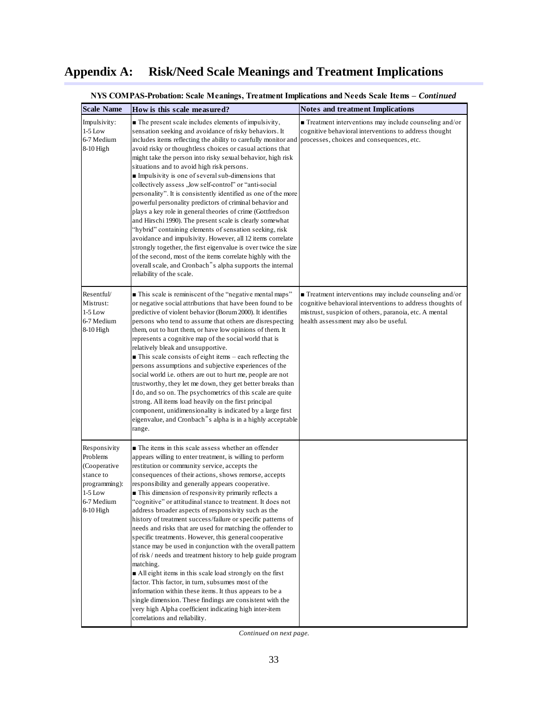| <b>Scale Name</b>                                                                                              | How is this scale measured?                                                                                                                                                                                                                                                                                                                                                                                                                                                                                                                                                                                                                                                                                                                                                                                                                                                                                                                                                                                                                                                                                                       | <b>Notes and treatment Implications</b>                                                                                                                                                                                              |
|----------------------------------------------------------------------------------------------------------------|-----------------------------------------------------------------------------------------------------------------------------------------------------------------------------------------------------------------------------------------------------------------------------------------------------------------------------------------------------------------------------------------------------------------------------------------------------------------------------------------------------------------------------------------------------------------------------------------------------------------------------------------------------------------------------------------------------------------------------------------------------------------------------------------------------------------------------------------------------------------------------------------------------------------------------------------------------------------------------------------------------------------------------------------------------------------------------------------------------------------------------------|--------------------------------------------------------------------------------------------------------------------------------------------------------------------------------------------------------------------------------------|
| Impulsivity:<br>$1-5$ Low<br>6-7 Medium<br>8-10 High                                                           | The present scale includes elements of impulsivity,<br>sensation seeking and avoidance of risky behaviors. It<br>includes items reflecting the ability to carefully monitor and<br>avoid risky or thoughtless choices or casual actions that<br>might take the person into risky sexual behavior, high risk<br>situations and to avoid high risk persons.<br>Impulsivity is one of several sub-dimensions that<br>collectively assess, "low self-control" or "anti-social<br>personality". It is consistently identified as one of the more<br>powerful personality predictors of criminal behavior and<br>plays a key role in general theories of crime (Gottfredson<br>and Hirschi 1990). The present scale is clearly somewhat<br>"hybrid" containing elements of sensation seeking, risk<br>avoidance and impulsivity. However, all 12 items correlate<br>strongly together, the first eigenvalue is over twice the size<br>of the second, most of the items correlate highly with the<br>overall scale, and Cronbach"s alpha supports the internal<br>reliability of the scale.                                              | $\blacksquare$ Treatment interventions may include counseling and/or<br>cognitive behavioral interventions to address thought<br>processes, choices and consequences, etc.                                                           |
| Resentful/<br>Mistrust:<br>$1-5$ Low<br>6-7 Medium<br>8-10 High                                                | ■ This scale is reminiscent of the "negative mental maps"<br>or negative social attributions that have been found to be<br>predictive of violent behavior (Borum 2000). It identifies<br>persons who tend to assume that others are disrespecting<br>them, out to hurt them, or have low opinions of them. It<br>represents a cognitive map of the social world that is<br>relatively bleak and unsupportive.<br>$\blacksquare$ This scale consists of eight items – each reflecting the<br>persons assumptions and subjective experiences of the<br>social world i.e. others are out to hurt me, people are not<br>trustworthy, they let me down, they get better breaks than<br>I do, and so on. The psychometrics of this scale are quite<br>strong. All items load heavily on the first principal<br>component, unidimensionality is indicated by a large first<br>eigenvalue, and Cronbach"s alpha is in a highly acceptable<br>range.                                                                                                                                                                                       | $\blacksquare$ Treatment interventions may include counseling and/or<br>cognitive behavioral interventions to address thoughts of<br>mistrust, suspicion of others, paranoia, etc. A mental<br>health assessment may also be useful. |
| Responsivity<br>Problems<br>(Cooperative<br>stance to<br>programming):<br>$1-5$ Low<br>6-7 Medium<br>8-10 High | The items in this scale assess whether an offender<br>appears willing to enter treatment, is willing to perform<br>restitution or community service, accepts the<br>consequences of their actions, shows remorse, accepts<br>responsibility and generally appears cooperative.<br>This dimension of responsivity primarily reflects a<br>"cognitive" or attitudinal stance to treatment. It does not<br>address broader aspects of responsivity such as the<br>history of treatment success/failure or specific patterns of<br>needs and risks that are used for matching the offender to<br>specific treatments. However, this general cooperative<br>stance may be used in conjunction with the overall pattern<br>of risk / needs and treatment history to help guide program<br>matching.<br>All eight items in this scale load strongly on the first<br>factor. This factor, in turn, subsumes most of the<br>information within these items. It thus appears to be a<br>single dimension. These findings are consistent with the<br>very high Alpha coefficient indicating high inter-item<br>correlations and reliability. |                                                                                                                                                                                                                                      |

**NYS COMPAS-Probation: Scale Meanings, Treatment Implications and Needs Scale Items -** *Continued*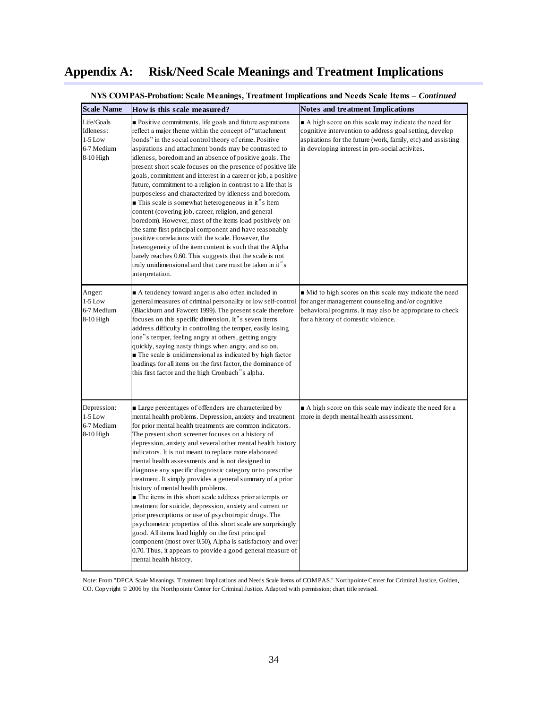| <b>Scale Name</b>                                               | How is this scale measured?                                                                                                                                                                                                                                                                                                                                                                                                                                                                                                                                                                                                                                                                                                                                                                                                                                                                                                                                                                                                                                     | <b>Notes and treatment Implications</b>                                                                                                                                                                                            |
|-----------------------------------------------------------------|-----------------------------------------------------------------------------------------------------------------------------------------------------------------------------------------------------------------------------------------------------------------------------------------------------------------------------------------------------------------------------------------------------------------------------------------------------------------------------------------------------------------------------------------------------------------------------------------------------------------------------------------------------------------------------------------------------------------------------------------------------------------------------------------------------------------------------------------------------------------------------------------------------------------------------------------------------------------------------------------------------------------------------------------------------------------|------------------------------------------------------------------------------------------------------------------------------------------------------------------------------------------------------------------------------------|
| Life/Goals<br>Idleness:<br>$1-5$ Low<br>6-7 Medium<br>8-10 High | • Positive commitments, life goals and future aspirations<br>reflect a major theme within the concept of "attachment"<br>bonds" in the social control theory of crime. Positive<br>aspirations and attachment bonds may be contrasted to<br>idleness, boredom and an absence of positive goals. The<br>present short scale focuses on the presence of positive life<br>goals, commitment and interest in a career or job, a positive<br>future, commitment to a religion in contrast to a life that is<br>purposeless and characterized by idleness and boredom.<br>This scale is somewhat heterogeneous in it"s item<br>content (covering job, career, religion, and general<br>boredom). However, most of the items load positively on<br>the same first principal component and have reasonably<br>positive correlations with the scale. However, the<br>heterogeneity of the item content is such that the Alpha<br>barely reaches 0.60. This suggests that the scale is not<br>truly unidimensional and that care must be taken in it"s<br>interpretation. | A high score on this scale may indicate the need for<br>cognitive intervention to address goal setting, develop<br>aspirations for the future (work, family, etc) and assisting<br>in developing interest in pro-social activites. |
| Anger:<br>$1-5$ Low<br>6-7 Medium<br>8-10 High                  | A tendency toward anger is also often included in<br>general measures of criminal personality or low self-control<br>(Blackburn and Fawcett 1999). The present scale therefore<br>focuses on this specific dimension. It"s seven items<br>address difficulty in controlling the temper, easily losing<br>one"s temper, feeling angry at others, getting angry<br>quickly, saying nasty things when angry, and so on.<br>The scale is unidimensional as indicated by high factor<br>loadings for all items on the first factor, the dominance of<br>this first factor and the high Cronbach"s alpha.                                                                                                                                                                                                                                                                                                                                                                                                                                                             | • Mid to high scores on this scale may indicate the need<br>for anger management counseling and/or cognitive<br>behavioral programs. It may also be appropriate to check<br>for a history of domestic violence.                    |
| Depression:<br>$1-5$ Low<br>6-7 Medium<br>8-10 High             | Large percentages of offenders are characterized by<br>mental health problems. Depression, anxiety and treatment<br>for prior mental health treatments are common indicators.<br>The present short screener focuses on a history of<br>depression, anxiety and several other mental health history<br>indicators. It is not meant to replace more elaborated<br>mental health assessments and is not designed to<br>diagnose any specific diagnostic category or to prescribe<br>treatment. It simply provides a general summary of a prior<br>history of mental health problems.<br>The items in this short scale address prior attempts or<br>treatment for suicide, depression, anxiety and current or<br>prior prescriptions or use of psychotropic drugs. The<br>psychometric properties of this short scale are surprisingly<br>good. All items load highly on the first principal<br>component (most over 0.50), Alpha is satisfactory and over<br>0.70. Thus, it appears to provide a good general measure of<br>mental health history.                 | A high score on this scale may indicate the need for a<br>more in depth mental health assessment.                                                                                                                                  |

**NYS COMPAS-Probation: Scale Meanings, Treatment Implications and Needs Scale Items –** *Continued*

Note: From "DPCA Scale Meanings, Treatment Implications and Needs Scale Items of COMPAS." Northpointe Center for Criminal Justice, Golden, CO. Copyright © 2006 by the Northpointe Center for Criminal Justice. Adapted with permission; chart title revised.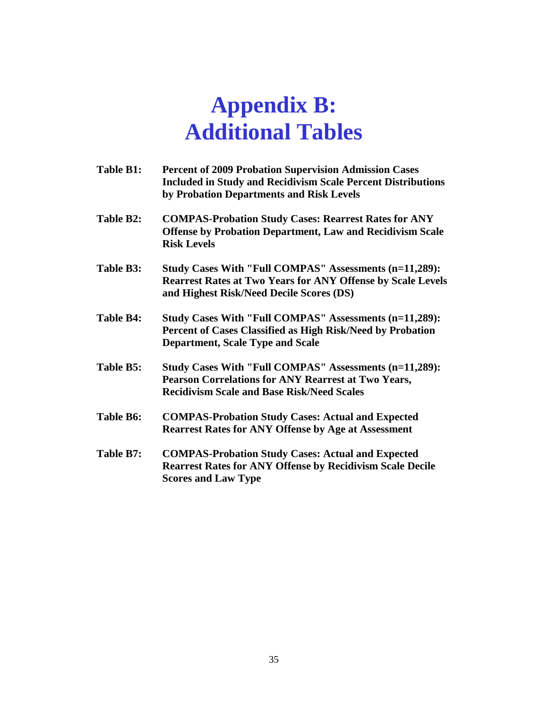# **Appendix B: Additional Tables**

**Table B1: Percent of 2009 Probation Supervision Admission Cases Included in Study and Recidivism Scale Percent Distributions by Probation Departments and Risk Levels Table B2: COMPAS-Probation Study Cases: Rearrest Rates for ANY Offense by Probation Department, Law and Recidivism Scale Risk Levels Table B3: Study Cases With "Full COMPAS" Assessments (n=11,289): Rearrest Rates at Two Years for ANY Offense by Scale Levels and Highest Risk/Need Decile Scores (DS) Table B4: Study Cases With "Full COMPAS" Assessments (n=11,289): Percent of Cases Classified as High Risk/Need by Probation Department, Scale Type and Scale Table B5: Study Cases With "Full COMPAS" Assessments (n=11,289): Pearson Correlations for ANY Rearrest at Two Years, Recidivism Scale and Base Risk/Need Scales Table B6: COMPAS-Probation Study Cases: Actual and Expected Rearrest Rates for ANY Offense by Age at Assessment Table B7: COMPAS-Probation Study Cases: Actual and Expected Rearrest Rates for ANY Offense by Recidivism Scale Decile Scores and Law Type**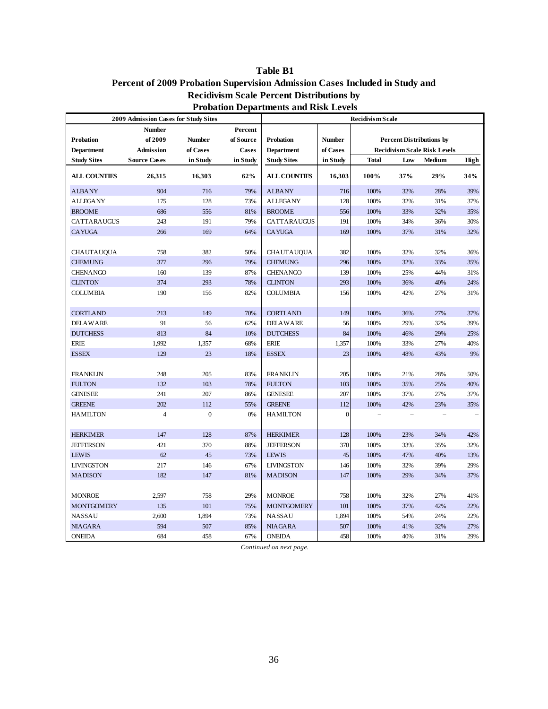### **Table B1**

### **Percent of 2009 Probation Supervision Admission Cases Included in Study and Recidivism Scale Percent Distributions by Probation Departments and Risk Levels**

|                                              | 2009 Admission Cases for Study Sites |              |              | <b>Recidivism Scale</b> |               |              |                                     |        |      |
|----------------------------------------------|--------------------------------------|--------------|--------------|-------------------------|---------------|--------------|-------------------------------------|--------|------|
|                                              | <b>Number</b>                        |              | Percent      |                         |               |              |                                     |        |      |
| of 2009<br><b>Probation</b><br><b>Number</b> |                                      |              | of Source    | Probation               | <b>Number</b> |              | <b>Percent Distributions by</b>     |        |      |
| Department<br>Admission                      |                                      | of Cases     | <b>Cases</b> | <b>Department</b>       | of Cases      |              | <b>Recidivism Scale Risk Levels</b> |        |      |
| <b>Study Sites</b>                           | <b>Source Cases</b>                  | in Study     | in Study     | <b>Study Sites</b>      | in Study      | <b>Total</b> | Low                                 | Medium | High |
| <b>ALL COUNTIES</b>                          | 26,315                               | 16,303       | 62%          | <b>ALL COUNTIES</b>     | 16,303        | 100%         | 37%                                 | 29%    | 34%  |
| <b>ALBANY</b>                                | 904                                  | 716          | 79%          | <b>ALBANY</b>           | 716           | 100%         | 32%                                 | 28%    | 39%  |
| <b>ALLEGANY</b>                              | 175                                  | 128          | 73%          | <b>ALLEGANY</b>         | 128           | 100%         | 32%                                 | 31%    | 37%  |
| <b>BROOME</b>                                | 686                                  | 556          | 81%          | <b>BROOME</b>           | 556           | 100%         | 33%                                 | 32%    | 35%  |
| CATTARAUGUS                                  | 243                                  | 191          | 79%          | CATTARAUGUS             | 191           | 100%         | 34%                                 | 36%    | 30%  |
| <b>CAYUGA</b>                                | 266                                  | 169          | 64%          | <b>CAYUGA</b>           | 169           | 100%         | 37%                                 | 31%    | 32%  |
|                                              |                                      |              |              |                         |               |              |                                     |        |      |
| <b>CHAUTAUQUA</b>                            | 758                                  | 382          | 50%          | CHAUTAUQUA              | 382           | 100%         | 32%                                 | 32%    | 36%  |
| <b>CHEMUNG</b>                               | 377                                  | 296          | 79%          | <b>CHEMUNG</b>          | 296           | 100%         | 32%                                 | 33%    | 35%  |
| <b>CHENANGO</b>                              | 160                                  | 139          | 87%          | <b>CHENANGO</b>         | 139           | 100%         | 25%                                 | 44%    | 31%  |
| <b>CLINTON</b>                               | 374                                  | 293          | 78%          | <b>CLINTON</b>          | 293           | 100%         | 36%                                 | 40%    | 24%  |
| <b>COLUMBIA</b>                              | 190                                  | 156          | 82%          | <b>COLUMBIA</b>         | 156           | 100%         | 42%                                 | 27%    | 31%  |
|                                              |                                      |              |              |                         |               |              |                                     |        |      |
| <b>CORTLAND</b>                              | 213                                  | 149          | 70%          | <b>CORTLAND</b>         | 149           | 100%         | 36%                                 | 27%    | 37%  |
| <b>DELAWARE</b>                              | 91                                   | 56           | 62%          | <b>DELAWARE</b>         | 56            | 100%         | 29%                                 | 32%    | 39%  |
| <b>DUTCHESS</b>                              | 813                                  | 84           | 10%          | <b>DUTCHESS</b>         | 84            | 100%         | 46%                                 | 29%    | 25%  |
| <b>ERIE</b>                                  | 1,992                                | 1,357        | 68%          | <b>ERIE</b>             | 1,357         | 100%         | 33%                                 | 27%    | 40%  |
| <b>ESSEX</b>                                 | 129                                  | 23           | 18%          | <b>ESSEX</b>            | 23            | 100%         | 48%                                 | 43%    | 9%   |
|                                              |                                      |              |              |                         |               |              |                                     |        |      |
| <b>FRANKLIN</b>                              | 248                                  | 205          | 83%          | <b>FRANKLIN</b>         | 205           | 100%         | 21%                                 | 28%    | 50%  |
| <b>FULTON</b>                                | 132                                  | 103          | 78%          | <b>FULTON</b>           | 103           | 100%         | 35%                                 | 25%    | 40%  |
| <b>GENESEE</b>                               | 241                                  | 207          | 86%          | <b>GENESEE</b>          | 207           | 100%         | 37%                                 | 27%    | 37%  |
| <b>GREENE</b>                                | 202                                  | 112          | 55%          | <b>GREENE</b>           | 112           | 100%         | 42%                                 | 23%    | 35%  |
| <b>HAMILTON</b>                              | $\overline{4}$                       | $\mathbf{0}$ | 0%           | <b>HAMILTON</b>         | $\mathbf{0}$  |              |                                     |        |      |
|                                              |                                      |              |              |                         |               |              |                                     |        |      |
| <b>HERKIMER</b>                              | 147                                  | 128          | 87%          | <b>HERKIMER</b>         | 128           | 100%         | 23%                                 | 34%    | 42%  |
| <b>JEFFERSON</b>                             | 421                                  | 370          | 88%          | <b>JEFFERSON</b>        | 370           | 100%         | 33%                                 | 35%    | 32%  |
| <b>LEWIS</b>                                 | 62                                   | 45           | 73%          | <b>LEWIS</b>            | 45            | 100%         | 47%                                 | 40%    | 13%  |
| <b>LIVINGSTON</b>                            | 217                                  | 146          | 67%          | <b>LIVINGSTON</b>       | 146           | 100%         | 32%                                 | 39%    | 29%  |
| <b>MADISON</b>                               | 182                                  | 147          | 81%          | <b>MADISON</b>          | 147           | 100%         | 29%                                 | 34%    | 37%  |
|                                              |                                      |              |              |                         |               |              |                                     |        |      |
| <b>MONROE</b>                                | 2,597                                | 758          | 29%          | <b>MONROE</b>           | 758           | 100%         | 32%                                 | 27%    | 41%  |
| <b>MONTGOMERY</b>                            | 135                                  | 101          | 75%          | <b>MONTGOMERY</b>       | 101           | 100%         | 37%                                 | 42%    | 22%  |
| <b>NASSAU</b>                                | 2,600                                | 1,894        | 73%          | <b>NASSAU</b>           | 1,894         | 100%         | 54%                                 | 24%    | 22%  |
| <b>NIAGARA</b>                               | 594                                  | 507          | 85%          | <b>NIAGARA</b>          | 507           | 100%         | 41%                                 | 32%    | 27%  |
| <b>ONEIDA</b>                                | 684                                  | 458          | 67%          | <b>ONEIDA</b>           | 458           | 100%         | 40%                                 | 31%    | 29%  |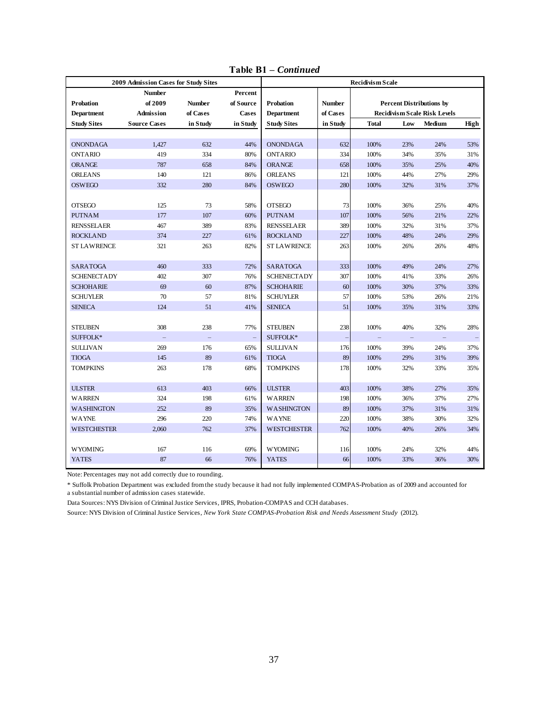|                    | 2009 Admission Cases for Study Sites |               |                          | <b>Recidivism Scale</b> |               |              |                                     |                          |      |
|--------------------|--------------------------------------|---------------|--------------------------|-------------------------|---------------|--------------|-------------------------------------|--------------------------|------|
|                    | <b>Number</b>                        |               | Percent                  |                         |               |              |                                     |                          |      |
| <b>Probation</b>   | of 2009                              | <b>Number</b> | of Source                | Probation               | <b>Number</b> |              | <b>Percent Distributions by</b>     |                          |      |
| Department         | Admission                            | of Cases      | <b>Cases</b>             | <b>Department</b>       | of Cases      |              | <b>Recidivism Scale Risk Levels</b> |                          |      |
| <b>Study Sites</b> | <b>Source Cases</b>                  | in Study      | in Study                 | <b>Study Sites</b>      | in Study      | <b>Total</b> | Low                                 | Medium                   | High |
|                    |                                      |               |                          |                         |               |              |                                     |                          |      |
| <b>ONONDAGA</b>    | 1,427                                | 632           | 44%                      | <b>ONONDAGA</b>         | 632           | 100%         | 23%                                 | 24%                      | 53%  |
| <b>ONTARIO</b>     | 419                                  | 334           | 80%                      | <b>ONTARIO</b>          | 334           | 100%         | 34%                                 | 35%                      | 31%  |
| <b>ORANGE</b>      | 787                                  | 658           | 84%                      | ORANGE                  | 658           | 100%         | 35%                                 | 25%                      | 40%  |
| <b>ORLEANS</b>     | 140                                  | 121           | 86%                      | <b>ORLEANS</b>          | 121           | 100%         | 44%                                 | 27%                      | 29%  |
| <b>OSWEGO</b>      | 332                                  | 280           | 84%                      | <b>OSWEGO</b>           | 280           | 100%         | 32%                                 | 31%                      | 37%  |
|                    |                                      |               |                          |                         |               |              |                                     |                          |      |
| <b>OTSEGO</b>      | 125                                  | 73            | 58%                      | <b>OTSEGO</b>           | 73            | 100%         | 36%                                 | 25%                      | 40%  |
| <b>PUTNAM</b>      | 177                                  | 107           | 60%                      | <b>PUTNAM</b>           | 107           | 100%         | 56%                                 | 21%                      | 22%  |
| <b>RENSSELAER</b>  | 467                                  | 389           | 83%                      | <b>RENSSELAER</b>       | 389           | 100%         | 32%                                 | 31%                      | 37%  |
| <b>ROCKLAND</b>    | 374                                  | 227           | 61%                      | <b>ROCKLAND</b>         | 227           | 100%         | 48%                                 | 24%                      | 29%  |
| <b>ST LAWRENCE</b> | 321                                  | 263           | 82%                      | <b>ST LAWRENCE</b>      | 263           | 100%         | 26%                                 | 26%                      | 48%  |
|                    |                                      |               |                          |                         |               |              |                                     |                          |      |
| <b>SARATOGA</b>    | 460                                  | 333           | 72%                      | <b>SARATOGA</b>         | 333           | 100%         | 49%                                 | 24%                      | 27%  |
| <b>SCHENECTADY</b> | 402                                  | 307           | 76%                      | <b>SCHENECTADY</b>      | 307           | 100%         | 41%                                 | 33%                      | 26%  |
| <b>SCHOHARIE</b>   | 69                                   | 60            | 87%                      | <b>SCHOHARIE</b>        | 60            | 100%         | 30%                                 | 37%                      | 33%  |
| <b>SCHUYLER</b>    | 70                                   | 57            | 81%                      | <b>SCHUYLER</b>         | 57            | 100%         | 53%                                 | 26%                      | 21%  |
| <b>SENECA</b>      | 124                                  | 51            | 41%                      | <b>SENECA</b>           | 51<br>100%    |              | 35%                                 | 31%                      | 33%  |
|                    |                                      |               |                          |                         |               |              |                                     |                          |      |
| <b>STEUBEN</b>     | 308                                  | 238           | 77%                      | <b>STEUBEN</b>          | 238           | 100%         | 40%                                 | 32%                      | 28%  |
| SUFFOLK*           |                                      |               | $\overline{\phantom{0}}$ | SUFFOLK*                |               |              |                                     | $\overline{\phantom{0}}$ |      |
| <b>SULLIVAN</b>    | 269                                  | 176           | 65%                      | <b>SULLIVAN</b>         | 176           | 100%         | 39%                                 | 24%                      | 37%  |
| <b>TIOGA</b>       | 145                                  | 89            | 61%                      | <b>TIOGA</b>            | 89            | 100%         | 29%                                 | 31%                      | 39%  |
| <b>TOMPKINS</b>    | 263                                  | 178           | 68%                      | <b>TOMPKINS</b>         | 178           | 100%         | 32%                                 | 33%                      | 35%  |
|                    |                                      |               |                          |                         |               |              |                                     |                          |      |
| <b>ULSTER</b>      | 613                                  | 403           | 66%                      | <b>ULSTER</b>           | 403           | 100%         | 38%                                 | 27%                      | 35%  |
| <b>WARREN</b>      | 324                                  | 198           | 61%                      | <b>WARREN</b>           | 198           | 100%         | 36%                                 | 37%                      | 27%  |
| <b>WASHINGTON</b>  | 252                                  | 89            | 35%                      | <b>WASHINGTON</b>       | 89            | 100%         | 37%                                 | 31%                      | 31%  |
| WAYNE              | 296                                  | 220           | 74%                      | <b>WAYNE</b>            | 220           | 100%         | 38%                                 | 30%                      | 32%  |
| <b>WESTCHESTER</b> | 2,060                                | 762           | 37%                      | <b>WESTCHESTER</b>      | 762           | 100%         | 40%                                 | 26%                      | 34%  |
|                    |                                      |               |                          |                         |               |              |                                     |                          |      |
| <b>WYOMING</b>     | 167                                  | 116           | 69%                      | <b>WYOMING</b>          | 116           | 100%         | 24%                                 | 32%                      | 44%  |
| <b>YATES</b>       | 87                                   | 66            | 76%                      | <b>YATES</b>            | 66            | 100%         | 33%                                 | 36%                      | 30%  |
|                    |                                      |               |                          |                         |               |              |                                     |                          |      |

**Table B1 –** *Continued*

Note: Percentages may not add correctly due to rounding.

\* Suffolk Probation Department was excluded from the study because it had not fully implemented COMPAS-Probation as of 2009 and accounted for a substantial number of admission cases statewide.

Data Sources: NYS Division of Criminal Justice Services, IPRS, Probation-COMPAS and CCH databases.

Source: NYS Division of Criminal Justice Services, *New York State COMPAS-Probation Risk and Needs Assessment Study* (2012).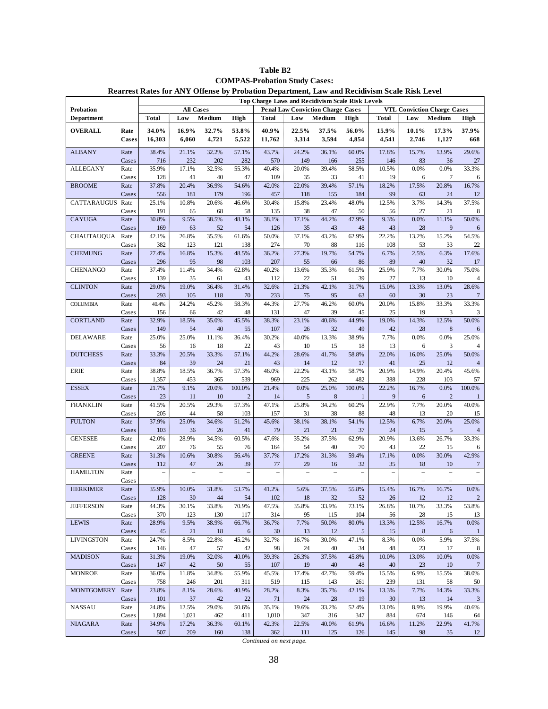|                    |               | <b>Top Charge Laws and Recidivism Scale Risk Levels</b> |                  |                |                |              |                                          |              |                 |                |                                    |                 |                                  |
|--------------------|---------------|---------------------------------------------------------|------------------|----------------|----------------|--------------|------------------------------------------|--------------|-----------------|----------------|------------------------------------|-----------------|----------------------------------|
| <b>Probation</b>   |               |                                                         | <b>All Cases</b> |                |                |              | <b>Penal Law Conviction Charge Cases</b> |              |                 |                | <b>VTL Conviction Charge Cases</b> |                 |                                  |
| <b>Department</b>  |               | <b>Total</b>                                            | Low              | Medium         | <b>High</b>    | <b>Total</b> | Low                                      | Medium       | High            | <b>Total</b>   | Low                                | Medium          | <b>High</b>                      |
| <b>OVERALL</b>     | Rate          | 34.0%                                                   | 16.9%            | 32.7%          | 53.8%          | 40.9%        | 22.5%                                    | 37.5%        | 56.0%           | 15.9%          | 10.1%                              | 17.3%           | 37.9%                            |
|                    | Cases         | 16,303                                                  | 6,060            | 4,721          | 5,522          | 11,762       | 3,314                                    | 3,594        | 4,854           | 4,541          | 2,746                              | 1,127           | 668                              |
|                    |               |                                                         |                  |                |                |              |                                          |              |                 |                |                                    |                 |                                  |
| <b>ALBANY</b>      | Rate          | 38.4%                                                   | 21.1%            | 32.2%          | 57.1%          | 43.7%        | 24.2%                                    | 36.1%        | 60.0%           | 17.8%          | 15.7%                              | 13.9%           | 29.6%                            |
|                    | Cases         | 716                                                     | 232              | 202            | 282            | 570          | 149                                      | 166          | 255             | 146            | 83                                 | 36              | 27                               |
| <b>ALLEGANY</b>    | Rate          | 35.9%                                                   | 17.1%            | 32.5%          | 55.3%          | 40.4%        | 20.0%                                    | 39.4%        | 58.5%           | 10.5%          | 0.0%                               | 0.0%            | 33.3%                            |
|                    | Cases         | 128                                                     | 41               | 40             | 47             | 109          | 35                                       | 33           | 41              | 19             | 6                                  | $7\phantom{.0}$ | 6                                |
| <b>BROOME</b>      | Rate          | 37.8%                                                   | 20.4%            | 36.9%          | 54.6%          | 42.0%        | 22.0%                                    | 39.4%        | 57.1%           | 18.2%          | 17.5%                              | 20.8%           | 16.7%                            |
|                    | Cases         | 556                                                     | 181              | 179            | 196            | 457          | 118                                      | 155          | 184             | 99             | 63                                 | 24              | 12                               |
| <b>CATTARAUGUS</b> | Rate          | 25.1%                                                   | 10.8%            | 20.6%          | 46.6%          | 30.4%        | 15.8%                                    | 23.4%        | 48.0%           | 12.5%          | 3.7%                               | 14.3%           | 37.5%                            |
|                    | Cases         | 191                                                     | 65               | 68             | 58             | 135          | 38                                       | 47           | 50              | 56             | 27                                 | 21              | 8                                |
| <b>CAYUGA</b>      | Rate          | 30.8%                                                   | 9.5%             | 38.5%          | 48.1%          | 38.1%        | 17.1%                                    | 44.2%        | 47.9%           | 9.3%           | 0.0%                               | 11.1%           | 50.0%                            |
|                    | Cases         | 169                                                     | 63               | 52             | 54             | 126          | 35                                       | 43           | 48              | 43             | 28                                 | 9               |                                  |
| <b>CHAUTAUQUA</b>  | Rate          | 42.1%                                                   | 26.8%            | 35.5%          | 61.6%          | 50.0%        | 37.1%                                    | 43.2%        | 62.9%           | 22.2%          | 13.2%                              | 15.2%           | 54.5%                            |
|                    | Cases         | 382                                                     | 123              | 121            | 138            | 274          | 70                                       | 88           | 116             | 108            | 53                                 | 33              | 22                               |
| <b>CHEMUNG</b>     | Rate          | 27.4%                                                   | 16.8%            | 15.3%          | 48.5%          | 36.2%        | 27.3%                                    | 19.7%        | 54.7%           | 6.7%           | 2.5%                               | 6.3%            | 17.6%                            |
|                    | Cases         | 296                                                     | 95               | 98             | 103            | 207          | 55                                       | 66           | 86              | 89             | 40                                 | 32              | 17                               |
| <b>CHENANGO</b>    | Rate          | 37.4%                                                   | 11.4%            | 34.4%          | 62.8%          | 40.2%        | 13.6%                                    | 35.3%        | 61.5%           | 25.9%          | 7.7%                               | 30.0%           | 75.0%                            |
|                    | Cases         | 139                                                     | 35               | 61             | 43             | 112          | 22                                       | 51           | 39              | 27             | 13                                 | 10              | 4                                |
| <b>CLINTON</b>     | Rate          | 29.0%                                                   | 19.0%            | 36.4%          | 31.4%          | 32.6%        | 21.3%                                    | 42.1%        | 31.7%           | 15.0%          | 13.3%                              | 13.0%           | 28.6%                            |
|                    | Cases         | 293                                                     | 105              | 118            | 70             | 233          | 75                                       | 95           | 63              | 60             | 30                                 | 23              | 7                                |
| <b>COLUMBIA</b>    | Rate          | 40.4%                                                   | 24.2%            | 45.2%          | 58.3%          | 44.3%        | 27.7%                                    | 46.2%        | 60.0%           | 20.0%          | 15.8%                              | 33.3%           | 33.3%                            |
|                    | Cases         | 156                                                     | 66               | 42             | 48             | 131          | 47                                       | 39           | 45              | 25             | 19                                 | 3               | 3                                |
| <b>CORTLAND</b>    | Rate          | 32.9%                                                   | 18.5%            | 35.0%          | 45.5%          | 38.3%        | 23.1%                                    | 40.6%        | 44.9%           | 19.0%          | 14.3%                              | 12.5%           | 50.0%                            |
|                    | Cases         | 149                                                     | 54               | 40             | 55             | 107          | 26                                       | 32           | 49              | 42             | 28                                 | $8\phantom{1}$  | 6                                |
| <b>DELAWARE</b>    | Rate          | 25.0%                                                   | 25.0%            | 11.1%          | 36.4%          | 30.2%        | 40.0%                                    | 13.3%        | 38.9%           | 7.7%           | 0.0%                               | 0.0%            | 25.0%                            |
|                    | Cases         | 56                                                      | 16               | 18             | 22             | 43           | 10                                       | 15           | 18              | 13             | 6                                  | 3               |                                  |
| <b>DUTCHESS</b>    | Rate          | 33.3%                                                   | 20.5%            | 33.3%          | 57.1%          | 44.2%        | 28.6%                                    | 41.7%        | 58.8%           | 22.0%          | 16.0%                              | 25.0%           | 50.0%                            |
|                    | Cases         | 84                                                      | 39               | 24             | 21             | 43           | 14                                       | 12           | 17              | 41             | 25                                 | 12              |                                  |
| <b>ERIE</b>        | Rate          | 38.8%                                                   | 18.5%            | 36.7%          | 57.3%          | 46.0%        | 22.2%                                    | 43.1%        | 58.7%           | 20.9%          | 14.9%                              | 20.4%           | 45.6%                            |
|                    | Cases         | 1,357                                                   | 453              | 365            | 539            | 969          | 225                                      | 262          | 482             | 388            | 228                                | 103             | 57                               |
| <b>ESSEX</b>       | Rate          | 21.7%                                                   | 9.1%             | 20.0%          | 100.0%         | 21.4%        | 0.0%                                     | 25.0%        | 100.0%          | 22.2%          | 16.7%                              | 0.0%            | 100.0%                           |
|                    | Cases         | 23                                                      | 11               | 10             | $\overline{2}$ | 14           | 5                                        | 8            | 1               | 9              | 6                                  | $\overline{c}$  | -1                               |
| <b>FRANKLIN</b>    | Rate          | 41.5%                                                   | 20.5%            | 29.3%          | 57.3%          | 47.1%        | 25.8%                                    | 34.2%        | 60.2%           | 22.9%          | 7.7%                               | 20.0%           | 40.0%                            |
|                    | Cases         | 205                                                     | 44               | 58             | 103            | 157          | 31                                       | 38           | 88              | 48             | 13                                 | 20              | 15                               |
| <b>FULTON</b>      | Rate          | 37.9%                                                   | 25.0%            | 34.6%          | 51.2%          | 45.6%        | 38.1%                                    | 38.1%        | 54.1%           | 12.5%          | 6.7%                               | 20.0%           | 25.0%                            |
|                    | Cases         | 103                                                     | 36               | 26             | 41             | 79           | 21                                       | 21           | 37              | 24             | 15                                 | $\sqrt{5}$      |                                  |
| <b>GENESEE</b>     | Rate          | 42.0%                                                   | 28.9%            | 34.5%          | 60.5%          | 47.6%        | 35.2%                                    | 37.5%        | 62.9%           | 20.9%          | 13.6%                              | 26.7%           | 33.3%                            |
|                    | Cases         | 207                                                     | 76               | 55             | 76             | 164          | 54                                       | 40           | 70              | 43             | 22                                 | 15              | 6                                |
| <b>GREENE</b>      | Rate          | 31.3%                                                   | 10.6%            | 30.8%          | 56.4%          | 37.7%        | 17.2%                                    | 31.3%        | 59.4%           | 17.1%          | 0.0%                               | 30.0%           | 42.9%                            |
|                    | Cases         | 112                                                     | 47               | 26             | 39             | 77           | 29                                       | 16           | 32              | 35             | 18                                 | 10              | 7                                |
| <b>HAMILTON</b>    | Rate          | $\equiv$                                                | L,               | $\overline{a}$ | $\overline{a}$ | $\equiv$     | $\equiv$                                 | $\equiv$     | $\overline{a}$  | $\overline{a}$ | $\equiv$                           | $\equiv$        |                                  |
|                    | Cases         |                                                         |                  |                |                |              |                                          |              |                 |                |                                    |                 |                                  |
|                    |               | 35.9%                                                   | 10.0%            | 31.8%          | 53.7%          | 41.2%        | 5.6%                                     | 37.5%        | 55.8%           | 15.4%          | 16.7%                              | 16.7%           | 0.0%                             |
| <b>HERKIMER</b>    | Rate<br>Cases | 128                                                     | 30               | 44             | 54             | 102          | 18                                       | 32           | $52\,$          | 26             | 12                                 | 12              |                                  |
| <b>JEFFERSON</b>   |               | 44.3%                                                   | 30.1%            | 33.8%          | 70.9%          | 47.5%        | 35.8%                                    | 33.9%        | 73.1%           |                | 10.7%                              | 33.3%           | $\overline{\mathbf{c}}$<br>53.8% |
|                    | Rate          | 370                                                     | 123              |                | 117            | 314          |                                          |              | 104             | 26.8%<br>56    |                                    |                 | 13                               |
| <b>LEWIS</b>       | Cases         | 28.9%                                                   | 9.5%             | 130<br>38.9%   | 66.7%          | 36.7%        | 95<br>7.7%                               | 115<br>50.0% | 80.0%           | 13.3%          | 28<br>12.5%                        | 15<br>16.7%     | 0.0%                             |
|                    | Rate<br>Cases |                                                         |                  |                |                |              |                                          |              | $5\phantom{.0}$ |                | $\bf 8$                            |                 |                                  |
| <b>LIVINGSTON</b>  |               | 45                                                      | 21               | 18             | 6<br>45.2%     | 30<br>32.7%  | 13                                       | 12<br>30.0%  |                 | 15             |                                    | 6               |                                  |
|                    | Rate          | 24.7%                                                   | 8.5%<br>47       | 22.8%          | 42             | 98           | 16.7%                                    | 40           | 47.1%<br>34     | 8.3%<br>48     | 0.0%<br>23                         | 5.9%<br>17      | 37.5%                            |
| <b>MADISON</b>     | Cases<br>Rate | 146<br>31.3%                                            | 19.0%            | 57<br>32.0%    | 40.0%          | 39.3%        | 24<br>26.3%                              | 37.5%        | 45.8%           | 10.0%          | 13.0%                              | 10.0%           | 8<br>0.0%                        |
|                    |               |                                                         |                  |                |                |              |                                          |              |                 |                |                                    |                 |                                  |
|                    | Cases         | 147                                                     | 42               | 50             | 55             | 107          | 19                                       | 40           | 48              | 40             | 23                                 | 10              | 7                                |
| <b>MONROE</b>      | Rate          | 36.0%                                                   | 11.8%            | 34.8%          | 55.9%          | 45.5%        | 17.4%                                    | 42.7%        | 59.4%           | 15.5%          | 6.9%                               | 15.5%           | 38.0%                            |
|                    | Cases         | 758                                                     | 246              | 201            | 311            | 519          | 115                                      | 143          | 261             | 239            | 131                                | 58              | 50                               |
| <b>MONTGOMERY</b>  | Rate          | 23.8%                                                   | 8.1%             | 28.6%          | 40.9%          | 28.2%        | 8.3%                                     | 35.7%        | 42.1%           | 13.3%          | 7.7%                               | 14.3%           | 33.3%                            |
|                    | Cases         | 101                                                     | 37               | 42             | 22             | 71           | 24                                       | 28           | 19              | 30             | 13                                 | 14              | 3                                |
| NASSAU             | Rate          | 24.8%                                                   | 12.5%            | 29.0%          | 50.6%          | 35.1%        | 19.6%                                    | 33.2%        | 52.4%           | 13.0%          | 8.9%                               | 19.9%           | 40.6%                            |
|                    | Cases         | 1,894                                                   | 1,021            | 462            | 411            | 1,010        | 347                                      | 316          | 347             | 884            | 674                                | 146             | 64                               |
| <b>NIAGARA</b>     | Rate          | 34.9%                                                   | 17.2%            | 36.3%          | 60.1%          | 42.3%        | 22.5%                                    | 40.0%        | 61.9%           | 16.6%          | 11.2%                              | 22.9%           | 41.7%                            |
|                    | Cases         | 507                                                     | 209              | 160            | 138            | 362          | 111                                      | 125          | 126             | 145            | 98                                 | 35              | 12                               |

**Table B2 COMPAS-Probation Study Cases: Rearrest Rates for ANY Offense by Probation Department, Law and Recidivism Scale Risk Level**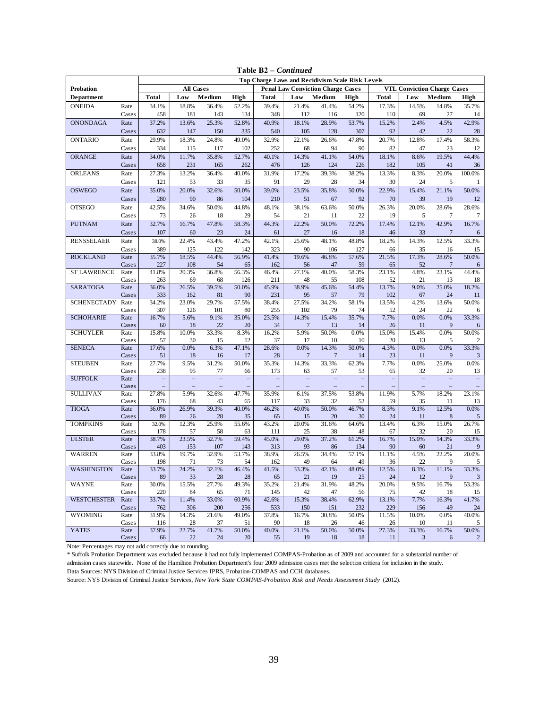|                    | <b>Top Charge Laws and Recidivism Scale Risk Levels</b> |              |                  |              |              |              |                         |                                          |              |              |             |                                    |                |
|--------------------|---------------------------------------------------------|--------------|------------------|--------------|--------------|--------------|-------------------------|------------------------------------------|--------------|--------------|-------------|------------------------------------|----------------|
| <b>Probation</b>   |                                                         |              | <b>All Cases</b> |              |              |              |                         | <b>Penal Law Conviction Charge Cases</b> |              |              |             | <b>VTL Conviction Charge Cases</b> |                |
| <b>Department</b>  |                                                         | <b>Total</b> | Low              | Medium       | High         | <b>Total</b> | Low                     | Medium                                   | High         | <b>Total</b> | Low         | Medium                             | High           |
| <b>ONEIDA</b>      | Rate                                                    | 34.1%        | 18.8%            | 36.4%        | 52.2%        | 39.4%        | 21.4%                   | 41.4%                                    | 54.2%        | 17.3%        | 14.5%       | 14.8%                              | 35.7%          |
|                    | Cases                                                   | 458          | 181              | 143          | 134          | 348          | 112                     | 116                                      | 120          | 110          | 69          | 27                                 | 14             |
| <b>ONONDAGA</b>    | Rate                                                    | 37.2%        | 13.6%            | 25.3%        | 52.8%        | 40.9%        | 18.1%                   | 28.9%                                    | 53.7%        | 15.2%        | 2.4%        | 4.5%                               | 42.9%          |
|                    | Cases                                                   | 632          | 147              | 150          | 335          | 540          | 105                     | 128                                      | 307          | 92           | 42          | 22                                 | 28             |
| <b>ONTARIO</b>     | Rate                                                    | 29.9%        | 18.3%            | 24.8%        | 49.0%        | 32.9%        | 22.1%                   | 26.6%                                    | 47.8%        | 20.7%        | 12.8%       | 17.4%                              | 58.3%          |
|                    | Cases                                                   | 334          | 115              | 117          | 102          | 252          | 68                      | 94                                       | 90           | 82           | 47          | 23                                 | 12             |
| <b>ORANGE</b>      | Rate                                                    | 34.0%        | 11.7%            | 35.8%        | 52.7%        | 40.1%        | 14.3%                   | 41.1%                                    | 54.0%        | 18.1%        | 8.6%        | 19.5%                              | 44.4%          |
|                    | Cases                                                   | 658          | 231              | 165          | 262          | 476          | 126                     | 124                                      | 226          | 182          | 105         | 41                                 | 36             |
| <b>ORLEANS</b>     | Rate                                                    | 27.3%        | 13.2%            | 36.4%        | 40.0%        | 31.9%        | 17.2%                   | 39.3%                                    | 38.2%        | 13.3%        | 8.3%        | 20.0%                              | 100.0%         |
|                    | Cases                                                   | 121          | 53               | 33           | 35           | 91           | 29                      | 28                                       | 34           | 30           | 24          | 5                                  |                |
| <b>OSWEGO</b>      | Rate                                                    | 35.0%        | 20.0%            | 32.6%        | 50.0%        | 39.0%        | 23.5%                   | 35.8%                                    | 50.0%        | 22.9%        | 15.4%       | 21.1%                              | 50.0%          |
|                    | Cases                                                   | 280          | 90               | 86           | 104          | 210          | 51                      | 67                                       | 92           | 70           | 39          | 19                                 | 12             |
| <b>OTSEGO</b>      | Rate                                                    | 42.5%        | 34.6%            | 50.0%        | 44.8%        | 48.1%        | 38.1%                   | 63.6%                                    | 50.0%        | 26.3%        | 20.0%       | 28.6%                              | 28.6%          |
|                    | Cases                                                   | 73           | 26               | 18           | 29           | 54           | 21                      | 11                                       | 22           | 19           | 5           | $\overline{7}$                     | $\overline{7}$ |
| <b>PUTNAM</b>      | Rate                                                    | 32.7%        | 16.7%            | 47.8%        | 58.3%        | 44.3%        | 22.2%                   | 50.0%                                    | 72.2%        | 17.4%        | 12.1%       | 42.9%                              | 16.7%          |
|                    | Cases                                                   | 107          | 60               | 23           | 24           | 61           | 27                      | 16                                       | 18           | 46           | 33          | $\overline{7}$                     | 6              |
| <b>RENSSELAER</b>  | Rate                                                    | 38.0%        | 22.4%            | 43.4%        | 47.2%        | 42.1%        | 25.6%                   | 48.1%                                    | 48.8%        | 18.2%        | 14.3%       | 12.5%                              | 33.3%          |
| <b>ROCKLAND</b>    | Cases                                                   | 389<br>35.7% | 125<br>18.5%     | 122<br>44.4% | 142<br>56.9% | 323<br>41.4% | 90<br>19.6%             | 106<br>46.8%                             | 127<br>57.6% | 66<br>21.5%  | 35<br>17.3% | 16<br>28.6%                        | 15<br>50.0%    |
|                    | Rate<br>Cases                                           | 227          | 108              | 54           | 65           | 162          | 56                      | 47                                       | 59           | 65           | 52          | $\overline{7}$                     |                |
| <b>ST LAWRENCE</b> | Rate                                                    | 41.8%        | 20.3%            | 36.8%        | 56.3%        | 46.4%        | 27.1%                   | 40.0%                                    | 58.3%        | 23.1%        | 4.8%        | 23.1%                              | 44.4%          |
|                    | Cases                                                   | 263          | 69               | 68           | 126          | 211          | 48                      | 55                                       | 108          | 52           | 21          | 13                                 | 18             |
| SARATOGA           | Rate                                                    | 36.0%        | 26.5%            | 39.5%        | 50.0%        | 45.9%        | 38.9%                   | 45.6%                                    | 54.4%        | 13.7%        | 9.0%        | 25.0%                              | 18.2%          |
|                    | Cases                                                   | 333          | 162              | 81           | 90           | 231          | 95                      | 57                                       | 79           | 102          | 67          | 24                                 | 11             |
| <b>SCHENECTADY</b> | Rate                                                    | 34.2%        | 23.0%            | 29.7%        | 57.5%        | 38.4%        | 27.5%                   | 34.2%                                    | 58.1%        | 13.5%        | 4.2%        | 13.6%                              | 50.0%          |
|                    | Cases                                                   | 307          | 126              | 101          | 80           | 255          | 102                     | 79                                       | 74           | 52           | 24          | 22                                 | 6              |
| <b>SCHOHARIE</b>   | Rate                                                    | 16.7%        | 5.6%             | 9.1%<br>22   | 35.0%        | 23.5%        | 14.3%<br>$\overline{7}$ | 15.4%                                    | 35.7%        | 7.7%         | 0.0%        | 0.0%<br>9                          | 33.3%          |
| <b>SCHUYLER</b>    | Cases<br>Rate                                           | 60<br>15.8%  | 18<br>10.0%      | 33.3%        | 20<br>8.3%   | 34<br>16.2%  | 5.9%                    | 13<br>50.0%                              | 14<br>0.0%   | 26<br>15.0%  | 11<br>15.4% | 0.0%                               | 50.0%          |
|                    | Cases                                                   | 57           | 30               | 15           | 12           | 37           | 17                      | 10                                       | 10           | 20           | 13          | 5                                  | $\overline{c}$ |
| <b>SENECA</b>      | Rate                                                    | 17.6%        | 0.0%             | 6.3%         | 47.1%        | 28.6%        | 0.0%                    | 14.3%                                    | 50.0%        | 4.3%         | 0.0%        | 0.0%                               | 33.3%          |
|                    | Cases                                                   | 51           | 18               | 16           | 17           | 28           | $\overline{7}$          | $\overline{7}$                           | 14           | 23           | 11          | 9                                  | 3              |
| <b>STEUBEN</b>     | Rate                                                    | 27.7%        | 9.5%             | 31.2%        | 50.0%        | 35.3%        | 14.3%                   | 33.3%                                    | 62.3%        | 7.7%         | 0.0%        | 25.0%                              | 0.0%           |
|                    | Cases                                                   | 238          | 95               | 77           | 66           | 173          | 63                      | 57                                       | 53           | 65           | 32          | 20                                 | 13             |
| <b>SUFFOLK</b>     | Rate                                                    | $\equiv$     |                  |              |              |              |                         | $\equiv$                                 |              | ÷            |             |                                    |                |
| <b>SULLIVAN</b>    | Cases<br>Rate                                           | 27.8%        | 5.9%             | 32.6%        | 47.7%        | 35.9%        | 6.1%                    | 37.5%                                    | 53.8%        | 11.9%        | 5.7%        | 18.2%                              | 23.1%          |
|                    | Cases                                                   | 176          | 68               | 43           | 65           | 117          | 33                      | 32                                       | 52           | 59           | 35          | 11                                 | 13             |
| <b>TIOGA</b>       | Rate                                                    | 36.0%        | 26.9%            | 39.3%        | 40.0%        | 46.2%        | 40.0%                   | 50.0%                                    | 46.7%        | 8.3%         | 9.1%        | 12.5%                              | 0.0%           |
|                    | Cases                                                   | 89           | 26               | 28           | 35           | 65           | 15                      | 20                                       | 30           | 24           | 11          | 8                                  | 5              |
| <b>TOMPKINS</b>    | Rate                                                    | 32.0%        | 12.3%            | 25.9%        | 55.6%        | 43.2%        | 20.0%                   | 31.6%                                    | 64.6%        | 13.4%        | 6.3%        | 15.0%                              | 26.7%          |
|                    | Cases                                                   | 178          | 57               | 58           | 63           | 111          | 25                      | 38                                       | 48           | 67           | 32          | 20                                 | 15             |
| <b>ULSTER</b>      | Rate                                                    | 38.7%        | 23.5%            | 32.7%        | 59.4%        | 45.0%        | 29.0%                   | 37.2%                                    | 61.2%        | 16.7%        | 15.0%       | 14.3%                              | 33.3%          |
| <b>WARREN</b>      | Cases<br>Rate                                           | 403<br>33.8% | 153<br>19.7%     | 107<br>32.9% | 143<br>53.7% | 313<br>38.9% | 93<br>26.5%             | 86<br>34.4%                              | 134<br>57.1% | 90<br>11.1%  | 60<br>4.5%  | 21<br>22.2%                        | 9<br>20.0%     |
|                    | Cases                                                   | 198          | 71               | 73           | 54           | 162          | 49                      | 64                                       | 49           | 36           | 22          | 9                                  | 5              |
| <b>WASHINGTON</b>  | Rate                                                    | 33.7%        | 24.2%            | 32.1%        | 46.4%        | 41.5%        | 33.3%                   | 42.1%                                    | 48.0%        | 12.5%        | 8.3%        | 11.1%                              | 33.3%          |
|                    | Cases                                                   | 89           | 33               | 28           | 28           | 65           | 21                      | 19                                       | 25           | 24           | 12          | 9                                  | 3              |
| <b>WAYNE</b>       | Rate                                                    | 30.0%        | 15.5%            | 27.7%        | 49.3%        | 35.2%        | 21.4%                   | 31.9%                                    | 48.2%        | 20.0%        | 9.5%        | 16.7%                              | 53.3%          |
|                    | Cases                                                   | 220          | 84               | 65           | 71           | 145          | 42                      | 47                                       | 56           | 75           | 42          | 18                                 | 15             |
| <b>WESTCHESTER</b> | Rate                                                    | 33.7%        | 11.4%            | 33.0%        | 60.9%        | 42.6%        | 15.3%                   | 38.4%                                    | 62.9%        | 13.1%        | 7.7%        | 16.3%                              | 41.7%          |
|                    | Cases                                                   | 762          | 306              | 200          | 256          | 533          | 150                     | 151                                      | 232          | 229          | 156         | 49                                 | 24             |
| <b>WYOMING</b>     | Rate                                                    | 31.9%        | 14.3%            | 21.6%        | 49.0%        | 37.8%        | 16.7%                   | 30.8%                                    | 50.0%        | 11.5%        | 10.0%       | 0.0%                               | 40.0%          |
| <b>YATES</b>       | Cases<br>Rate                                           | 116<br>37.9% | 28<br>22.7%      | 37<br>41.7%  | 51<br>50.0%  | 90<br>40.0%  | 18<br>21.1%             | 26<br>50.0%                              | 46<br>50.0%  | 26<br>27.3%  | 10<br>33.3% | 11<br>16.7%                        | 5<br>50.0%     |
|                    | Cases                                                   | 66           | 22               | 24           | 20           | 55           | 19                      | 18                                       | 18           | 11           | 3           | 6                                  | $\overline{2}$ |

**Table B2 –** *Continued*

Note: Percentages may not add correctly due to rounding.

\* Suffolk Probation Department was excluded because it had not fully implemented COMPAS-Probation as of 2009 and accounted for a substantial number of admission cases statewide. None of the Hamiltion Probation Department's four 2009 admission cases met the selection critiera for inclusion in the study. Data Sources: NYS Division of Criminal Justice Services IPRS, Probation-COMPAS and CCH databases.

Source: NYS Division of Criminal Justice Services, *New York State COMPAS-Probation Risk and Needs Assessment Study* (2012).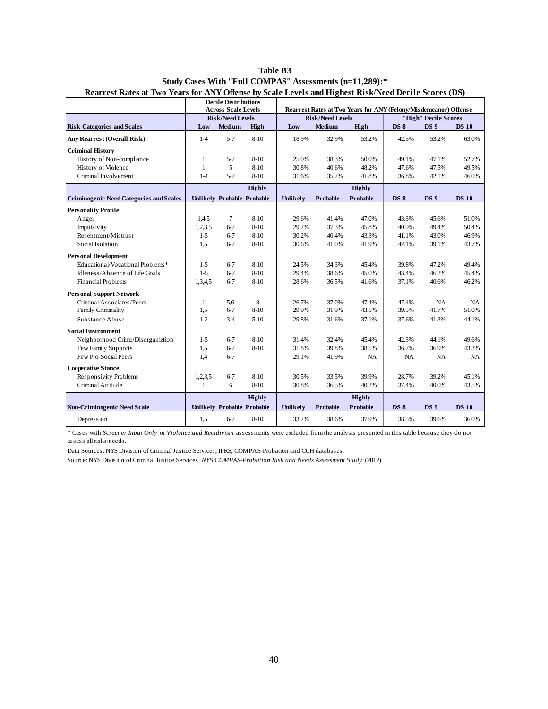|                                                |              | <b>Decile Distributions</b><br><b>Across Scale Levels</b> |                          |          |                         | Rearrest Rates at Two Years for ANY (Felony/Misdemeanor) Offense |             |                      |              |
|------------------------------------------------|--------------|-----------------------------------------------------------|--------------------------|----------|-------------------------|------------------------------------------------------------------|-------------|----------------------|--------------|
|                                                |              | <b>Risk/Need Levels</b>                                   |                          |          | <b>Risk/Need Levels</b> |                                                                  |             | "High" Decile Scores |              |
| <b>Risk Categories and Scales</b>              | Low          | Medium                                                    | High                     | Low      | Medium                  | High                                                             | <b>DS 8</b> | <b>DS9</b>           | <b>DS 10</b> |
| <b>Any Rearrest (Overall Risk)</b>             | $1-4$        | $5 - 7$                                                   | $8 - 10$                 | 18.9%    | 32.9%                   | 53.2%                                                            | 42.5%       | 53.2%                | 63.0%        |
| <b>Criminal History</b>                        |              |                                                           |                          |          |                         |                                                                  |             |                      |              |
| History of Non-compliance                      | $\mathbf{1}$ | $5 - 7$                                                   | $8-10$                   | 25.0%    | 38.3%                   | 50.0%                                                            | 49.1%       | 47.1%                | 52.7%        |
| History of Violence                            | $\mathbf{1}$ | 5                                                         | $8 - 10$                 | 30.8%    | 40.6%                   | 48.2%                                                            | 47.6%       | 47.5%                | 49.5%        |
| Criminal Involvement                           | $1 - 4$      | $5 - 7$                                                   | $8 - 10$                 | 31.6%    | 35.7%                   | 41.8%                                                            | 36.8%       | 42.1%                | 46.0%        |
|                                                |              |                                                           | <b>Highly</b>            |          |                         | <b>Highly</b>                                                    |             |                      |              |
| <b>Criminogenic Need Categories and Scales</b> |              | Unlikely Probable Probable                                |                          | Unlikely | Probable                | <b>Probable</b>                                                  | <b>DS 8</b> | <b>DS</b> 9          | <b>DS 10</b> |
| <b>Personality Profile</b>                     |              |                                                           |                          |          |                         |                                                                  |             |                      |              |
| Anger                                          | 1,4,5        | 7                                                         | $8-10$                   | 29.6%    | 41.4%                   | 47.0%                                                            | 43.3%       | 45.6%                | 51.0%        |
| Impulsivity                                    | 1,2,3,5      | $6 - 7$                                                   | $8 - 10$                 | 29.7%    | 37.3%                   | 45.8%                                                            | 40.9%       | 49.4%                | 50.4%        |
| Resentment/Mistrust                            | $1 - 5$      | $6 - 7$                                                   | $8 - 10$                 | 30.2%    | 40.4%                   | 43.3%                                                            | 41.1%       | 43.0%                | 46.9%        |
| Social Isolation                               | 1,5          | $6 - 7$                                                   | $8 - 10$                 | 30.6%    | 41.0%                   | 41.9%                                                            | 42.1%       | 39.1%                | 43.7%        |
| <b>Personal Development</b>                    |              |                                                           |                          |          |                         |                                                                  |             |                      |              |
| Educational/Vocational Problems*               | $1 - 5$      | $6 - 7$                                                   | $8-10$                   | 24.5%    | 34.3%                   | 45.4%                                                            | 39.8%       | 47.2%                | 49.4%        |
| Idleness/Absence of Life Goals                 | $1 - 5$      | $6 - 7$                                                   | $8 - 10$                 | 29.4%    | 38.6%                   | 45.0%                                                            | 43.4%       | 46.2%                | 45.4%        |
| <b>Financial Problems</b>                      | 1,3,4,5      | $6 - 7$                                                   | $8 - 10$                 | 28.6%    | 36.5%                   | 41.6%                                                            | 37.1%       | 40.6%                | 46.2%        |
| <b>Personal Support Network</b>                |              |                                                           |                          |          |                         |                                                                  |             |                      |              |
| Criminal Associates/Peers                      | $\mathbf{1}$ | 5,6                                                       | $\,8\,$                  | 26.7%    | 37.0%                   | 47.4%                                                            | 47.4%       | NA                   | <b>NA</b>    |
| Family Criminality                             | 1,5          | $6 - 7$                                                   | $8 - 10$                 | 29.9%    | 31.9%                   | 43.5%                                                            | 39.5%       | 41.7%                | 51.0%        |
| Substance Abuse                                | $1-2$        | $3 - 4$                                                   | $5 - 10$                 | 29.8%    | 31.6%                   | 37.1%                                                            | 37.6%       | 41.3%                | 44.1%        |
| <b>Social Environment</b>                      |              |                                                           |                          |          |                         |                                                                  |             |                      |              |
| Neighborhood Crime/Disorganiztion              | $1 - 5$      | $6 - 7$                                                   | $8 - 10$                 | 31.4%    | 32.4%                   | 45.4%                                                            | 42.3%       | 44.1%                | 49.6%        |
| Few Family Supports                            | 1,5          | $6 - 7$                                                   | $8 - 10$                 | 31.8%    | 39.8%                   | 38.5%                                                            | 36.7%       | 36.9%                | 43.3%        |
| Few Pro-Social Peers                           | 1,4          | $6 - 7$                                                   | $\overline{\phantom{0}}$ | 29.1%    | 41.9%                   | NA                                                               | <b>NA</b>   | NA                   | <b>NA</b>    |
| <b>Cooperative Stance</b>                      |              |                                                           |                          |          |                         |                                                                  |             |                      |              |
| <b>Responsivity Problems</b>                   | 1,2,3,5      | $6 - 7$                                                   | $8-10$                   | 30.5%    | 33.5%                   | 39.9%                                                            | 28.7%       | 39.2%                | 45.1%        |
| Criminal Attitude                              | $\mathbf{1}$ | 6                                                         | $8 - 10$                 | 30.8%    | 36.5%                   | 40.2%                                                            | 37.4%       | 40.0%                | 43.5%        |
|                                                |              |                                                           | Highly                   |          |                         | Highly                                                           |             |                      |              |
| <b>Non-Criminogenic Need Scale</b>             |              | Unlikely Probable Probable                                |                          | Unlikely | Probable                | Probable                                                         | <b>DS 8</b> | <b>DS</b> 9          | <b>DS 10</b> |
| Depression                                     | 1,5          | $6 - 7$                                                   | $8 - 10$                 | 33.2%    | 38.6%                   | 37.9%                                                            | 38.5%       | 39.6%                | 36.0%        |

| Table B3                                                                                             |
|------------------------------------------------------------------------------------------------------|
| Study Cases With "Full COMPAS" Assessments (n=11,289):*                                              |
| Rearrest Rates at Two Years for ANY Offense by Scale Levels and Highest Risk/Need Decile Scores (DS) |

\* Cases with *Screener Input Only* or *Violence and Recidivism* assessments were excluded from the analysis presented in this table because they do not assess all risks/needs.

Data Sources: NYS Division of Criminal Justice Services, IPRS, COMPAS-Probation and CCH databases.

Source: NYS Division of Criminal Justice Services, *NYS COMPAS-Probation Risk and Needs Assessment Study* (2012).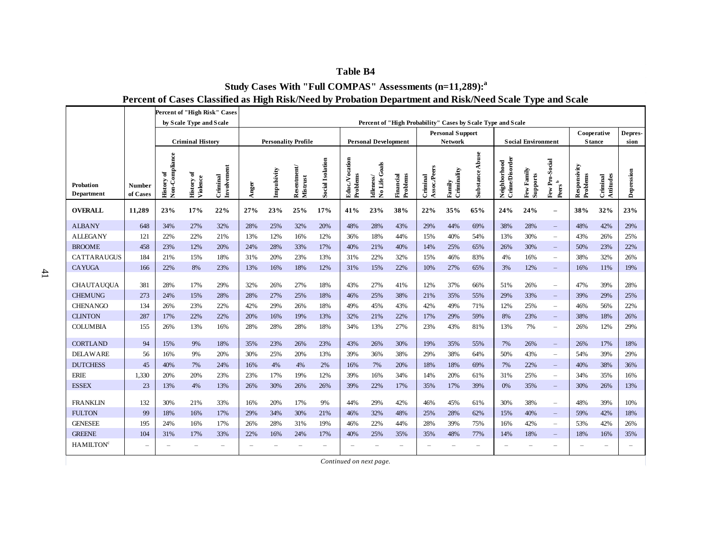|                                       |                           |                                       |                               | Percent of "High Risk" Cases |                          |                            |                                        |                         |                           |                             |                          |                          |                                           |                                                             |                                       |                           |                                                      |                          |                       |                 |
|---------------------------------------|---------------------------|---------------------------------------|-------------------------------|------------------------------|--------------------------|----------------------------|----------------------------------------|-------------------------|---------------------------|-----------------------------|--------------------------|--------------------------|-------------------------------------------|-------------------------------------------------------------|---------------------------------------|---------------------------|------------------------------------------------------|--------------------------|-----------------------|-----------------|
|                                       |                           |                                       | by Scale Type and Scale       |                              |                          |                            |                                        |                         |                           |                             |                          |                          |                                           | Percent of "High Probability" Cases by Scale Type and Scale |                                       |                           |                                                      |                          |                       |                 |
|                                       |                           |                                       | <b>Criminal History</b>       |                              |                          | <b>Personality Profile</b> |                                        |                         |                           | <b>Personal Development</b> |                          |                          | <b>Personal Support</b><br><b>Network</b> |                                                             |                                       | <b>Social Environment</b> |                                                      | Cooperative              | <b>Stance</b>         | Depres-<br>sion |
|                                       |                           |                                       |                               |                              |                          |                            |                                        |                         |                           |                             |                          |                          |                                           |                                                             |                                       |                           |                                                      |                          |                       |                 |
| <b>Probation</b><br><b>Department</b> | <b>Number</b><br>of Cases | Non-Compliance<br>ð<br><b>History</b> | <b>History</b> of<br>Violence | Involvement<br>Criminal      | Anger                    | Impulsivity                | ${\bf Resenment} \atop {\bf Mistrust}$ | <b>Social Isolation</b> | Educ.Vocation<br>Problems | No Life Goals<br>Idleness/  | Problems<br>Financial    | Assoc./Peers<br>Criminal | Criminality<br>Family                     | <b>Substance Abuse</b>                                      | <b>Crime/Disorder</b><br>Neighborhood | Few Family<br>Supports    | Few Pro-Social<br>$\mathbf{Pers}^b$                  | Responsivity<br>Problems | Attitudes<br>Criminal | Depression      |
| <b>OVERALL</b>                        | 11,289                    | 23%                                   | 17%                           | 22%                          | 27%                      | 23%                        | 25%                                    | 17%                     | 41%                       | 23%                         | 38%                      | 22%                      | 35%                                       | 65%                                                         | 24%                                   | 24%                       | $\overline{\phantom{0}}$                             | 38%                      | 32%                   | 23%             |
| <b>ALBANY</b>                         | 648                       | 34%                                   | 27%                           | 32%                          | 28%                      | 25%                        | 32%                                    | 20%                     | 48%                       | 28%                         | 43%                      | 29%                      | 44%                                       | 69%                                                         | 38%                                   | 28%                       | $\qquad \qquad -$                                    | 48%                      | 42%                   | 29%             |
| <b>ALLEGANY</b>                       | 121                       | 22%                                   | 22%                           | 21%                          | 13%                      | 12%                        | 16%                                    | 12%                     | 36%                       | 18%                         | 44%                      | 15%                      | 40%                                       | 54%                                                         | 13%                                   | 30%                       | $\qquad \qquad -$                                    | 43%                      | 26%                   | 25%             |
| <b>BROOME</b>                         | 458                       | 23%                                   | 12%                           | 20%                          | 24%                      | 28%                        | 33%                                    | 17%                     | 40%                       | 21%                         | 40%                      | 14%                      | 25%                                       | 65%                                                         | 26%                                   | 30%                       | $\qquad \qquad -$                                    | 50%                      | 23%                   | 22%             |
| <b>CATTARAUGUS</b>                    | 184                       | 21%                                   | 15%                           | 18%                          | 31%                      | 20%                        | 23%                                    | 13%                     | 31%                       | 22%                         | 32%                      | 15%                      | 46%                                       | 83%                                                         | 4%                                    | 16%                       | $\qquad \qquad -$                                    | 38%                      | 32%                   | 26%             |
| <b>CAYUGA</b>                         | 166                       | 22%                                   | 8%                            | 23%                          | 13%                      | 16%                        | 18%                                    | 12%                     | 31%                       | 15%                         | 22%                      | 10%                      | 27%                                       | 65%                                                         | 3%                                    | 12%                       | $\overline{\phantom{0}}$                             | 16%                      | 11%                   | 19%             |
| <b>CHAUTAUQUA</b>                     | 381                       | 28%                                   | 17%                           | 29%                          | 32%                      | 26%                        | 27%                                    | 18%                     | 43%                       | 27%                         | 41%                      | 12%                      | 37%                                       | 66%                                                         | 51%                                   | 26%                       |                                                      | 47%                      | 39%                   | 28%             |
| <b>CHEMUNG</b>                        | 273                       | 24%                                   | 15%                           | 28%                          | 28%                      | 27%                        | 25%                                    | 18%                     | 46%                       | 25%                         | 38%                      | 21%                      | 35%                                       | 55%                                                         | 29%                                   | 33%                       | $\overline{\phantom{0}}$<br>$\overline{\phantom{a}}$ | 39%                      | 29%                   | 25%             |
| <b>CHENANGO</b>                       | 134                       | 26%                                   | 23%                           | 22%                          | 42%                      | 29%                        | 26%                                    | 18%                     | 49%                       | 45%                         | 43%                      | 42%                      | 49%                                       | 71%                                                         | 12%                                   | 25%                       | $\qquad \qquad -$                                    | 46%                      | 56%                   | 22%             |
| <b>CLINTON</b>                        | 287                       | 17%                                   | 22%                           | 22%                          | 20%                      | 16%                        | 19%                                    | 13%                     | 32%                       | 21%                         | 22%                      | 17%                      | 29%                                       | 59%                                                         | 8%                                    | 23%                       | $-$                                                  | 38%                      | 18%                   | 26%             |
| <b>COLUMBIA</b>                       | 155                       | 26%                                   | 13%                           | 16%                          | 28%                      | 28%                        | 28%                                    | 18%                     | 34%                       | 13%                         | 27%                      | 23%                      | 43%                                       | 81%                                                         | 13%                                   | 7%                        | $\overline{\phantom{0}}$                             | 26%                      | 12%                   | 29%             |
|                                       |                           |                                       |                               |                              |                          |                            |                                        |                         |                           |                             |                          |                          |                                           |                                                             |                                       |                           |                                                      |                          |                       |                 |
| <b>CORTLAND</b>                       | 94                        | 15%                                   | 9%                            | 18%                          | 35%                      | 23%                        | 26%                                    | 23%                     | 43%                       | 26%                         | 30%                      | 19%                      | 35%                                       | 55%                                                         | 7%                                    | 26%                       | $\qquad \qquad -$                                    | 26%                      | 17%                   | 18%             |
| <b>DELAWARE</b>                       | 56                        | 16%                                   | 9%                            | 20%                          | 30%                      | 25%                        | 20%                                    | 13%                     | 39%                       | 36%                         | 38%                      | 29%                      | 38%                                       | 64%                                                         | 50%                                   | 43%                       | $\qquad \qquad -$                                    | 54%                      | 39%                   | 29%             |
| <b>DUTCHESS</b>                       | 45                        | 40%                                   | 7%                            | 24%                          | 16%                      | 4%                         | 4%                                     | 2%                      | 16%                       | 7%                          | 20%                      | 18%                      | 18%                                       | 69%                                                         | 7%                                    | 22%                       | $-$                                                  | 40%                      | 38%                   | 36%             |
| <b>ERIE</b>                           | 1,330                     | 20%                                   | 20%                           | 23%                          | 23%                      | 17%                        | 19%                                    | 12%                     | 39%                       | 16%                         | 34%                      | 14%                      | 20%                                       | 61%                                                         | 31%                                   | 25%                       | $\overline{\phantom{a}}$                             | 34%                      | 35%                   | 16%             |
| <b>ESSEX</b>                          | 23                        | 13%                                   | 4%                            | 13%                          | 26%                      | 30%                        | 26%                                    | 26%                     | 39%                       | 22%                         | 17%                      | 35%                      | 17%                                       | 39%                                                         | 0%                                    | 35%                       | $\overline{\phantom{0}}$                             | 30%                      | 26%                   | 13%             |
| <b>FRANKLIN</b>                       | 132                       | 30%                                   | 21%                           | 33%                          | 16%                      | 20%                        | 17%                                    | 9%                      | 44%                       | 29%                         | 42%                      | 46%                      | 45%                                       | 61%                                                         | 30%                                   | 38%                       | $\qquad \qquad -$                                    | 48%                      | 39%                   | 10%             |
| <b>FULTON</b>                         | 99                        | 18%                                   | 16%                           | 17%                          | 29%                      | 34%                        | 30%                                    | 21%                     | 46%                       | 32%                         | 48%                      | 25%                      | 28%                                       | 62%                                                         | 15%                                   | 40%                       | $-$                                                  | 59%                      | 42%                   | 18%             |
| <b>GENESEE</b>                        | 195                       | 24%                                   | 16%                           | 17%                          | 26%                      | 28%                        | 31%                                    | 19%                     | 46%                       | 22%                         | 44%                      | 28%                      | 39%                                       | 75%                                                         | 16%                                   | 42%                       | $\qquad \qquad -$                                    | 53%                      | 42%                   | 26%             |
| <b>GREENE</b>                         | 104                       | 31%                                   | 17%                           | 33%                          | 22%                      | 16%                        | 24%                                    | 17%                     | 40%                       | 25%                         | 35%                      | 35%                      | 48%                                       | 77%                                                         | 14%                                   | 18%                       | $\overline{\phantom{0}}$                             | 18%                      | 16%                   | 35%             |
| <b>HAMILTON<sup>c</sup></b>           | $\overline{\phantom{a}}$  |                                       | $\equiv$                      | $\overline{\phantom{a}}$     | $\overline{\phantom{0}}$ |                            | $\overline{\phantom{0}}$               |                         |                           | $\overline{\phantom{0}}$    | $\overline{\phantom{0}}$ | $\overline{\phantom{a}}$ | $\overline{\phantom{0}}$                  | $\overline{\phantom{m}}$                                    | $\overline{\phantom{a}}$              | $\overline{\phantom{0}}$  | $\overline{\phantom{0}}$                             | $\overline{\phantom{a}}$ | L.                    |                 |
|                                       |                           |                                       |                               |                              |                          |                            |                                        |                         | Continued on next page.   |                             |                          |                          |                                           |                                                             |                                       |                           |                                                      |                          |                       |                 |

# **Percent of Cases Classified as High Risk/Need by Probation Department and Risk/Need Scale Type and Scale Study Cases With "Full COMPAS" Assessments (n=11,289):<sup>a</sup>**

**Table B4**

41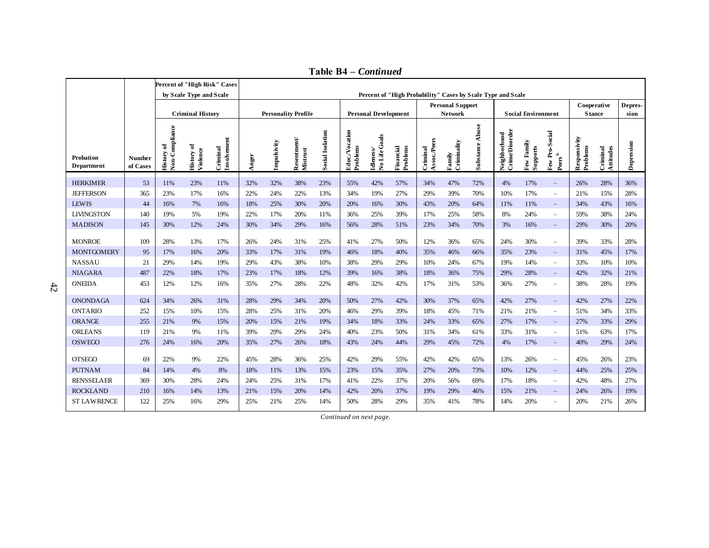|                                |                           |                              |                               | Percent of "High Risk" Cases |       |             |                                         |                         |                                  |                             |                                                             |                          |                         |                 |                                |                           |                                      |                          |                       |            |
|--------------------------------|---------------------------|------------------------------|-------------------------------|------------------------------|-------|-------------|-----------------------------------------|-------------------------|----------------------------------|-----------------------------|-------------------------------------------------------------|--------------------------|-------------------------|-----------------|--------------------------------|---------------------------|--------------------------------------|--------------------------|-----------------------|------------|
|                                |                           |                              | by Scale Type and Scale       |                              |       |             |                                         |                         |                                  |                             | Percent of "High Probability" Cases by Scale Type and Scale |                          |                         |                 |                                |                           |                                      |                          |                       |            |
|                                |                           |                              |                               |                              |       |             |                                         |                         |                                  |                             |                                                             |                          | <b>Personal Support</b> |                 |                                |                           |                                      |                          | Cooperative           | Depres-    |
|                                |                           |                              | <b>Criminal History</b>       |                              |       |             | <b>Personality Profile</b>              |                         |                                  | <b>Personal Development</b> |                                                             |                          | <b>Network</b>          |                 |                                | <b>Social Environment</b> |                                      |                          | <b>Stance</b>         | sion       |
| Probation<br><b>Department</b> | <b>Number</b><br>of Cases | History of<br>Non-Compliance | <b>History of</b><br>Violence | Criminal<br>Involvement      | Anger | Impulsivity | ${\bf Resentment} \atop {\bf Mistrust}$ | <b>Social Isolation</b> | $\frac{Educ.Vocation}{Problems}$ | Idleness/<br>No Life Goals  | Financial<br>Problems                                       | Assoc./Peers<br>Criminal | Family<br>Criminality   | Substance Abuse | Neighborhood<br>Crime/Disorder | Few Family<br>Supports    | Few Pro-Social<br>Peers <sup>b</sup> | Responsivity<br>Problems | Criminal<br>Attitudes | Depression |
| <b>HERKIMER</b>                | 53                        | 11%                          | 23%                           | 11%                          | 32%   | 32%         | 38%                                     | 23%                     | 55%                              | 42%                         | 57%                                                         | 34%                      | 47%                     | 72%             | 4%                             | 17%                       | $\overline{\phantom{m}}$             | 26%                      | 28%                   | 36%        |
| <b>JEFFERSON</b>               | 365                       | 23%                          | 17%                           | 16%                          | 22%   | 24%         | 22%                                     | 13%                     | 34%                              | 19%                         | 27%                                                         | 29%                      | 39%                     | 70%             | 10%                            | 17%                       | $\overline{\phantom{a}}$             | 21%                      | 15%                   | 28%        |
| <b>LEWIS</b>                   | 44                        | 16%                          | 7%                            | 16%                          | 18%   | 25%         | 30%                                     | 20%                     | 20%                              | 16%                         | 30%                                                         | 43%                      | 20%                     | 64%             | 11%                            | 11%                       | $\overline{\phantom{m}}$             | 34%                      | 43%                   | 16%        |
| <b>LIVINGSTON</b>              | 140                       | 19%                          | 5%                            | 19%                          | 22%   | 17%         | 20%                                     | 11%                     | 36%                              | 25%                         | 39%                                                         | 17%                      | 25%                     | 58%             | 8%                             | 24%                       | $\overline{\phantom{m}}$             | 59%                      | 38%                   | 24%        |
| <b>MADISON</b>                 | 145                       | 30%                          | 12%                           | 24%                          | 30%   | 34%         | 29%                                     | 16%                     | 56%                              | 28%                         | 51%                                                         | 23%                      | 34%                     | 70%             | 3%                             | 16%                       | $\overline{\phantom{m}}$             | 29%                      | 30%                   | 20%        |
|                                |                           |                              |                               |                              |       |             |                                         |                         |                                  |                             |                                                             |                          |                         |                 |                                |                           |                                      |                          |                       |            |
| <b>MONROE</b>                  | 109                       | 28%                          | 13%                           | 17%                          | 26%   | 24%         | 31%                                     | 25%                     | 41%                              | 27%                         | 50%                                                         | 12%                      | 36%                     | 65%             | 24%                            | 30%                       | $\overline{\phantom{a}}$             | 39%                      | 33%                   | 28%        |
| <b>MONTGOMERY</b>              | 95                        | 17%                          | 16%                           | 20%                          | 33%   | 17%         | 31%                                     | 19%                     | 46%                              | 18%                         | 40%                                                         | 35%                      | 46%                     | 66%             | 35%                            | 23%                       | $\overline{\phantom{m}}$             | 31%                      | 45%                   | 17%        |
| <b>NASSAU</b>                  | 21                        | 29%                          | 14%                           | 19%                          | 29%   | 43%         | 38%                                     | 10%                     | 38%                              | 29%                         | 29%                                                         | 10%                      | 24%                     | 67%             | 19%                            | 14%                       | $\overline{\phantom{a}}$             | 33%                      | 10%                   | 10%        |
| <b>NIAGARA</b>                 | 487                       | 22%                          | 18%                           | 17%                          | 23%   | 17%         | 18%                                     | 12%                     | 39%                              | 16%                         | 38%                                                         | 18%                      | 36%                     | 75%             | 29%                            | 28%                       | $\qquad \qquad -$                    | 42%                      | 32%                   | 21%        |
| <b>ONEIDA</b>                  | 453                       | 12%                          | 12%                           | 16%                          | 35%   | 27%         | 28%                                     | 22%                     | 48%                              | 32%                         | 42%                                                         | 17%                      | 31%                     | 53%             | 36%                            | 27%                       | $\overline{\phantom{a}}$             | 38%                      | 28%                   | 19%        |
| <b>ONONDAGA</b>                | 624                       | 34%                          | 26%                           | 31%                          | 28%   | 29%         | 34%                                     | 20%                     | 50%                              | 27%                         | 42%                                                         | 30%                      | 37%                     | 65%             | 42%                            | 27%                       | $\overline{\phantom{m}}$             | 42%                      | 27%                   | 22%        |
| <b>ONTARIO</b>                 | 252                       | 15%                          | 10%                           | 15%                          | 28%   | 25%         | 31%                                     | 20%                     | 46%                              | 29%                         | 39%                                                         | 18%                      | 45%                     | 71%             | 21%                            | 21%                       | $\overline{\phantom{a}}$             | 51%                      | 34%                   | 33%        |
| ORANGE                         | 255                       | 21%                          | 9%                            | 15%                          | 20%   | 15%         | 21%                                     | 19%                     | 34%                              | 18%                         | 33%                                                         | 24%                      | 33%                     | 65%             | 27%                            | 17%                       | $\overline{\phantom{m}}$             | 27%                      | 33%                   | 29%        |
| <b>ORLEANS</b>                 | 119                       | 21%                          | 9%                            | 11%                          | 39%   | 29%         | 29%                                     | 24%                     | 40%                              | 23%                         | 50%                                                         | 31%                      | 34%                     | 61%             | 33%                            | 31%                       | $\overline{\phantom{m}}$             | 51%                      | 63%                   | 17%        |
| <b>OSWEGO</b>                  | 276                       | 24%                          | 16%                           | 20%                          | 35%   | 27%         | 26%                                     | 18%                     | 43%                              | 24%                         | 44%                                                         | 29%                      | 45%                     | 72%             | 4%                             | 17%                       | $\qquad \qquad -$                    | 40%                      | 29%                   | 24%        |
| <b>OTSEGO</b>                  | 69                        | 22%                          | 9%                            | 22%                          | 45%   | 28%         | 36%                                     | 25%                     | 42%                              | 29%                         | 55%                                                         | 42%                      | 42%                     | 65%             | 13%                            | 26%                       | $\overline{\phantom{m}}$             | 45%                      | 26%                   | 23%        |
| <b>PUTNAM</b>                  | 84                        | 14%                          | 4%                            | 8%                           | 18%   | 11%         | 13%                                     | 15%                     | 23%                              | 15%                         | 35%                                                         | 27%                      | 20%                     | 73%             | 10%                            | 12%                       | $\overline{\phantom{m}}$             | 44%                      | 25%                   | 25%        |
| <b>RENSSELAER</b>              | 369                       | 30%                          | 28%                           | 24%                          | 24%   | 25%         | 31%                                     | 17%                     | 41%                              | 22%                         | 37%                                                         | 20%                      | 56%                     | 69%             | 17%                            | 18%                       | $\overline{\phantom{a}}$             | 42%                      | 48%                   | 27%        |
| <b>ROCKLAND</b>                | 210                       | 16%                          | 14%                           | 13%                          | 21%   | 15%         | 20%                                     | 14%                     | 42%                              | 20%                         | 37%                                                         | 19%                      | 29%                     | 46%             | 15%                            | 21%                       | $\overline{\phantom{m}}$             | 24%                      | 26%                   | 19%        |
| <b>ST LAWRENCE</b>             | 122                       | 25%                          | 16%                           | 29%                          | 25%   | 21%         | 25%                                     | 14%                     | 50%                              | 28%                         | 29%                                                         | 35%                      | 41%                     | 78%             | 14%                            | 20%                       | $\overline{\phantom{a}}$             | 20%                      | 21%                   | 26%        |
|                                |                           |                              |                               |                              |       |             |                                         |                         | Continued on next page.          |                             |                                                             |                          |                         |                 |                                |                           |                                      |                          |                       |            |
|                                |                           |                              |                               |                              |       |             |                                         |                         |                                  |                             |                                                             |                          |                         |                 |                                |                           |                                      |                          |                       |            |
|                                |                           |                              |                               |                              |       |             |                                         |                         |                                  |                             |                                                             |                          |                         |                 |                                |                           |                                      |                          |                       |            |
|                                |                           |                              |                               |                              |       |             |                                         |                         |                                  |                             |                                                             |                          |                         |                 |                                |                           |                                      |                          |                       |            |
|                                |                           |                              |                               |                              |       |             |                                         |                         |                                  |                             |                                                             |                          |                         |                 |                                |                           |                                      |                          |                       |            |
|                                |                           |                              |                               |                              |       |             |                                         |                         |                                  |                             |                                                             |                          |                         |                 |                                |                           |                                      |                          |                       |            |
|                                |                           |                              |                               |                              |       |             |                                         |                         |                                  |                             |                                                             |                          |                         |                 |                                |                           |                                      |                          |                       |            |

**Table B4 –** *Continued*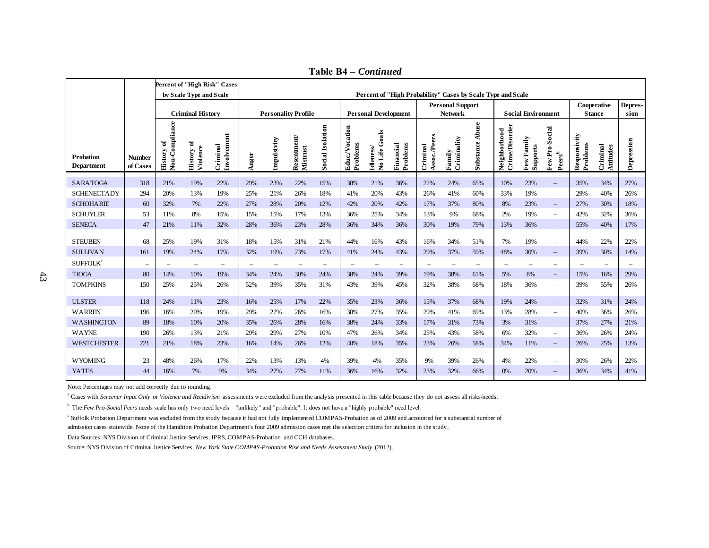| Percent of "High Probability" Cases by Scale Type and Scale<br>by Scale Type and Scale<br><b>Personal Support</b><br>Cooperative<br><b>Criminal History</b><br><b>Personality Profile</b><br><b>Personal Development</b><br><b>Social Environment</b><br><b>Network</b><br><b>Stance</b><br>sion<br>Non-Compliance<br><b>Substance Abuse</b><br>Neighborhood<br>Crime/Disorder<br><b>Social Isolation</b><br>Educ./Vocation<br>Few Pro-Social<br>No Life Goals<br>Involvement<br>Assoc./Peers<br>Responsivity<br>${\bf Resentment} \label{def:resentment}$ Mistrust<br>Criminality<br>Few Family<br>Impulsivity<br>Depression<br>ð<br><b>History of</b><br>Violence<br>Problems<br>Problems<br>Financial<br>Problems<br>Criminal<br>Criminal<br>Supports<br>Criminal<br>Attitudes<br>Idleness/<br><b>History</b><br>Family<br>$\mathbf{Pers}^{\mathrm{b}}$<br>Anger<br><b>Probation</b><br><b>Number</b><br><b>Department</b><br>of Cases<br><b>SARATOGA</b><br>21%<br>19%<br>23%<br>10%<br>23%<br>318<br>22%<br>29%<br>22%<br>15%<br>30%<br>21%<br>36%<br>22%<br>24%<br>65%<br>35%<br>34%<br>27%<br>$\overline{\phantom{m}}$<br><b>SCHENECTADY</b><br>20%<br>40%<br>294<br>13%<br>19%<br>25%<br>21%<br>26%<br>18%<br>41%<br>20%<br>43%<br>26%<br>41%<br>60%<br>33%<br>19%<br>29%<br>26%<br>$\overline{\phantom{a}}$<br><b>SCHOHARIE</b><br>30%<br>60<br>32%<br>7%<br>22%<br>27%<br>28%<br>20%<br>12%<br>42%<br>20%<br>42%<br>17%<br>37%<br>80%<br>8%<br>23%<br>27%<br>18%<br>$\overline{\phantom{m}}$<br><b>SCHUYLER</b><br>11%<br>$8\%$<br>13%<br>36%<br>34%<br>68%<br>32%<br>53<br>15%<br>15%<br>15%<br>17%<br>25%<br>13%<br>9%<br>2%<br>19%<br>42%<br>36%<br>$\overline{\phantom{a}}$<br><b>SENECA</b><br>47<br>79%<br>40%<br>21%<br>11%<br>32%<br>28%<br>36%<br>23%<br>28%<br>36%<br>34%<br>36%<br>30%<br>19%<br>13%<br>36%<br>55%<br>17%<br>$\overline{\phantom{m}}$<br><b>STEUBEN</b><br>25%<br>15%<br>44%<br>16%<br>43%<br>68<br>19%<br>31%<br>18%<br>31%<br>21%<br>16%<br>34%<br>51%<br>7%<br>19%<br>44%<br>22%<br>22%<br>$\overline{\phantom{m}}$<br><b>SULLIVAN</b><br>19%<br>23%<br>17%<br>24%<br>43%<br>37%<br>48%<br>39%<br>30%<br>161<br>19%<br>24%<br>17%<br>32%<br>41%<br>29%<br>59%<br>30%<br>14%<br>$\overline{\phantom{m}}$<br>$\textsc{SUFFOLK}^\mathrm{c}$<br>$\equiv$<br>$\equiv$<br>$\equiv$<br>$\overline{\phantom{a}}$<br>$\equiv$<br>$\overline{\phantom{a}}$<br>$\overline{\phantom{a}}$<br>$\overline{\phantom{a}}$<br>$\overline{\phantom{a}}$<br>$\overline{\phantom{a}}$<br>$\equiv$<br>$\overline{\phantom{a}}$<br>$\overline{\phantom{a}}$<br>$\equiv$<br>$\overline{\phantom{0}}$<br>$\overline{\phantom{a}}$<br>$\overline{\phantom{a}}$<br>$\overline{\phantom{a}}$<br>$\!-$<br>$\overline{\phantom{0}}$<br><b>TIOGA</b><br>80<br>14%<br>34%<br>38%<br>19%<br>10%<br>19%<br>24%<br>30%<br>24%<br>24%<br>39%<br>38%<br>61%<br>5%<br>8%<br>15%<br>16%<br>29%<br>$\overline{\phantom{a}}$<br><b>TOMPKINS</b><br>25%<br>52%<br>150<br>25%<br>26%<br>39%<br>35%<br>31%<br>43%<br>39%<br>45%<br>32%<br>38%<br>68%<br>18%<br>36%<br>39%<br>55%<br>26%<br>$\overline{\phantom{m}}$<br><b>ULSTER</b><br>35%<br>23%<br>37%<br>19%<br>118<br>24%<br>11%<br>23%<br>16%<br>25%<br>17%<br>22%<br>36%<br>15%<br>68%<br>24%<br>32%<br>31%<br>24%<br>$\overline{\phantom{m}}$<br><b>WARREN</b><br>196<br>16%<br>29%<br>27%<br>16%<br>35%<br>69%<br>40%<br>36%<br>26%<br>20%<br>19%<br>26%<br>30%<br>27%<br>29%<br>41%<br>13%<br>28%<br>$\equiv$<br><b>WASHINGTON</b><br>89<br>18%<br>10%<br>20%<br>35%<br>28%<br>38%<br>24%<br>33%<br>17%<br>73%<br>3%<br>31%<br>37%<br>27%<br>26%<br>16%<br>31%<br>21%<br>$\overline{\phantom{m}}$<br><b>WAYNE</b><br>190<br>26%<br>29%<br>29%<br>27%<br>10%<br>47%<br>34%<br>43%<br>58%<br>26%<br>13%<br>21%<br>26%<br>25%<br>6%<br>32%<br>36%<br>24%<br>$\overline{\phantom{m}}$<br><b>WESTCHESTER</b><br>221<br>18%<br>23%<br>14%<br>25%<br>21%<br>16%<br>26%<br>12%<br>40%<br>18%<br>35%<br>23%<br>26%<br>58%<br>34%<br>11%<br>26%<br>13%<br>$\overline{\phantom{m}}$<br><b>WYOMING</b><br>23<br>48%<br>26%<br>17%<br>22%<br>13%<br>13%<br>4%<br>39%<br>4%<br>35%<br>9%<br>39%<br>22%<br>30%<br>26%<br>22%<br>26%<br>4%<br>$\overline{\phantom{a}}$<br>44<br><b>YATES</b><br>16%<br>7%<br>9%<br>34%<br>27%<br>27%<br>11%<br>36%<br>16%<br>32%<br>23%<br>32%<br>0%<br>20%<br>36%<br>34%<br>66%<br>41%<br>Note: Percentages may not add correctly due to rounding.<br><sup>a</sup> Cases with Screener Input Only or Violence and Recidivism assessments were excluded from the analysis presented in this table because they do not assess all risks/needs.<br><sup>b</sup> The Few Pro-Social Peers needs scale has only two need levels - "unlikely" and "probable". It does not have a "highly probable" need level.<br><sup>c</sup> Suffolk Probation Department was excluded from the study because it had not fully implemented COMPAS-Probation as of 2009 and accounted for a substantial number of<br>admission cases statewide. None of the Hamiltion Probation Department's four 2009 admission cases met the selection critiera for inclusion in the study.<br>Data Sources: NYS Division of Criminal Justice Services, IPRS, COMPAS-Probation and CCH databases.<br>Source: NYS Division of Criminal Justice Services, New York State COMPAS-Probation Risk and Needs Assessment Study (2012). |  | Percent of "High Risk" Cases |  |  |  |  |  |  |  |  |  |  |  |  |  |  |  |         |
|---------------------------------------------------------------------------------------------------------------------------------------------------------------------------------------------------------------------------------------------------------------------------------------------------------------------------------------------------------------------------------------------------------------------------------------------------------------------------------------------------------------------------------------------------------------------------------------------------------------------------------------------------------------------------------------------------------------------------------------------------------------------------------------------------------------------------------------------------------------------------------------------------------------------------------------------------------------------------------------------------------------------------------------------------------------------------------------------------------------------------------------------------------------------------------------------------------------------------------------------------------------------------------------------------------------------------------------------------------------------------------------------------------------------------------------------------------------------------------------------------------------------------------------------------------------------------------------------------------------------------------------------------------------------------------------------------------------------------------------------------------------------------------------------------------------------------------------------------------------------------------------------------------------------------------------------------------------------------------------------------------------------------------------------------------------------------------------------------------------------------------------------------------------------------------------------------------------------------------------------------------------------------------------------------------------------------------------------------------------------------------------------------------------------------------------------------------------------------------------------------------------------------------------------------------------------------------------------------------------------------------------------------------------------------------------------------------------------------------------------------------------------------------------------------------------------------------------------------------------------------------------------------------------------------------------------------------------------------------------------------------------------------------------------------------------------------------------------------------------------------------------------------------------------------------------------------------------------------------------------------------------------------------------------------------------------------------------------------------------------------------------------------------------------------------------------------------------------------------------------------------------------------------------------------------------------------------------------------------------------------------------------------------------------------------------------------------------------------------------------------------------------------------------------------------------------------------------------------------------------------------------------------------------------------------------------------------------------------------------------------------------------------------------------------------------------------------------------------------------------------------------------------------------------------------------------------------------------------------------------------------------------------------------------------------------------------------------------------------------------------------------------------------------------------------------------------------------------------------------------------------------------------------------------------------------------------------------------------------------------------------------------------------------------------------------------------------------------------------------------------------------------------------------------------------------------------------------------------------------------------------------------------------------------------------------------------------------------------------------------------------------------------------------------------------------------------------------------------------------------------------------------------------------------------------------------------------------------------------------------------------------------------------------------------------------------------------------------------------------------|--|------------------------------|--|--|--|--|--|--|--|--|--|--|--|--|--|--|--|---------|
|                                                                                                                                                                                                                                                                                                                                                                                                                                                                                                                                                                                                                                                                                                                                                                                                                                                                                                                                                                                                                                                                                                                                                                                                                                                                                                                                                                                                                                                                                                                                                                                                                                                                                                                                                                                                                                                                                                                                                                                                                                                                                                                                                                                                                                                                                                                                                                                                                                                                                                                                                                                                                                                                                                                                                                                                                                                                                                                                                                                                                                                                                                                                                                                                                                                                                                                                                                                                                                                                                                                                                                                                                                                                                                                                                                                                                                                                                                                                                                                                                                                                                                                                                                                                                                                                                                                                                                                                                                                                                                                                                                                                                                                                                                                                                                                                                                                                                                                                                                                                                                                                                                                                                                                                                                                                                                                                                                     |  |                              |  |  |  |  |  |  |  |  |  |  |  |  |  |  |  |         |
|                                                                                                                                                                                                                                                                                                                                                                                                                                                                                                                                                                                                                                                                                                                                                                                                                                                                                                                                                                                                                                                                                                                                                                                                                                                                                                                                                                                                                                                                                                                                                                                                                                                                                                                                                                                                                                                                                                                                                                                                                                                                                                                                                                                                                                                                                                                                                                                                                                                                                                                                                                                                                                                                                                                                                                                                                                                                                                                                                                                                                                                                                                                                                                                                                                                                                                                                                                                                                                                                                                                                                                                                                                                                                                                                                                                                                                                                                                                                                                                                                                                                                                                                                                                                                                                                                                                                                                                                                                                                                                                                                                                                                                                                                                                                                                                                                                                                                                                                                                                                                                                                                                                                                                                                                                                                                                                                                                     |  |                              |  |  |  |  |  |  |  |  |  |  |  |  |  |  |  | Depres- |
|                                                                                                                                                                                                                                                                                                                                                                                                                                                                                                                                                                                                                                                                                                                                                                                                                                                                                                                                                                                                                                                                                                                                                                                                                                                                                                                                                                                                                                                                                                                                                                                                                                                                                                                                                                                                                                                                                                                                                                                                                                                                                                                                                                                                                                                                                                                                                                                                                                                                                                                                                                                                                                                                                                                                                                                                                                                                                                                                                                                                                                                                                                                                                                                                                                                                                                                                                                                                                                                                                                                                                                                                                                                                                                                                                                                                                                                                                                                                                                                                                                                                                                                                                                                                                                                                                                                                                                                                                                                                                                                                                                                                                                                                                                                                                                                                                                                                                                                                                                                                                                                                                                                                                                                                                                                                                                                                                                     |  |                              |  |  |  |  |  |  |  |  |  |  |  |  |  |  |  |         |
|                                                                                                                                                                                                                                                                                                                                                                                                                                                                                                                                                                                                                                                                                                                                                                                                                                                                                                                                                                                                                                                                                                                                                                                                                                                                                                                                                                                                                                                                                                                                                                                                                                                                                                                                                                                                                                                                                                                                                                                                                                                                                                                                                                                                                                                                                                                                                                                                                                                                                                                                                                                                                                                                                                                                                                                                                                                                                                                                                                                                                                                                                                                                                                                                                                                                                                                                                                                                                                                                                                                                                                                                                                                                                                                                                                                                                                                                                                                                                                                                                                                                                                                                                                                                                                                                                                                                                                                                                                                                                                                                                                                                                                                                                                                                                                                                                                                                                                                                                                                                                                                                                                                                                                                                                                                                                                                                                                     |  |                              |  |  |  |  |  |  |  |  |  |  |  |  |  |  |  |         |
|                                                                                                                                                                                                                                                                                                                                                                                                                                                                                                                                                                                                                                                                                                                                                                                                                                                                                                                                                                                                                                                                                                                                                                                                                                                                                                                                                                                                                                                                                                                                                                                                                                                                                                                                                                                                                                                                                                                                                                                                                                                                                                                                                                                                                                                                                                                                                                                                                                                                                                                                                                                                                                                                                                                                                                                                                                                                                                                                                                                                                                                                                                                                                                                                                                                                                                                                                                                                                                                                                                                                                                                                                                                                                                                                                                                                                                                                                                                                                                                                                                                                                                                                                                                                                                                                                                                                                                                                                                                                                                                                                                                                                                                                                                                                                                                                                                                                                                                                                                                                                                                                                                                                                                                                                                                                                                                                                                     |  |                              |  |  |  |  |  |  |  |  |  |  |  |  |  |  |  |         |
|                                                                                                                                                                                                                                                                                                                                                                                                                                                                                                                                                                                                                                                                                                                                                                                                                                                                                                                                                                                                                                                                                                                                                                                                                                                                                                                                                                                                                                                                                                                                                                                                                                                                                                                                                                                                                                                                                                                                                                                                                                                                                                                                                                                                                                                                                                                                                                                                                                                                                                                                                                                                                                                                                                                                                                                                                                                                                                                                                                                                                                                                                                                                                                                                                                                                                                                                                                                                                                                                                                                                                                                                                                                                                                                                                                                                                                                                                                                                                                                                                                                                                                                                                                                                                                                                                                                                                                                                                                                                                                                                                                                                                                                                                                                                                                                                                                                                                                                                                                                                                                                                                                                                                                                                                                                                                                                                                                     |  |                              |  |  |  |  |  |  |  |  |  |  |  |  |  |  |  |         |
|                                                                                                                                                                                                                                                                                                                                                                                                                                                                                                                                                                                                                                                                                                                                                                                                                                                                                                                                                                                                                                                                                                                                                                                                                                                                                                                                                                                                                                                                                                                                                                                                                                                                                                                                                                                                                                                                                                                                                                                                                                                                                                                                                                                                                                                                                                                                                                                                                                                                                                                                                                                                                                                                                                                                                                                                                                                                                                                                                                                                                                                                                                                                                                                                                                                                                                                                                                                                                                                                                                                                                                                                                                                                                                                                                                                                                                                                                                                                                                                                                                                                                                                                                                                                                                                                                                                                                                                                                                                                                                                                                                                                                                                                                                                                                                                                                                                                                                                                                                                                                                                                                                                                                                                                                                                                                                                                                                     |  |                              |  |  |  |  |  |  |  |  |  |  |  |  |  |  |  |         |
|                                                                                                                                                                                                                                                                                                                                                                                                                                                                                                                                                                                                                                                                                                                                                                                                                                                                                                                                                                                                                                                                                                                                                                                                                                                                                                                                                                                                                                                                                                                                                                                                                                                                                                                                                                                                                                                                                                                                                                                                                                                                                                                                                                                                                                                                                                                                                                                                                                                                                                                                                                                                                                                                                                                                                                                                                                                                                                                                                                                                                                                                                                                                                                                                                                                                                                                                                                                                                                                                                                                                                                                                                                                                                                                                                                                                                                                                                                                                                                                                                                                                                                                                                                                                                                                                                                                                                                                                                                                                                                                                                                                                                                                                                                                                                                                                                                                                                                                                                                                                                                                                                                                                                                                                                                                                                                                                                                     |  |                              |  |  |  |  |  |  |  |  |  |  |  |  |  |  |  |         |
|                                                                                                                                                                                                                                                                                                                                                                                                                                                                                                                                                                                                                                                                                                                                                                                                                                                                                                                                                                                                                                                                                                                                                                                                                                                                                                                                                                                                                                                                                                                                                                                                                                                                                                                                                                                                                                                                                                                                                                                                                                                                                                                                                                                                                                                                                                                                                                                                                                                                                                                                                                                                                                                                                                                                                                                                                                                                                                                                                                                                                                                                                                                                                                                                                                                                                                                                                                                                                                                                                                                                                                                                                                                                                                                                                                                                                                                                                                                                                                                                                                                                                                                                                                                                                                                                                                                                                                                                                                                                                                                                                                                                                                                                                                                                                                                                                                                                                                                                                                                                                                                                                                                                                                                                                                                                                                                                                                     |  |                              |  |  |  |  |  |  |  |  |  |  |  |  |  |  |  |         |
|                                                                                                                                                                                                                                                                                                                                                                                                                                                                                                                                                                                                                                                                                                                                                                                                                                                                                                                                                                                                                                                                                                                                                                                                                                                                                                                                                                                                                                                                                                                                                                                                                                                                                                                                                                                                                                                                                                                                                                                                                                                                                                                                                                                                                                                                                                                                                                                                                                                                                                                                                                                                                                                                                                                                                                                                                                                                                                                                                                                                                                                                                                                                                                                                                                                                                                                                                                                                                                                                                                                                                                                                                                                                                                                                                                                                                                                                                                                                                                                                                                                                                                                                                                                                                                                                                                                                                                                                                                                                                                                                                                                                                                                                                                                                                                                                                                                                                                                                                                                                                                                                                                                                                                                                                                                                                                                                                                     |  |                              |  |  |  |  |  |  |  |  |  |  |  |  |  |  |  |         |
|                                                                                                                                                                                                                                                                                                                                                                                                                                                                                                                                                                                                                                                                                                                                                                                                                                                                                                                                                                                                                                                                                                                                                                                                                                                                                                                                                                                                                                                                                                                                                                                                                                                                                                                                                                                                                                                                                                                                                                                                                                                                                                                                                                                                                                                                                                                                                                                                                                                                                                                                                                                                                                                                                                                                                                                                                                                                                                                                                                                                                                                                                                                                                                                                                                                                                                                                                                                                                                                                                                                                                                                                                                                                                                                                                                                                                                                                                                                                                                                                                                                                                                                                                                                                                                                                                                                                                                                                                                                                                                                                                                                                                                                                                                                                                                                                                                                                                                                                                                                                                                                                                                                                                                                                                                                                                                                                                                     |  |                              |  |  |  |  |  |  |  |  |  |  |  |  |  |  |  |         |
|                                                                                                                                                                                                                                                                                                                                                                                                                                                                                                                                                                                                                                                                                                                                                                                                                                                                                                                                                                                                                                                                                                                                                                                                                                                                                                                                                                                                                                                                                                                                                                                                                                                                                                                                                                                                                                                                                                                                                                                                                                                                                                                                                                                                                                                                                                                                                                                                                                                                                                                                                                                                                                                                                                                                                                                                                                                                                                                                                                                                                                                                                                                                                                                                                                                                                                                                                                                                                                                                                                                                                                                                                                                                                                                                                                                                                                                                                                                                                                                                                                                                                                                                                                                                                                                                                                                                                                                                                                                                                                                                                                                                                                                                                                                                                                                                                                                                                                                                                                                                                                                                                                                                                                                                                                                                                                                                                                     |  |                              |  |  |  |  |  |  |  |  |  |  |  |  |  |  |  |         |
|                                                                                                                                                                                                                                                                                                                                                                                                                                                                                                                                                                                                                                                                                                                                                                                                                                                                                                                                                                                                                                                                                                                                                                                                                                                                                                                                                                                                                                                                                                                                                                                                                                                                                                                                                                                                                                                                                                                                                                                                                                                                                                                                                                                                                                                                                                                                                                                                                                                                                                                                                                                                                                                                                                                                                                                                                                                                                                                                                                                                                                                                                                                                                                                                                                                                                                                                                                                                                                                                                                                                                                                                                                                                                                                                                                                                                                                                                                                                                                                                                                                                                                                                                                                                                                                                                                                                                                                                                                                                                                                                                                                                                                                                                                                                                                                                                                                                                                                                                                                                                                                                                                                                                                                                                                                                                                                                                                     |  |                              |  |  |  |  |  |  |  |  |  |  |  |  |  |  |  |         |
|                                                                                                                                                                                                                                                                                                                                                                                                                                                                                                                                                                                                                                                                                                                                                                                                                                                                                                                                                                                                                                                                                                                                                                                                                                                                                                                                                                                                                                                                                                                                                                                                                                                                                                                                                                                                                                                                                                                                                                                                                                                                                                                                                                                                                                                                                                                                                                                                                                                                                                                                                                                                                                                                                                                                                                                                                                                                                                                                                                                                                                                                                                                                                                                                                                                                                                                                                                                                                                                                                                                                                                                                                                                                                                                                                                                                                                                                                                                                                                                                                                                                                                                                                                                                                                                                                                                                                                                                                                                                                                                                                                                                                                                                                                                                                                                                                                                                                                                                                                                                                                                                                                                                                                                                                                                                                                                                                                     |  |                              |  |  |  |  |  |  |  |  |  |  |  |  |  |  |  |         |
|                                                                                                                                                                                                                                                                                                                                                                                                                                                                                                                                                                                                                                                                                                                                                                                                                                                                                                                                                                                                                                                                                                                                                                                                                                                                                                                                                                                                                                                                                                                                                                                                                                                                                                                                                                                                                                                                                                                                                                                                                                                                                                                                                                                                                                                                                                                                                                                                                                                                                                                                                                                                                                                                                                                                                                                                                                                                                                                                                                                                                                                                                                                                                                                                                                                                                                                                                                                                                                                                                                                                                                                                                                                                                                                                                                                                                                                                                                                                                                                                                                                                                                                                                                                                                                                                                                                                                                                                                                                                                                                                                                                                                                                                                                                                                                                                                                                                                                                                                                                                                                                                                                                                                                                                                                                                                                                                                                     |  |                              |  |  |  |  |  |  |  |  |  |  |  |  |  |  |  |         |
|                                                                                                                                                                                                                                                                                                                                                                                                                                                                                                                                                                                                                                                                                                                                                                                                                                                                                                                                                                                                                                                                                                                                                                                                                                                                                                                                                                                                                                                                                                                                                                                                                                                                                                                                                                                                                                                                                                                                                                                                                                                                                                                                                                                                                                                                                                                                                                                                                                                                                                                                                                                                                                                                                                                                                                                                                                                                                                                                                                                                                                                                                                                                                                                                                                                                                                                                                                                                                                                                                                                                                                                                                                                                                                                                                                                                                                                                                                                                                                                                                                                                                                                                                                                                                                                                                                                                                                                                                                                                                                                                                                                                                                                                                                                                                                                                                                                                                                                                                                                                                                                                                                                                                                                                                                                                                                                                                                     |  |                              |  |  |  |  |  |  |  |  |  |  |  |  |  |  |  |         |
|                                                                                                                                                                                                                                                                                                                                                                                                                                                                                                                                                                                                                                                                                                                                                                                                                                                                                                                                                                                                                                                                                                                                                                                                                                                                                                                                                                                                                                                                                                                                                                                                                                                                                                                                                                                                                                                                                                                                                                                                                                                                                                                                                                                                                                                                                                                                                                                                                                                                                                                                                                                                                                                                                                                                                                                                                                                                                                                                                                                                                                                                                                                                                                                                                                                                                                                                                                                                                                                                                                                                                                                                                                                                                                                                                                                                                                                                                                                                                                                                                                                                                                                                                                                                                                                                                                                                                                                                                                                                                                                                                                                                                                                                                                                                                                                                                                                                                                                                                                                                                                                                                                                                                                                                                                                                                                                                                                     |  |                              |  |  |  |  |  |  |  |  |  |  |  |  |  |  |  |         |
|                                                                                                                                                                                                                                                                                                                                                                                                                                                                                                                                                                                                                                                                                                                                                                                                                                                                                                                                                                                                                                                                                                                                                                                                                                                                                                                                                                                                                                                                                                                                                                                                                                                                                                                                                                                                                                                                                                                                                                                                                                                                                                                                                                                                                                                                                                                                                                                                                                                                                                                                                                                                                                                                                                                                                                                                                                                                                                                                                                                                                                                                                                                                                                                                                                                                                                                                                                                                                                                                                                                                                                                                                                                                                                                                                                                                                                                                                                                                                                                                                                                                                                                                                                                                                                                                                                                                                                                                                                                                                                                                                                                                                                                                                                                                                                                                                                                                                                                                                                                                                                                                                                                                                                                                                                                                                                                                                                     |  |                              |  |  |  |  |  |  |  |  |  |  |  |  |  |  |  |         |
|                                                                                                                                                                                                                                                                                                                                                                                                                                                                                                                                                                                                                                                                                                                                                                                                                                                                                                                                                                                                                                                                                                                                                                                                                                                                                                                                                                                                                                                                                                                                                                                                                                                                                                                                                                                                                                                                                                                                                                                                                                                                                                                                                                                                                                                                                                                                                                                                                                                                                                                                                                                                                                                                                                                                                                                                                                                                                                                                                                                                                                                                                                                                                                                                                                                                                                                                                                                                                                                                                                                                                                                                                                                                                                                                                                                                                                                                                                                                                                                                                                                                                                                                                                                                                                                                                                                                                                                                                                                                                                                                                                                                                                                                                                                                                                                                                                                                                                                                                                                                                                                                                                                                                                                                                                                                                                                                                                     |  |                              |  |  |  |  |  |  |  |  |  |  |  |  |  |  |  |         |
|                                                                                                                                                                                                                                                                                                                                                                                                                                                                                                                                                                                                                                                                                                                                                                                                                                                                                                                                                                                                                                                                                                                                                                                                                                                                                                                                                                                                                                                                                                                                                                                                                                                                                                                                                                                                                                                                                                                                                                                                                                                                                                                                                                                                                                                                                                                                                                                                                                                                                                                                                                                                                                                                                                                                                                                                                                                                                                                                                                                                                                                                                                                                                                                                                                                                                                                                                                                                                                                                                                                                                                                                                                                                                                                                                                                                                                                                                                                                                                                                                                                                                                                                                                                                                                                                                                                                                                                                                                                                                                                                                                                                                                                                                                                                                                                                                                                                                                                                                                                                                                                                                                                                                                                                                                                                                                                                                                     |  |                              |  |  |  |  |  |  |  |  |  |  |  |  |  |  |  |         |
|                                                                                                                                                                                                                                                                                                                                                                                                                                                                                                                                                                                                                                                                                                                                                                                                                                                                                                                                                                                                                                                                                                                                                                                                                                                                                                                                                                                                                                                                                                                                                                                                                                                                                                                                                                                                                                                                                                                                                                                                                                                                                                                                                                                                                                                                                                                                                                                                                                                                                                                                                                                                                                                                                                                                                                                                                                                                                                                                                                                                                                                                                                                                                                                                                                                                                                                                                                                                                                                                                                                                                                                                                                                                                                                                                                                                                                                                                                                                                                                                                                                                                                                                                                                                                                                                                                                                                                                                                                                                                                                                                                                                                                                                                                                                                                                                                                                                                                                                                                                                                                                                                                                                                                                                                                                                                                                                                                     |  |                              |  |  |  |  |  |  |  |  |  |  |  |  |  |  |  |         |
|                                                                                                                                                                                                                                                                                                                                                                                                                                                                                                                                                                                                                                                                                                                                                                                                                                                                                                                                                                                                                                                                                                                                                                                                                                                                                                                                                                                                                                                                                                                                                                                                                                                                                                                                                                                                                                                                                                                                                                                                                                                                                                                                                                                                                                                                                                                                                                                                                                                                                                                                                                                                                                                                                                                                                                                                                                                                                                                                                                                                                                                                                                                                                                                                                                                                                                                                                                                                                                                                                                                                                                                                                                                                                                                                                                                                                                                                                                                                                                                                                                                                                                                                                                                                                                                                                                                                                                                                                                                                                                                                                                                                                                                                                                                                                                                                                                                                                                                                                                                                                                                                                                                                                                                                                                                                                                                                                                     |  |                              |  |  |  |  |  |  |  |  |  |  |  |  |  |  |  |         |
|                                                                                                                                                                                                                                                                                                                                                                                                                                                                                                                                                                                                                                                                                                                                                                                                                                                                                                                                                                                                                                                                                                                                                                                                                                                                                                                                                                                                                                                                                                                                                                                                                                                                                                                                                                                                                                                                                                                                                                                                                                                                                                                                                                                                                                                                                                                                                                                                                                                                                                                                                                                                                                                                                                                                                                                                                                                                                                                                                                                                                                                                                                                                                                                                                                                                                                                                                                                                                                                                                                                                                                                                                                                                                                                                                                                                                                                                                                                                                                                                                                                                                                                                                                                                                                                                                                                                                                                                                                                                                                                                                                                                                                                                                                                                                                                                                                                                                                                                                                                                                                                                                                                                                                                                                                                                                                                                                                     |  |                              |  |  |  |  |  |  |  |  |  |  |  |  |  |  |  |         |

**Table B4 –** *Continued*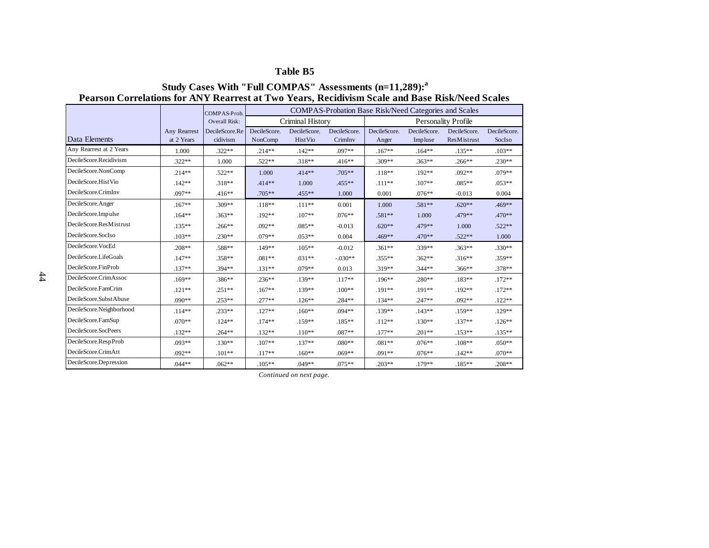### **Table B5**

### **Pearson Correlations for ANY Rearrest at Two Years, Recidivism Scale and Base Risk/Need Scales Study Cases With "Full COMPAS" Assessments (n=11,289):<sup>a</sup>**

|                                                   |              | COMPAS-Prob.   |              |                         | <b>COMPAS-Probation Base Risk/Need Categories and Scales</b> |              |              |                            |              |
|---------------------------------------------------|--------------|----------------|--------------|-------------------------|--------------------------------------------------------------|--------------|--------------|----------------------------|--------------|
|                                                   |              | Overall Risk:  |              | Criminal History        |                                                              |              |              | <b>Personality Profile</b> |              |
|                                                   | Any Rearrest | DecileScore.Re | DecileScore. | DecileScore.            | DecileScore.                                                 | DecileScore. | DecileScore. | DecileScore.               | DecileScore. |
| Data Elements                                     | at 2 Years   | cidivism       | NonComp      | <b>HistVio</b>          | CrimInv                                                      | Anger        | Impluse      | ResMistrust                | SocIso       |
| Any Rearrest at 2 Years<br>DecileScore.Recidivism | 1.000        | $.322**$       | $.214**$     | $.142**$                | .097**                                                       | $.167**$     | $.164**$     | $.135**$                   | $.103**$     |
|                                                   | $.322**$     | 1.000          | .522**       | .318**                  | $.416**$                                                     | .309**       | $.363**$     | $.266**$                   | .230**       |
| DecileScore.NonComp                               | $.214**$     | $.522**$       | 1.000        | .414**                  | $.705**$                                                     | $.118**$     | .192**       | $.092**$                   | .079**       |
| DecileScore.HistVio                               | $.142**$     | .318**         | $.414**$     | 1.000                   | .455**                                                       | $.111**$     | $.107**$     | $.085**$                   | $.053**$     |
| DecileScore.CrimInv                               | .097**       | $.416**$       | .705**       | .455**                  | 1.000                                                        | 0.001        | $.076**$     | $-0.013$                   | 0.004        |
| DecileScore.Anger                                 | $.167**$     | $.309**$       | $.118**$     | $.111**$                | 0.001                                                        | 1.000        | .581**       | $.620**$                   | .469**       |
| DecileScore.Impulse                               | $.164**$     | $.363**$       | $.192**$     | $.107**$                | $.076**$                                                     | .581**       | 1.000        | .479**                     | .470**       |
| DecileScore.ResMistrust                           | $.135**$     | $.266**$       | $.092**$     | $.085**$                | $-0.013$                                                     | $.620**$     | .479**       | 1.000                      | $.522**$     |
| DecileScore.SocIso                                | $.103**$     | $.230**$       | .079**       | $.053**$                | 0.004                                                        | .469**       | .470**       | $.522**$                   | 1.000        |
| DecileScore.VocEd                                 | .208**       | .588**         | .149**       | $.105**$                | $-0.012$                                                     | $.361**$     | .339**       | $.363**$                   | .330**       |
| DecileScore.LifeGoals                             | $.147**$     | $.358**$       | $.081**$     | $.031**$                | $-.030**$                                                    | $.355**$     | $.362**$     | $.316**$                   | .359**       |
| DecileScore.FinProb                               | $.137**$     | .394 **        | $.131**$     | .079**                  | 0.013                                                        | .319**       | $.344**$     | .366**                     | .378**       |
| DecileScore.CrimAssoc                             | $.169**$     | .386**         | $.236**$     | .139**                  | $.117**$                                                     | .196**       | .280**       | $.183**$                   | $.172**$     |
| DecileScore.FamCrim                               | $.121**$     | $.251**$       | $.167**$     | $.139**$                | $.100**$                                                     | .191**       | .191**       | .192**                     | $.172**$     |
| DecileScore.SubstAbuse                            | .090**       | $.253**$       | .277**       | $.126**$                | .284**                                                       | $.134**$     | $.247**$     | $.092**$                   | $.122**$     |
| DecileScore.Neighborhood                          | $.114**$     | $.233**$       | $.127**$     | $.160**$                | $.094**$                                                     | .139**       | $.143**$     | .159**                     | $.129**$     |
| DecileScore.FamSup                                | .070**       | $.124**$       | $.174**$     | $.159**$                | $.185**$                                                     | $.112**$     | $.130**$     | $.137**$                   | $.126**$     |
| DecileScore.SocPeers                              | $.132**$     | $.264**$       | $.132**$     | $.110**$                | $.087**$                                                     | .177**       | $.201**$     | $.153**$                   | $.135**$     |
| DecileScore.RespProb                              | .093**       | $.130**$       | $.107**$     | $.137**$                | $.080**$                                                     | $.081**$     | $.076**$     | $.108**$                   | $.050**$     |
| DecileScore.CrimAtt                               | $.092**$     | $.101**$       | $.117**$     | $.160**$                | $.069**$                                                     | .091**       | $.076**$     | $.142**$                   | $.070**$     |
| DecileScore.Depression                            | $.044**$     | $.062**$       | $.105**$     | $.049**$                | $.075**$                                                     | $.203**$     | .179**       | $.185**$                   | $.208**$     |
|                                                   |              |                |              | Continued on next page. |                                                              |              |              |                            |              |
|                                                   |              |                |              |                         |                                                              |              |              |                            |              |
|                                                   |              |                |              |                         |                                                              |              |              |                            |              |
|                                                   |              |                |              |                         |                                                              |              |              |                            |              |
|                                                   |              |                |              |                         |                                                              |              |              |                            |              |
|                                                   |              |                |              |                         |                                                              |              |              |                            |              |
|                                                   |              |                |              |                         |                                                              |              |              |                            |              |
|                                                   |              |                |              |                         |                                                              |              |              |                            |              |
|                                                   |              |                |              |                         |                                                              |              |              |                            |              |
|                                                   |              |                |              |                         |                                                              |              |              |                            |              |
|                                                   |              |                |              |                         |                                                              |              |              |                            |              |
|                                                   |              |                |              |                         |                                                              |              |              |                            |              |
|                                                   |              |                |              |                         |                                                              |              |              |                            |              |
|                                                   |              |                |              |                         |                                                              |              |              |                            |              |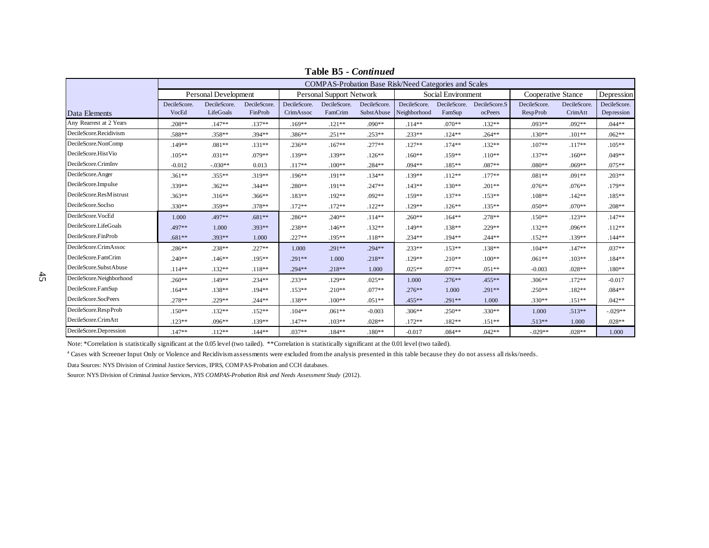|                          |              |                      |              |              |                          |              | <b>COMPAS-Probation Base Risk/Need Categories and Scales</b> |                    |               |                    |              |              |
|--------------------------|--------------|----------------------|--------------|--------------|--------------------------|--------------|--------------------------------------------------------------|--------------------|---------------|--------------------|--------------|--------------|
|                          |              | Personal Development |              |              | Personal Support Network |              |                                                              | Social Environment |               | Cooperative Stance |              | Depression   |
|                          | DecileScore. | DecileScore.         | DecileScore. | DecileScore. | DecileScore.             | DecileScore. | DecileScore.                                                 | DecileScore.       | DecileScore.S | DecileScore.       | DecileScore. | DecileScore. |
| Data Elements            | VocEd        | LifeGoals            | FinProb      | CrimAssoc    | FamCrim                  | SubstAbuse   | Neighborhood                                                 | FamSup             | ocPeers       | RespProb           | CrimAtt      | Depression   |
| Any Rearrest at 2 Years  | $.208**$     | $.147**$             | $.137**$     | $.169**$     | $.121**$                 | $.090**$     | $.114**$                                                     | $.070**$           | $.132**$      | $.093**$           | $.092**$     | $.044**$     |
| DecileScore.Recidivism   | .588**       | $.358**$             | .394**       | .386**       | $.251**$                 | $.253**$     | $.233**$                                                     | $.124**$           | $.264**$      | $.130**$           | $.101**$     | $.062**$     |
| DecileScore.NonComp      | .149**       | $.081**$             | $.131**$     | $.236**$     | $.167**$                 | $.277**$     | $.127**$                                                     | $.174**$           | $.132**$      | $.107**$           | $.117**$     | $.105**$     |
| DecileScore.HistVio      | $.105**$     | $.031**$             | .079**       | .139**       | $.139**$                 | $.126**$     | $.160**$                                                     | $.159**$           | $.110**$      | $.137**$           | $.160**$     | $.049**$     |
| DecileScore.CrimInv      | $-0.012$     | $-.030**$            | 0.013        | $.117**$     | $.100**$                 | .284**       | .094**                                                       | $.185***$          | .087**        | $.080**$           | $.069**$     | $.075**$     |
| DecileScore.Anger        | $.361**$     | $.355**$             | $.319**$     | $.196**$     | $.191**$                 | $.134**$     | .139**                                                       | $.112**$           | $.177**$      | $.081**$           | $.091**$     | $.203**$     |
| DecileScore.Impulse      | .339**       | $.362**$             | $.344**$     | .280**       | $.191**$                 | $.247**$     | $.143**$                                                     | $.130**$           | $.201**$      | $.076**$           | $.076**$     | $.179**$     |
| DecileScore.ResMistrust  | $.363**$     | $.316**$             | $.366**$     | $.183**$     | $.192**$                 | $.092**$     | $.159**$                                                     | $.137**$           | $.153**$      | $.108**$           | $.142**$     | $.185**$     |
| DecileScore.SocIso       | $.330**$     | .359**               | .378**       | $.172**$     | $.172**$                 | $.122**$     | .129**                                                       | $.126**$           | $.135***$     | $.050**$           | $.070**$     | $.208**$     |
| DecileScore.VocEd        | 1.000        | .497**               | $.681**$     | .286**       | $.240**$                 | $.114**$     | $.260**$                                                     | $.164**$           | $.278**$      | $.150**$           | $.123**$     | $.147**$     |
| DecileScore.LifeGoals    | .497**       | 1.000                | $.393**$     | .238**       | $.146**$                 | $.132**$     | $.149**$                                                     | $.138**$           | $.229**$      | $.132**$           | $.096**$     | $.112**$     |
| DecileScore.FinProb      | $.681**$     | $.393**$             | 1.000        | .227**       | $.195**$                 | $.118**$     | $.234**$                                                     | $.194**$           | $.244**$      | $.152**$           | $.139**$     | $.144**$     |
| DecileScore.CrimAssoc    | .286**       | $.238**$             | $.227**$     | 1.000        | $.291**$                 | $.294**$     | $.233**$                                                     | $.153**$           | $.138**$      | $.104**$           | $.147**$     | $.037**$     |
| DecileScore.FamCrim      | $.240**$     | $.146**$             | $.195**$     | $.291**$     | 1.000                    | $.218**$     | .129**                                                       | $.210**$           | $.100**$      | $.061**$           | $.103**$     | $.184**$     |
| DecileScore.SubstAbuse   | $.114**$     | $.132**$             | $.118**$     | $.294**$     | $.218**$                 | 1.000        | $.025**$                                                     | $.077**$           | $.051**$      | $-0.003$           | $.028**$     | $.180**$     |
| DecileScore.Neighborhood | $.260**$     | $.149**$             | $.234**$     | $.233**$     | .129**                   | $.025**$     | 1.000                                                        | $.276***$          | $.455***$     | $.306**$           | $.172**$     | $-0.017$     |
| DecileScore.FamSup       | $.164**$     | $.138**$             | .194**       | $.153**$     | $.210**$                 | $.077**$     | $.276**$                                                     | 1.000              | $.291**$      | $.250**$           | $.182**$     | $.084**$     |
| DecileScore.SocPeers     | .278**       | $.229**$             | $.244**$     | .138**       | $.100**$                 | $.051**$     | .455**                                                       | .291**             | 1.000         | $.330**$           | $.151**$     | $.042**$     |
| DecileScore.RespProb     | $.150**$     | $.132**$             | $.152**$     | $.104**$     | $.061**$                 | $-0.003$     | $.306**$                                                     | $.250**$           | $.330**$      | 1.000              | $.513**$     | $-.029**$    |
| DecileScore.CrimAtt      | $.123**$     | $.096**$             | .139**       | $.147**$     | $.103**$                 | $.028**$     | $.172**$                                                     | $.182**$           | $.151**$      | $.513**$           | 1.000        | $.028**$     |
| DecileScore.Depression   | $.147**$     | $.112**$             | $.144**$     | $.037**$     | $.184**$                 | $.180**$     | $-0.017$                                                     | $.084**$           | $.042**$      | $-.029**$          | $.028**$     | 1.000        |

**Table B5 -** *Continued*

Note: \*Correlation is statistically significant at the 0.05 level (two tailed). \*\*Correlation is statistically significant at the 0.01 level (two tailed).

<sup>a</sup> Cases with Screener Input Only or Violence and Recidivism assessments were excluded from the analysis presented in this table because they do not assess all risks/needs.

Data Sources: NYS Division of Criminal Justice Services, IPRS, COMPAS-Probation and CCH databases.

Source: NYS Division of Criminal Justice Services, *NYS COMPAS-Probation Risk and Needs Assessment Study* (2012).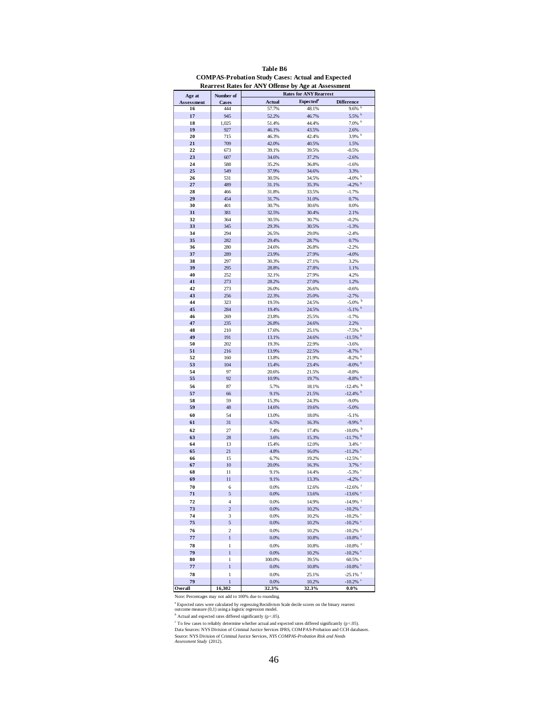|                   |                | <b>Rearrest Rates for ANY Offense by Age at Assessment</b><br><b>Rates for ANY Rearrest</b> |                       |                                               |  |  |  |  |  |
|-------------------|----------------|---------------------------------------------------------------------------------------------|-----------------------|-----------------------------------------------|--|--|--|--|--|
| Age at            | Number of      |                                                                                             |                       |                                               |  |  |  |  |  |
| <b>Assessment</b> | Cases          | Actual                                                                                      | Expected <sup>a</sup> | <b>Difference</b>                             |  |  |  |  |  |
| 16                | 444            | 57.7%                                                                                       | 48.1%                 | $9.6\%$ b                                     |  |  |  |  |  |
| 17<br>18          | 945            | 52.2%<br>51.4%                                                                              | 46.7%<br>44.4%        | 5.5% b<br>$7.0\%$ b                           |  |  |  |  |  |
| 19                | 1,025<br>927   | 46.1%                                                                                       | 43.5%                 | 2.6%                                          |  |  |  |  |  |
| 20                | 715            | 46.3%                                                                                       | 42.4%                 | $3.9\%$                                       |  |  |  |  |  |
| 21                | 709            | 42.0%                                                                                       | 40.5%                 | 1.5%                                          |  |  |  |  |  |
| 22                | 673            | 39.1%                                                                                       | 39.5%                 | $-0.5%$                                       |  |  |  |  |  |
| 23                | 607            | 34.6%                                                                                       | 37.2%                 | $-2.6%$                                       |  |  |  |  |  |
| 24                | 588            | 35.2%                                                                                       | 36.8%                 | $-1.6%$                                       |  |  |  |  |  |
| 25                | 549            | 37.9%                                                                                       | 34.6%                 | 3.3%                                          |  |  |  |  |  |
| 26                | 531            | 30.5%                                                                                       | 34.5%                 | $-4.0\%$ b                                    |  |  |  |  |  |
| 27                | 489            | 31.1%                                                                                       | 35.3%                 | $-4.2%$                                       |  |  |  |  |  |
| 28                | 466            | 31.8%                                                                                       | 33.5%                 | $-1.7%$                                       |  |  |  |  |  |
| 29                | 454            | 31.7%                                                                                       | 31.0%                 | 0.7%                                          |  |  |  |  |  |
| 30                | 401            | 30.7%                                                                                       | 30.6%                 | 0.0%                                          |  |  |  |  |  |
| 31                | 381            | 32.5%                                                                                       | 30.4%                 | 2.1%                                          |  |  |  |  |  |
| 32                | 364            | 30.5%                                                                                       | 30.7%                 | $-0.2%$                                       |  |  |  |  |  |
| 33                | 345            | 29.3%                                                                                       | 30.5%                 | $-1.3%$                                       |  |  |  |  |  |
| 34                | 294            | 26.5%                                                                                       | 29.0%                 | $-2.4%$                                       |  |  |  |  |  |
| 35                | 282            | 29.4%                                                                                       | 28.7%                 | 0.7%                                          |  |  |  |  |  |
| 36                | 280            | 24.6%                                                                                       | 26.8%                 | $-2.2%$                                       |  |  |  |  |  |
| 37                | 289            | 23.9%                                                                                       | 27.9%                 | $-4.0%$                                       |  |  |  |  |  |
| 38                | 297            | 30.3%                                                                                       | 27.1%                 | 3.2%                                          |  |  |  |  |  |
| 39                | 295            | 28.8%                                                                                       | 27.8%                 | 1.1%                                          |  |  |  |  |  |
| 40<br>41          | 252            | 32.1%                                                                                       | 27.9%<br>27.0%        | 4.2%                                          |  |  |  |  |  |
| 42                | 273<br>273     | 28.2%<br>26.0%                                                                              |                       | 1.2%<br>$-0.6%$                               |  |  |  |  |  |
| 43                | 256            | 22.3%                                                                                       | 26.6%<br>25.0%        | $-2.7%$                                       |  |  |  |  |  |
| 44                | 323            | 19.5%                                                                                       | 24.5%                 | $-5.0\%$                                      |  |  |  |  |  |
| 45                | 284            | 19.4%                                                                                       | 24.5%                 | $-5.1\%$                                      |  |  |  |  |  |
| 46                | 269            | 23.8%                                                                                       | 25.5%                 | $-1.7%$                                       |  |  |  |  |  |
| 47                | 235            | 26.8%                                                                                       | 24.6%                 | 2.2%                                          |  |  |  |  |  |
| 48                | 210            | 17.6%                                                                                       | 25.1%                 | $-7.5%$                                       |  |  |  |  |  |
| 49                | 191            | 13.1%                                                                                       | 24.6%                 | $-11.5%$                                      |  |  |  |  |  |
| 50                | 202            | 19.3%                                                                                       | 22.9%                 | $-3.6%$                                       |  |  |  |  |  |
| 51                | 216            | 13.9%                                                                                       | 22.5%                 | $-8.7\%$                                      |  |  |  |  |  |
| 52                | 160            | 13.8%                                                                                       | 21.9%                 | $-8.2%$                                       |  |  |  |  |  |
| 53                | 104            | 15.4%                                                                                       | 23.4%                 | $-8.0\%$                                      |  |  |  |  |  |
| 54                | 97             | 20.6%                                                                                       | 21.5%                 | $-0.8%$                                       |  |  |  |  |  |
| 55                | 92             | 10.9%                                                                                       | 19.7%                 | $-8.8\%$ b                                    |  |  |  |  |  |
| 56                | 87             | 5.7%                                                                                        | 18.1%                 | $-12.4%$ <sup>b</sup>                         |  |  |  |  |  |
| 57                | 66             | 9.1%                                                                                        | 21.5%                 | $-12.4%$                                      |  |  |  |  |  |
| 58                | 59             | 15.3%                                                                                       | 24.3%                 | $-9.0%$                                       |  |  |  |  |  |
| 59                | 48             | 14.6%                                                                                       | 19.6%                 | $-5.0%$                                       |  |  |  |  |  |
| 60                | 54             | 13.0%                                                                                       | 18.0%                 | $-5.1%$                                       |  |  |  |  |  |
| 61                | 31             | 6.5%                                                                                        | 16.3%                 | $-9.9%$                                       |  |  |  |  |  |
| 62                | 27             | 7.4%                                                                                        | 17.4%                 | $-10.0\%$ <sup>b</sup>                        |  |  |  |  |  |
| 63                | 28             | 3.6%                                                                                        | 15.3%                 | $-11.7%$                                      |  |  |  |  |  |
| 64                | 13             | 15.4%                                                                                       | 12.0%                 | $3.4\%$ $\degree$                             |  |  |  |  |  |
| 65                | 21             | 4.8%                                                                                        | 16.0%                 | $-11.2\%$ <sup>c</sup><br>$-12.5\%$ $\degree$ |  |  |  |  |  |
| 66<br>67          | 15<br>10       | 6.7%<br>20.0%                                                                               | 19.2%<br>16.3%        | $3.7\%$ $\degree$                             |  |  |  |  |  |
| 68                | 11             | 9.1%                                                                                        | 14.4%                 | $-5.3\%$                                      |  |  |  |  |  |
| 69                | 11             | 9.1%                                                                                        | 13.3%                 | $-4.2\%$                                      |  |  |  |  |  |
| 70                | 6              | 0.0%                                                                                        | 12.6%                 | $-12.6\%$                                     |  |  |  |  |  |
| 71                | 5              | 0.0%                                                                                        | 13.6%                 | $-13.6\%$ $\degree$                           |  |  |  |  |  |
| 72                | $\overline{4}$ | 0.0%                                                                                        | 14.9%                 | $-14.9\%$ <sup>c</sup>                        |  |  |  |  |  |
| 73                | $\overline{c}$ | 0.0%                                                                                        | 10.2%                 | $-10.2\%$ <sup>c</sup>                        |  |  |  |  |  |
| 74                | 3              | 0.0%                                                                                        | 10.2%                 | $-10.2\%$                                     |  |  |  |  |  |
| 75                | 5              | 0.0%                                                                                        | 10.2%                 | $-10.2\%$                                     |  |  |  |  |  |
| 76                | $\overline{c}$ | 0.0%                                                                                        | 10.2%                 | $-10.2\%$ <sup>c</sup>                        |  |  |  |  |  |
| 77                | $\mathbf{1}$   | 0.0%                                                                                        | 10.8%                 | -10.8% $^{\circ}$                             |  |  |  |  |  |
| 78                | $\mathbf{1}$   | 0.0%                                                                                        | 10.8%                 | $-10.8\%$ <sup>c</sup>                        |  |  |  |  |  |
| 79                | $\mathbf{1}$   | 0.0%                                                                                        | 10.2%                 | $-10.2\%$ $\degree$                           |  |  |  |  |  |
| 80                | 1              | 100.0%                                                                                      | 39.5%                 | $60.5\%$ $^\circ$                             |  |  |  |  |  |
| 77                | $\overline{1}$ | 0.0%                                                                                        | 10.8%                 | $-10.8\%$ $\degree$                           |  |  |  |  |  |
| 78                | 1              | 0.0%                                                                                        | 25.1%                 | $-25.1\%$ <sup>c</sup>                        |  |  |  |  |  |
| 79                | $\mathbf{1}$   | 0.0%                                                                                        | 10.2%                 | $-10.2\%$ <sup>c</sup>                        |  |  |  |  |  |
| Overall           | 16,302         | 32.3%                                                                                       | 32.3%                 | $0.0\%$                                       |  |  |  |  |  |

| Table B6 |  |  |  |           |  |  |  |  |  |                                                          |  |
|----------|--|--|--|-----------|--|--|--|--|--|----------------------------------------------------------|--|
|          |  |  |  |           |  |  |  |  |  | <b>COMPAS-Probation Study Cases: Actual and Expected</b> |  |
|          |  |  |  | 1.7777200 |  |  |  |  |  |                                                          |  |

Note: Percentages may not add to 100% due to rounding.

Note: Percentages may not add to 100% due to rounding<br>
<sup>a</sup> Expected rates were calculated by regressing Recidivism Scale decile scores on the binary rearrest<br>
<sup>b</sup> Actual and expected rates differed significantly (p<.05).<br>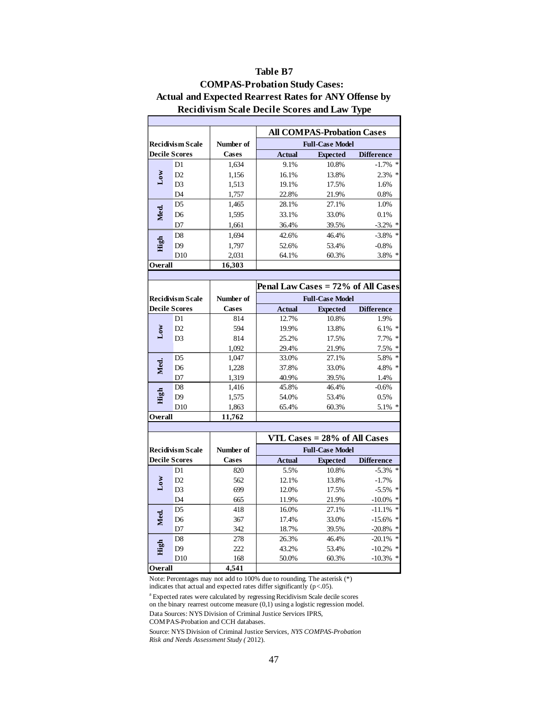|                 |                      |           |               | <b>All COMPAS-Probation Cases</b> |                    |
|-----------------|----------------------|-----------|---------------|-----------------------------------|--------------------|
|                 | Recidivism Scale     | Number of |               | <b>Full-Case Model</b>            |                    |
|                 | <b>Decile Scores</b> | Cases     | <b>Actual</b> | <b>Expected</b>                   | <b>Difference</b>  |
|                 | D1                   | 1,634     | 9.1%          | 10.8%                             | $-1.7\%$ *         |
| $_{\text{Low}}$ | D2                   | 1,156     | 16.1%         | 13.8%                             | ∗<br>2.3%          |
|                 | D <sub>3</sub>       | 1,513     | 19.1%         | 17.5%                             | 1.6%               |
|                 | D <sub>4</sub>       | 1,757     | 22.8%         | 21.9%                             | 0.8%               |
|                 | D <sub>5</sub>       | 1,465     | 28.1%         | 27.1%                             | 1.0%               |
| Med.            | D6                   | 1,595     | 33.1%         | 33.0%                             | 0.1%               |
|                 | D7                   | 1,661     | 36.4%         | 39.5%                             | $\ast$<br>$-3.2\%$ |
|                 | D <sub>8</sub>       | 1.694     | 42.6%         | 46.4%                             | $\ast$<br>$-3.8\%$ |
| High            | D <sub>9</sub>       | 1,797     | 52.6%         | 53.4%                             | $-0.8%$            |
|                 | D <sub>10</sub>      | 2,031     | 64.1%         | 60.3%                             | $\ast$<br>3.8%     |
| Overall         |                      | 16.303    |               |                                   |                    |

### **Recidivism Scale Decile Scores and Law Type Table B7 COMPAS-Probation Study Cases: Actual and Expected Rearrest Rates for ANY Offense by**

|                 |                  |              | Penal Law Cases = 72% of All Cases |                        |                   |
|-----------------|------------------|--------------|------------------------------------|------------------------|-------------------|
|                 | Recidivism Scale | Number of    |                                    | <b>Full-Case Model</b> |                   |
|                 | Decile Scores    | <b>Cases</b> | <b>Actual</b>                      | <b>Expected</b>        | <b>Difference</b> |
|                 | D1               | 814          | 12.7%                              | 10.8%                  | 1.9%              |
| $_{\text{Low}}$ | D <sub>2</sub>   | 594          | 19.9%                              | 13.8%                  | $6.1\%$ *         |
|                 | D <sub>3</sub>   | 814          | 25.2%                              | 17.5%                  | $7.7\%$ *         |
|                 |                  | 1,092        | 29.4%                              | 21.9%                  | $7.5\%$ *         |
|                 | D <sub>5</sub>   | 1,047        | 33.0%                              | 27.1%                  | 5.8% *            |
| Med.            | D6               | 1,228        | 37.8%                              | 33.0%                  | 4.8% *            |
|                 | D7               | 1,319        | 40.9%                              | 39.5%                  | 1.4%              |
|                 | D <sub>8</sub>   | 1,416        | 45.8%                              | 46.4%                  | $-0.6%$           |
| High            | D9               | 1,575        | 54.0%                              | 53.4%                  | 0.5%              |
|                 | D10              | 1,863        | 65.4%                              | 60.3%                  | $5.1\%$ *         |
| Overall         |                  | 11.762       |                                    |                        |                   |

|                         |                 |              | VTL Cases $= 28\%$ of All Cases |                 |                   |  |  |
|-------------------------|-----------------|--------------|---------------------------------|-----------------|-------------------|--|--|
| <b>Recidivism Scale</b> |                 | Number of    | <b>Full-Case Model</b>          |                 |                   |  |  |
| <b>Decile Scores</b>    |                 | <b>Cases</b> | <b>Actual</b>                   | <b>Expected</b> | <b>Difference</b> |  |  |
| $_{\rm Low}$            | D <sub>1</sub>  | 820          | 5.5%                            | 10.8%           | $-5.3\%$ *        |  |  |
|                         | D2              | 562          | 12.1%                           | 13.8%           | $-1.7\%$          |  |  |
|                         | D <sub>3</sub>  | 699          | 12.0%                           | 17.5%           | $-5.5\%$ *        |  |  |
|                         | D <sub>4</sub>  | 665          | 11.9%                           | 21.9%           | $-10.0\%$ *       |  |  |
| Med.                    | D <sub>5</sub>  | 418          | 16.0%                           | 27.1%           | $-11.1\%$ *       |  |  |
|                         | D <sub>6</sub>  | 367          | 17.4%                           | 33.0%           | $-15.6\%$ *       |  |  |
|                         | D7              | 342          | 18.7%                           | 39.5%           | $-20.8\%$ *       |  |  |
|                         | D <sub>8</sub>  | 278          | 26.3%                           | 46.4%           | $-20.1\%$ *       |  |  |
| High                    | D <sup>9</sup>  | 222          | 43.2%                           | 53.4%           | $-10.2\%$ *       |  |  |
|                         | D <sub>10</sub> | 168          | 50.0%                           | 60.3%           | $-10.3\%$ *       |  |  |
| Overall                 |                 | 4.541        |                                 |                 |                   |  |  |

Note: Percentages may not add to 100% due to rounding. The asterisk (\*) indicates that actual and expected rates differ significantly (p<.05).

<sup>a</sup> Expected rates were calculated by regressing Recidivism Scale decile scores on the binary rearrest outcome measure (0,1) using a logistic regression model.

Data Sources: NYS Division of Criminal Justice Services IPRS,

COMPAS-Probation and CCH databases.

Source: NYS Division of Criminal Justice Services, *NYS COMPAS-Probation Risk and Needs Assessment Study (* 2012).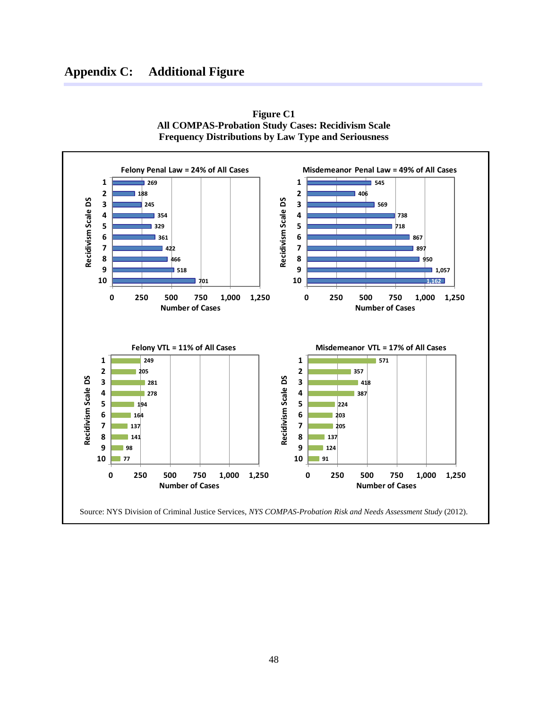# **Appendix C: Additional Figure**



**Figure C1 All COMPAS-Probation Study Cases: Recidivism Scale Frequency Distributions by Law Type and Seriousness**